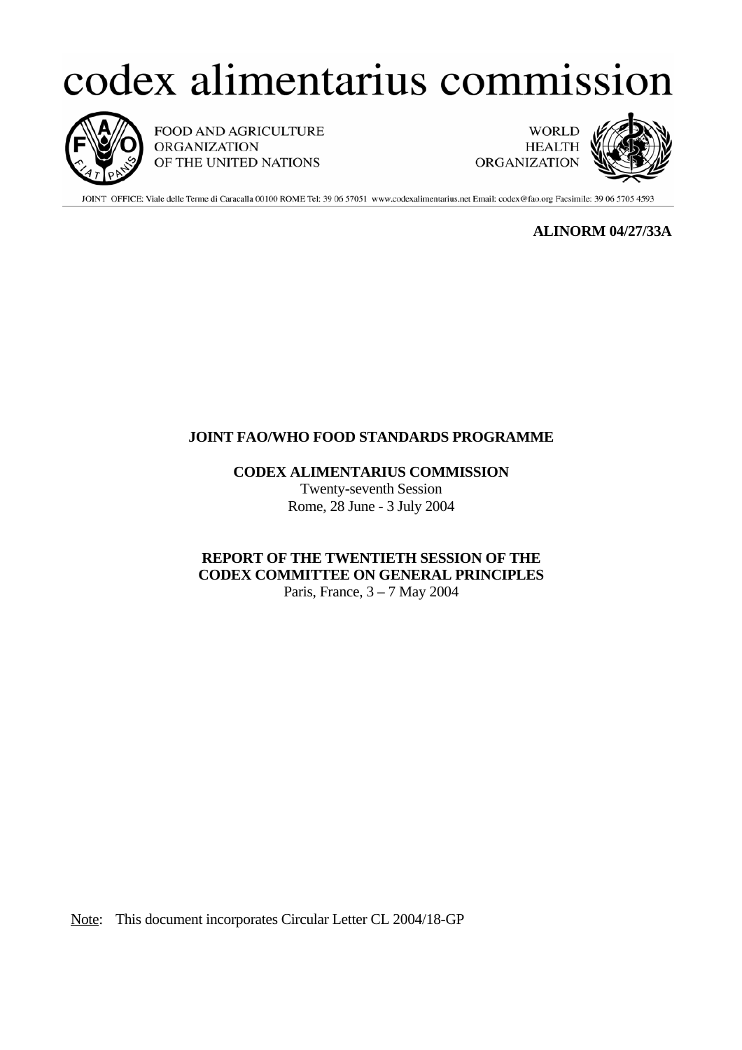# codex alimentarius commission



FOOD AND AGRICULTURE **ORGANIZATION** OF THE UNITED NATIONS

**WORLD HEALTH ORGANIZATION** 



JOINT OFFICE: Viale delle Terme di Caracalla 00100 ROME Tel: 39 06 57051 www.codexalimentarius.net Email: codex@fao.org Facsimile: 39 06 5705 4593

 **ALINORM 04/27/33A** 

## **JOINT FAO/WHO FOOD STANDARDS PROGRAMME**

 **CODEX ALIMENTARIUS COMMISSION**

 Twenty-seventh Session Rome, 28 June - 3 July 2004

## **REPORT OF THE TWENTIETH SESSION OF THE CODEX COMMITTEE ON GENERAL PRINCIPLES**

Paris, France, 3 – 7 May 2004

Note: This document incorporates Circular Letter CL 2004/18-GP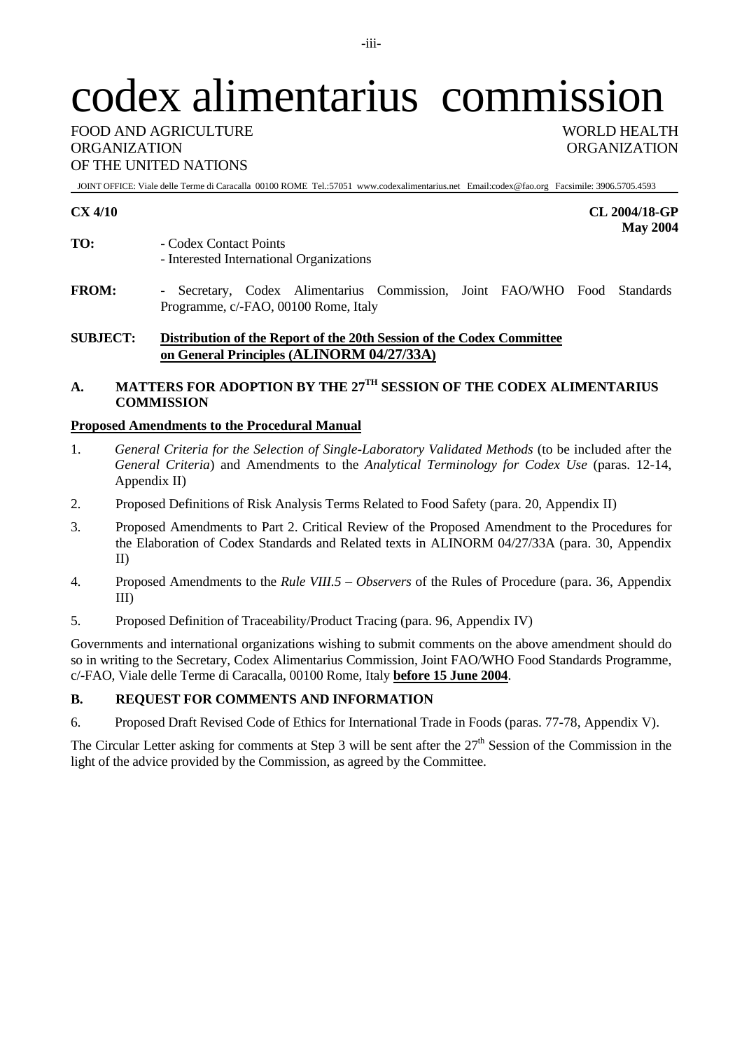# codex alimentarius commission

FOOD AND AGRICULTURE WORLD HEALTH ORGANIZATION ORGANIZATION OF THE UNITED NATIONS

JOINT OFFICE: Viale delle Terme di Caracalla 00100 ROME Tel.:57051 www.codexalimentarius.net Email:codex@fao.org Facsimile: 3906.5705.4593

**CX 4/10 CL 2004/18-GP May 2004** 

- **TO:** Codex Contact Points - Interested International Organizations
- **FROM:** Secretary, Codex Alimentarius Commission, Joint FAO/WHO Food Standards Programme, c/-FAO, 00100 Rome, Italy

## **SUBJECT: Distribution of the Report of the 20th Session of the Codex Committee on General Principles (ALINORM 04/27/33A)**

## **A. MATTERS FOR ADOPTION BY THE 27TH SESSION OF THE CODEX ALIMENTARIUS COMMISSION**

## **Proposed Amendments to the Procedural Manual**

- 1. *General Criteria for the Selection of Single-Laboratory Validated Methods* (to be included after the *General Criteria*) and Amendments to the *Analytical Terminology for Codex Use* (paras. 12-14, Appendix II)
- 2. Proposed Definitions of Risk Analysis Terms Related to Food Safety (para. 20, Appendix II)
- 3. Proposed Amendments to Part 2. Critical Review of the Proposed Amendment to the Procedures for the Elaboration of Codex Standards and Related texts in ALINORM 04/27/33A (para. 30, Appendix II)
- 4. Proposed Amendments to the *Rule VIII.5 Observers* of the Rules of Procedure (para. 36, Appendix III)
- 5. Proposed Definition of Traceability/Product Tracing (para. 96, Appendix IV)

Governments and international organizations wishing to submit comments on the above amendment should do so in writing to the Secretary, Codex Alimentarius Commission, Joint FAO/WHO Food Standards Programme, c/-FAO, Viale delle Terme di Caracalla, 00100 Rome, Italy **before 15 June 2004**.

## **B. REQUEST FOR COMMENTS AND INFORMATION**

6. Proposed Draft Revised Code of Ethics for International Trade in Foods (paras. 77-78, Appendix V).

The Circular Letter asking for comments at Step 3 will be sent after the  $27<sup>th</sup>$  Session of the Commission in the light of the advice provided by the Commission, as agreed by the Committee.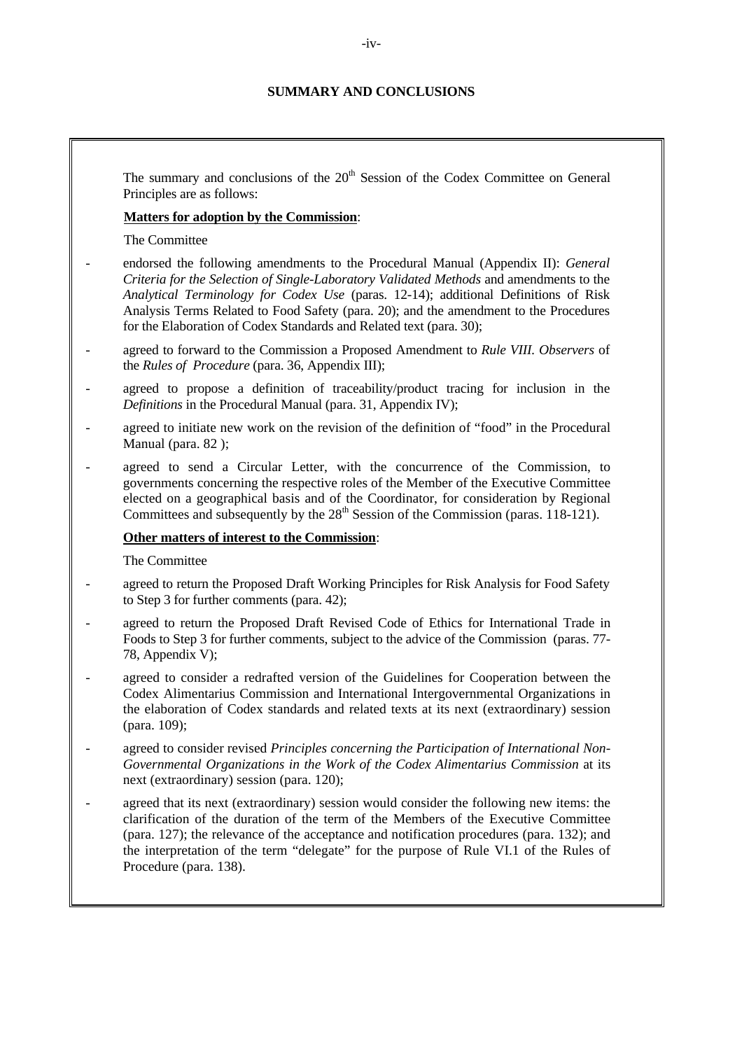## **SUMMARY AND CONCLUSIONS**

The summary and conclusions of the  $20<sup>th</sup>$  Session of the Codex Committee on General Principles are as follows:

## **Matters for adoption by the Commission**:

The Committee

- endorsed the following amendments to the Procedural Manual (Appendix II): *General Criteria for the Selection of Single-Laboratory Validated Methods* and amendments to the *Analytical Terminology for Codex Use* (paras. 12-14); additional Definitions of Risk Analysis Terms Related to Food Safety (para. 20); and the amendment to the Procedures for the Elaboration of Codex Standards and Related text (para. 30);
- agreed to forward to the Commission a Proposed Amendment to *Rule VIII. Observers* of the *Rules of Procedure* (para. 36, Appendix III);
- agreed to propose a definition of traceability/product tracing for inclusion in the *Definitions* in the Procedural Manual (para. 31, Appendix IV);
- agreed to initiate new work on the revision of the definition of "food" in the Procedural Manual (para. 82);
- agreed to send a Circular Letter, with the concurrence of the Commission, to governments concerning the respective roles of the Member of the Executive Committee elected on a geographical basis and of the Coordinator, for consideration by Regional Committees and subsequently by the  $28<sup>th</sup>$  Session of the Commission (paras. 118-121).

## **Other matters of interest to the Commission**:

The Committee

- agreed to return the Proposed Draft Working Principles for Risk Analysis for Food Safety to Step 3 for further comments (para. 42);
- agreed to return the Proposed Draft Revised Code of Ethics for International Trade in Foods to Step 3 for further comments, subject to the advice of the Commission (paras. 77- 78, Appendix V);
- agreed to consider a redrafted version of the Guidelines for Cooperation between the Codex Alimentarius Commission and International Intergovernmental Organizations in the elaboration of Codex standards and related texts at its next (extraordinary) session (para. 109);
- agreed to consider revised *Principles concerning the Participation of International Non-Governmental Organizations in the Work of the Codex Alimentarius Commission* at its next (extraordinary) session (para. 120);
- agreed that its next (extraordinary) session would consider the following new items: the clarification of the duration of the term of the Members of the Executive Committee (para. 127); the relevance of the acceptance and notification procedures (para. 132); and the interpretation of the term "delegate" for the purpose of Rule VI.1 of the Rules of Procedure (para. 138).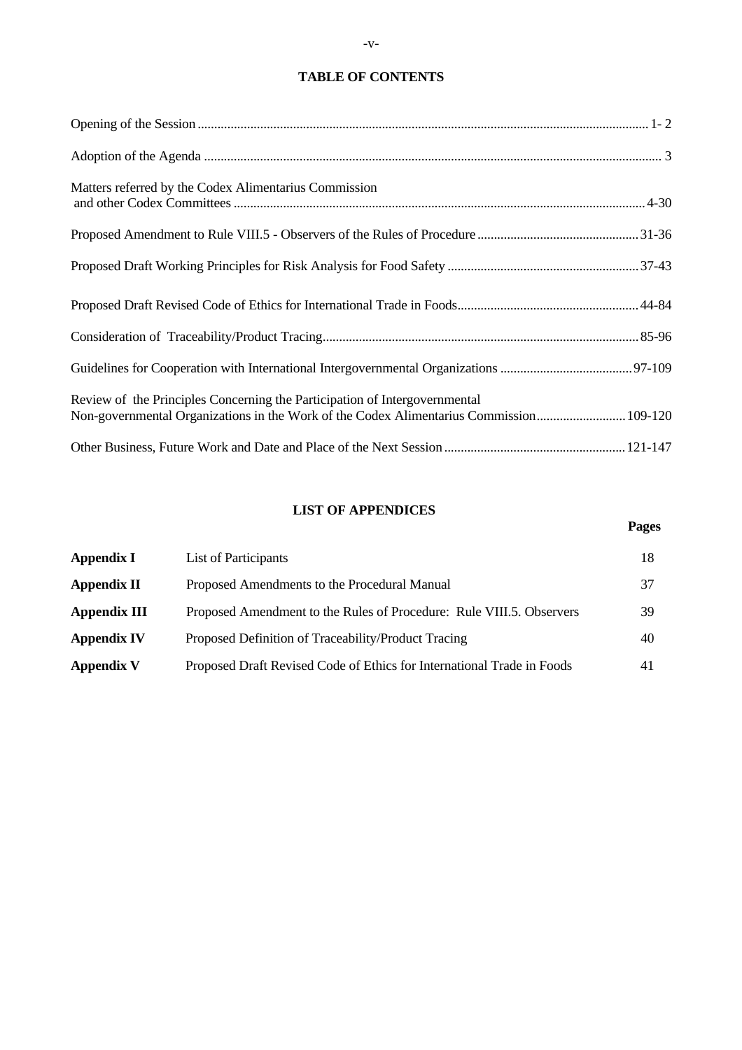## **TABLE OF CONTENTS**

| Matters referred by the Codex Alimentarius Commission                                                                                                                 |  |
|-----------------------------------------------------------------------------------------------------------------------------------------------------------------------|--|
|                                                                                                                                                                       |  |
|                                                                                                                                                                       |  |
|                                                                                                                                                                       |  |
|                                                                                                                                                                       |  |
|                                                                                                                                                                       |  |
| Review of the Principles Concerning the Participation of Intergovernmental<br>Non-governmental Organizations in the Work of the Codex Alimentarius Commission 109-120 |  |
|                                                                                                                                                                       |  |

## **LIST OF APPENDICES**

**Pages** 

| <b>Appendix I</b>   | List of Participants                                                   | 18 |
|---------------------|------------------------------------------------------------------------|----|
| <b>Appendix II</b>  | Proposed Amendments to the Procedural Manual                           | 37 |
| <b>Appendix III</b> | Proposed Amendment to the Rules of Procedure: Rule VIII.5. Observers   | 39 |
| <b>Appendix IV</b>  | Proposed Definition of Traceability/Product Tracing                    | 40 |
| <b>Appendix V</b>   | Proposed Draft Revised Code of Ethics for International Trade in Foods | 41 |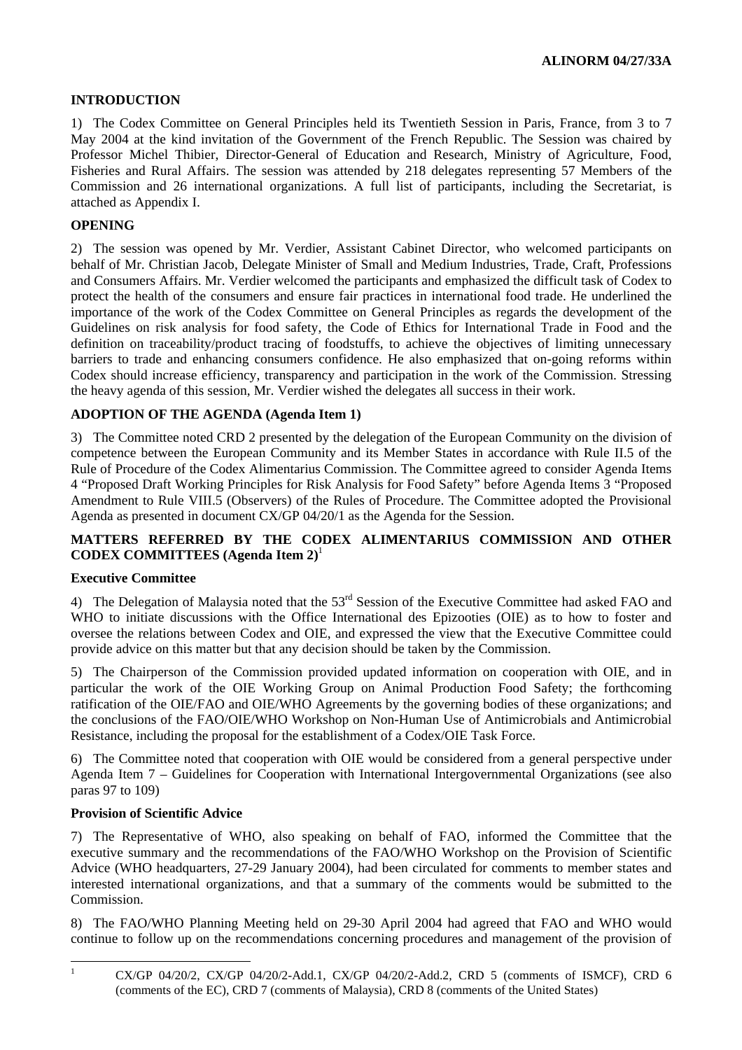## **INTRODUCTION**

1) The Codex Committee on General Principles held its Twentieth Session in Paris, France, from 3 to 7 May 2004 at the kind invitation of the Government of the French Republic. The Session was chaired by Professor Michel Thibier, Director-General of Education and Research, Ministry of Agriculture, Food, Fisheries and Rural Affairs. The session was attended by 218 delegates representing 57 Members of the Commission and 26 international organizations. A full list of participants, including the Secretariat, is attached as Appendix I.

## **OPENING**

2) The session was opened by Mr. Verdier, Assistant Cabinet Director, who welcomed participants on behalf of Mr. Christian Jacob, Delegate Minister of Small and Medium Industries, Trade, Craft, Professions and Consumers Affairs. Mr. Verdier welcomed the participants and emphasized the difficult task of Codex to protect the health of the consumers and ensure fair practices in international food trade. He underlined the importance of the work of the Codex Committee on General Principles as regards the development of the Guidelines on risk analysis for food safety, the Code of Ethics for International Trade in Food and the definition on traceability/product tracing of foodstuffs, to achieve the objectives of limiting unnecessary barriers to trade and enhancing consumers confidence. He also emphasized that on-going reforms within Codex should increase efficiency, transparency and participation in the work of the Commission. Stressing the heavy agenda of this session, Mr. Verdier wished the delegates all success in their work.

## **ADOPTION OF THE AGENDA (Agenda Item 1)**

3) The Committee noted CRD 2 presented by the delegation of the European Community on the division of competence between the European Community and its Member States in accordance with Rule II.5 of the Rule of Procedure of the Codex Alimentarius Commission. The Committee agreed to consider Agenda Items 4 "Proposed Draft Working Principles for Risk Analysis for Food Safety" before Agenda Items 3 "Proposed Amendment to Rule VIII.5 (Observers) of the Rules of Procedure. The Committee adopted the Provisional Agenda as presented in document CX/GP 04/20/1 as the Agenda for the Session.

## **MATTERS REFERRED BY THE CODEX ALIMENTARIUS COMMISSION AND OTHER CODEX COMMITTEES (Agenda Item 2)**[1](#page-4-0)

## **Executive Committee**

4) The Delegation of Malaysia noted that the 53<sup>rd</sup> Session of the Executive Committee had asked FAO and WHO to initiate discussions with the Office International des Epizooties (OIE) as to how to foster and oversee the relations between Codex and OIE, and expressed the view that the Executive Committee could provide advice on this matter but that any decision should be taken by the Commission.

5) The Chairperson of the Commission provided updated information on cooperation with OIE, and in particular the work of the OIE Working Group on Animal Production Food Safety; the forthcoming ratification of the OIE/FAO and OIE/WHO Agreements by the governing bodies of these organizations; and the conclusions of the FAO/OIE/WHO Workshop on Non-Human Use of Antimicrobials and Antimicrobial Resistance, including the proposal for the establishment of a Codex/OIE Task Force.

6) The Committee noted that cooperation with OIE would be considered from a general perspective under Agenda Item 7 – Guidelines for Cooperation with International Intergovernmental Organizations (see also paras 97 to 109)

## **Provision of Scientific Advice**

7) The Representative of WHO, also speaking on behalf of FAO, informed the Committee that the executive summary and the recommendations of the FAO/WHO Workshop on the Provision of Scientific Advice (WHO headquarters, 27-29 January 2004), had been circulated for comments to member states and interested international organizations, and that a summary of the comments would be submitted to the Commission.

8) The FAO/WHO Planning Meeting held on 29-30 April 2004 had agreed that FAO and WHO would continue to follow up on the recommendations concerning procedures and management of the provision of

<span id="page-4-0"></span> $\frac{1}{1}$ 

CX/GP 04/20/2, CX/GP 04/20/2-Add.1, CX/GP 04/20/2-Add.2, CRD 5 (comments of ISMCF), CRD 6 (comments of the EC), CRD 7 (comments of Malaysia), CRD 8 (comments of the United States)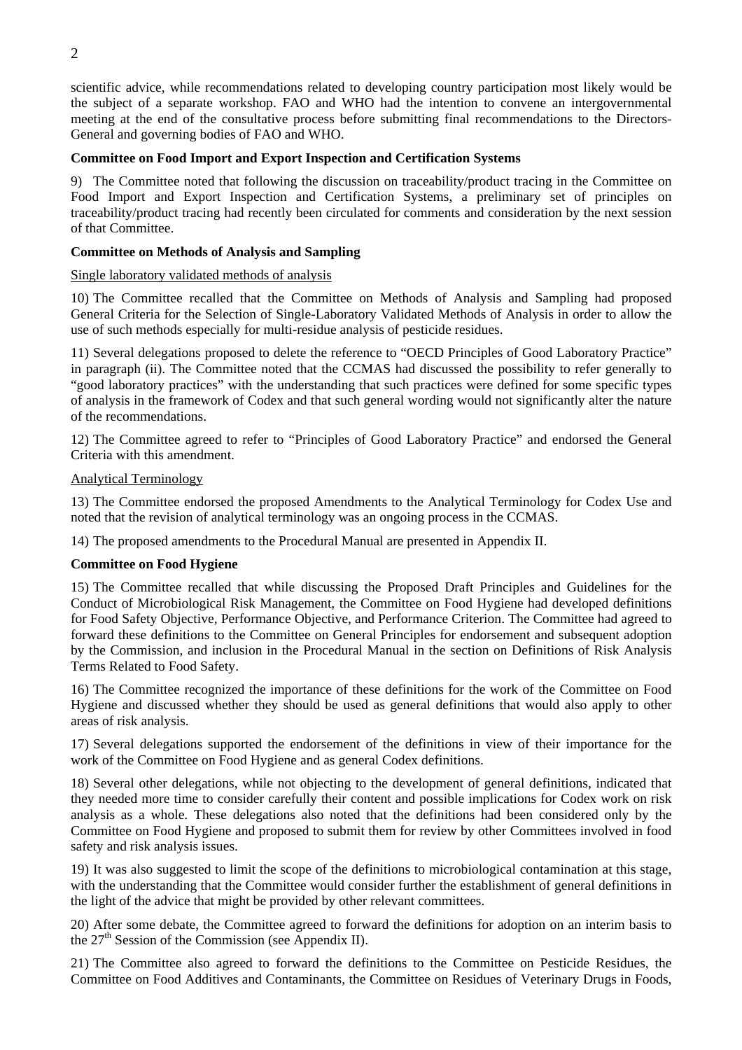scientific advice, while recommendations related to developing country participation most likely would be the subject of a separate workshop. FAO and WHO had the intention to convene an intergovernmental meeting at the end of the consultative process before submitting final recommendations to the Directors-General and governing bodies of FAO and WHO.

## **Committee on Food Import and Export Inspection and Certification Systems**

9) The Committee noted that following the discussion on traceability/product tracing in the Committee on Food Import and Export Inspection and Certification Systems, a preliminary set of principles on traceability/product tracing had recently been circulated for comments and consideration by the next session of that Committee.

## **Committee on Methods of Analysis and Sampling**

## Single laboratory validated methods of analysis

10) The Committee recalled that the Committee on Methods of Analysis and Sampling had proposed General Criteria for the Selection of Single-Laboratory Validated Methods of Analysis in order to allow the use of such methods especially for multi-residue analysis of pesticide residues.

11) Several delegations proposed to delete the reference to "OECD Principles of Good Laboratory Practice" in paragraph (ii). The Committee noted that the CCMAS had discussed the possibility to refer generally to "good laboratory practices" with the understanding that such practices were defined for some specific types of analysis in the framework of Codex and that such general wording would not significantly alter the nature of the recommendations.

12) The Committee agreed to refer to "Principles of Good Laboratory Practice" and endorsed the General Criteria with this amendment.

## Analytical Terminology

13) The Committee endorsed the proposed Amendments to the Analytical Terminology for Codex Use and noted that the revision of analytical terminology was an ongoing process in the CCMAS.

14) The proposed amendments to the Procedural Manual are presented in Appendix II.

## **Committee on Food Hygiene**

15) The Committee recalled that while discussing the Proposed Draft Principles and Guidelines for the Conduct of Microbiological Risk Management, the Committee on Food Hygiene had developed definitions for Food Safety Objective, Performance Objective, and Performance Criterion. The Committee had agreed to forward these definitions to the Committee on General Principles for endorsement and subsequent adoption by the Commission, and inclusion in the Procedural Manual in the section on Definitions of Risk Analysis Terms Related to Food Safety.

16) The Committee recognized the importance of these definitions for the work of the Committee on Food Hygiene and discussed whether they should be used as general definitions that would also apply to other areas of risk analysis.

17) Several delegations supported the endorsement of the definitions in view of their importance for the work of the Committee on Food Hygiene and as general Codex definitions.

18) Several other delegations, while not objecting to the development of general definitions, indicated that they needed more time to consider carefully their content and possible implications for Codex work on risk analysis as a whole. These delegations also noted that the definitions had been considered only by the Committee on Food Hygiene and proposed to submit them for review by other Committees involved in food safety and risk analysis issues.

19) It was also suggested to limit the scope of the definitions to microbiological contamination at this stage, with the understanding that the Committee would consider further the establishment of general definitions in the light of the advice that might be provided by other relevant committees.

20) After some debate, the Committee agreed to forward the definitions for adoption on an interim basis to the  $27<sup>th</sup>$  Session of the Commission (see Appendix II).

21) The Committee also agreed to forward the definitions to the Committee on Pesticide Residues, the Committee on Food Additives and Contaminants, the Committee on Residues of Veterinary Drugs in Foods,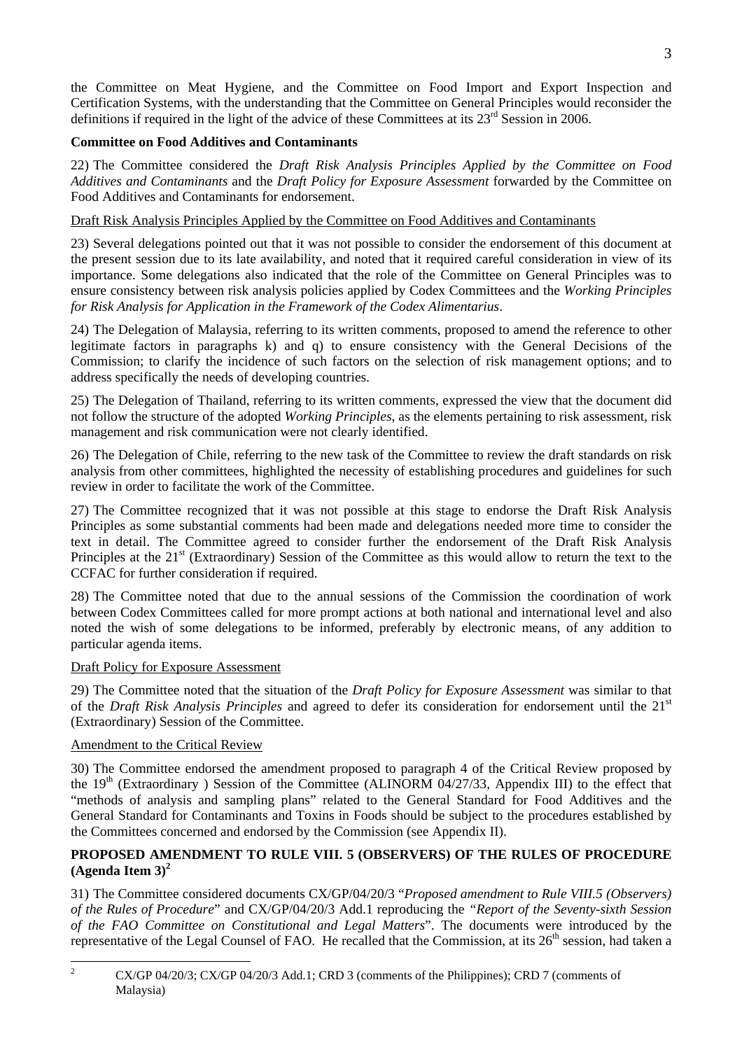the Committee on Meat Hygiene, and the Committee on Food Import and Export Inspection and Certification Systems, with the understanding that the Committee on General Principles would reconsider the definitions if required in the light of the advice of these Committees at its 23<sup>rd</sup> Session in 2006.

## **Committee on Food Additives and Contaminants**

22) The Committee considered the *Draft Risk Analysis Principles Applied by the Committee on Food Additives and Contaminants* and the *Draft Policy for Exposure Assessment* forwarded by the Committee on Food Additives and Contaminants for endorsement.

## Draft Risk Analysis Principles Applied by the Committee on Food Additives and Contaminants

23) Several delegations pointed out that it was not possible to consider the endorsement of this document at the present session due to its late availability, and noted that it required careful consideration in view of its importance. Some delegations also indicated that the role of the Committee on General Principles was to ensure consistency between risk analysis policies applied by Codex Committees and the *Working Principles for Risk Analysis for Application in the Framework of the Codex Alimentarius*.

24) The Delegation of Malaysia, referring to its written comments, proposed to amend the reference to other legitimate factors in paragraphs k) and q) to ensure consistency with the General Decisions of the Commission; to clarify the incidence of such factors on the selection of risk management options; and to address specifically the needs of developing countries.

25) The Delegation of Thailand, referring to its written comments, expressed the view that the document did not follow the structure of the adopted *Working Principles*, as the elements pertaining to risk assessment, risk management and risk communication were not clearly identified.

26) The Delegation of Chile, referring to the new task of the Committee to review the draft standards on risk analysis from other committees, highlighted the necessity of establishing procedures and guidelines for such review in order to facilitate the work of the Committee.

27) The Committee recognized that it was not possible at this stage to endorse the Draft Risk Analysis Principles as some substantial comments had been made and delegations needed more time to consider the text in detail. The Committee agreed to consider further the endorsement of the Draft Risk Analysis Principles at the 21<sup>st</sup> (Extraordinary) Session of the Committee as this would allow to return the text to the CCFAC for further consideration if required.

28) The Committee noted that due to the annual sessions of the Commission the coordination of work between Codex Committees called for more prompt actions at both national and international level and also noted the wish of some delegations to be informed, preferably by electronic means, of any addition to particular agenda items.

## Draft Policy for Exposure Assessment

29) The Committee noted that the situation of the *Draft Policy for Exposure Assessment* was similar to that of the *Draft Risk Analysis Principles* and agreed to defer its consideration for endorsement until the 21st (Extraordinary) Session of the Committee.

## Amendment to the Critical Review

30) The Committee endorsed the amendment proposed to paragraph 4 of the Critical Review proposed by the  $19<sup>th</sup>$  (Extraordinary ) Session of the Committee (ALINORM 04/27/33, Appendix III) to the effect that "methods of analysis and sampling plans" related to the General Standard for Food Additives and the General Standard for Contaminants and Toxins in Foods should be subject to the procedures established by the Committees concerned and endorsed by the Commission (see Appendix II).

## **PROPOSED AMENDMENT TO RULE VIII. 5 (OBSERVERS) OF THE RULES OF PROCEDURE (Agenda Item 3)[2](#page-6-0)**

31) The Committee considered documents CX/GP/04/20/3 "*Proposed amendment to Rule VIII.5 (Observers) of the Rules of Procedure*" and CX/GP/04/20/3 Add.1 reproducing the *"Report of the Seventy-sixth Session of the FAO Committee on Constitutional and Legal Matters*". The documents were introduced by the representative of the Legal Counsel of FAO. He recalled that the Commission, at its 26<sup>th</sup> session, had taken a

<span id="page-6-0"></span> $\frac{1}{2}$  CX/GP 04/20/3; CX/GP 04/20/3 Add.1; CRD 3 (comments of the Philippines); CRD 7 (comments of Malaysia)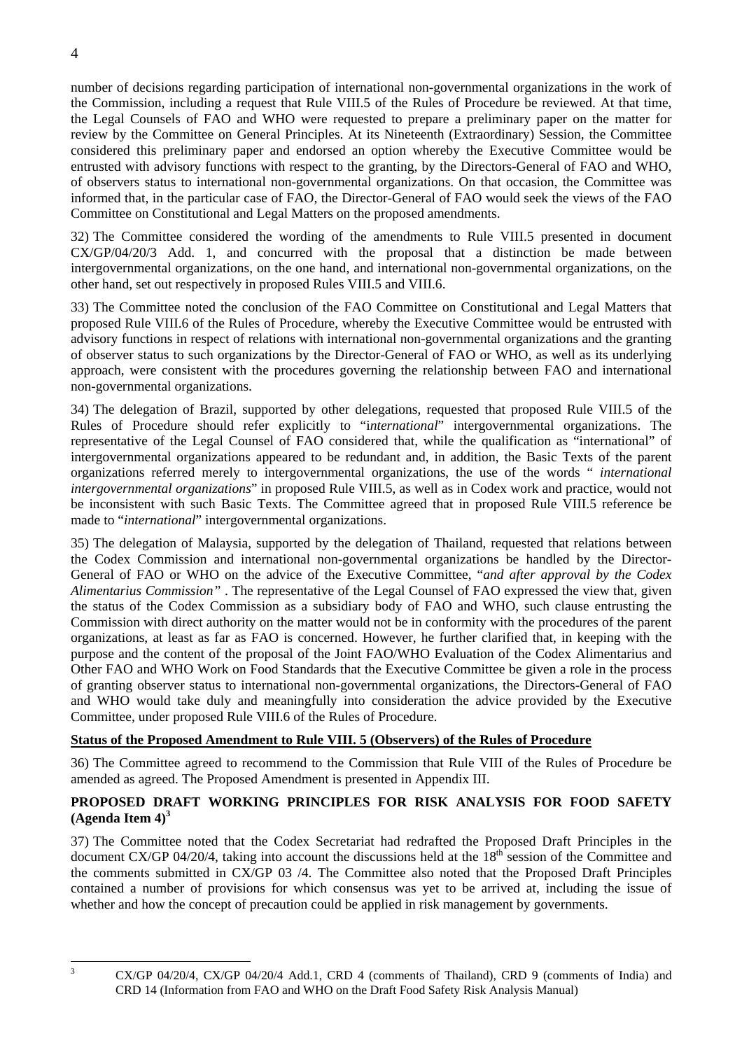number of decisions regarding participation of international non-governmental organizations in the work of the Commission, including a request that Rule VIII.5 of the Rules of Procedure be reviewed. At that time, the Legal Counsels of FAO and WHO were requested to prepare a preliminary paper on the matter for review by the Committee on General Principles. At its Nineteenth (Extraordinary) Session, the Committee considered this preliminary paper and endorsed an option whereby the Executive Committee would be entrusted with advisory functions with respect to the granting, by the Directors-General of FAO and WHO, of observers status to international non-governmental organizations. On that occasion, the Committee was informed that, in the particular case of FAO, the Director-General of FAO would seek the views of the FAO Committee on Constitutional and Legal Matters on the proposed amendments.

32) The Committee considered the wording of the amendments to Rule VIII.5 presented in document CX/GP/04/20/3 Add. 1, and concurred with the proposal that a distinction be made between intergovernmental organizations, on the one hand, and international non-governmental organizations, on the other hand, set out respectively in proposed Rules VIII.5 and VIII.6.

33) The Committee noted the conclusion of the FAO Committee on Constitutional and Legal Matters that proposed Rule VIII.6 of the Rules of Procedure, whereby the Executive Committee would be entrusted with advisory functions in respect of relations with international non-governmental organizations and the granting of observer status to such organizations by the Director-General of FAO or WHO, as well as its underlying approach, were consistent with the procedures governing the relationship between FAO and international non-governmental organizations.

34) The delegation of Brazil, supported by other delegations, requested that proposed Rule VIII.5 of the Rules of Procedure should refer explicitly to "i*nternational*" intergovernmental organizations. The representative of the Legal Counsel of FAO considered that, while the qualification as "international" of intergovernmental organizations appeared to be redundant and, in addition, the Basic Texts of the parent organizations referred merely to intergovernmental organizations, the use of the words " *international intergovernmental organizations*" in proposed Rule VIII.5, as well as in Codex work and practice, would not be inconsistent with such Basic Texts. The Committee agreed that in proposed Rule VIII.5 reference be made to "*international*" intergovernmental organizations.

35) The delegation of Malaysia, supported by the delegation of Thailand, requested that relations between the Codex Commission and international non-governmental organizations be handled by the Director-General of FAO or WHO on the advice of the Executive Committee, "*and after approval by the Codex Alimentarius Commission"* . The representative of the Legal Counsel of FAO expressed the view that, given the status of the Codex Commission as a subsidiary body of FAO and WHO, such clause entrusting the Commission with direct authority on the matter would not be in conformity with the procedures of the parent organizations, at least as far as FAO is concerned. However, he further clarified that, in keeping with the purpose and the content of the proposal of the Joint FAO/WHO Evaluation of the Codex Alimentarius and Other FAO and WHO Work on Food Standards that the Executive Committee be given a role in the process of granting observer status to international non-governmental organizations, the Directors-General of FAO and WHO would take duly and meaningfully into consideration the advice provided by the Executive Committee, under proposed Rule VIII.6 of the Rules of Procedure.

## **Status of the Proposed Amendment to Rule VIII. 5 (Observers) of the Rules of Procedure**

36) The Committee agreed to recommend to the Commission that Rule VIII of the Rules of Procedure be amended as agreed. The Proposed Amendment is presented in Appendix III.

## **PROPOSED DRAFT WORKING PRINCIPLES FOR RISK ANALYSIS FOR FOOD SAFETY (Agenda Item 4)[3](#page-7-0)**

37) The Committee noted that the Codex Secretariat had redrafted the Proposed Draft Principles in the document CX/GP 04/20/4, taking into account the discussions held at the  $18<sup>th</sup>$  session of the Committee and the comments submitted in CX/GP 03 /4. The Committee also noted that the Proposed Draft Principles contained a number of provisions for which consensus was yet to be arrived at, including the issue of whether and how the concept of precaution could be applied in risk management by governments.

<span id="page-7-0"></span> $\frac{1}{3}$ 

CX/GP 04/20/4, CX/GP 04/20/4 Add.1, CRD 4 (comments of Thailand), CRD 9 (comments of India) and CRD 14 (Information from FAO and WHO on the Draft Food Safety Risk Analysis Manual)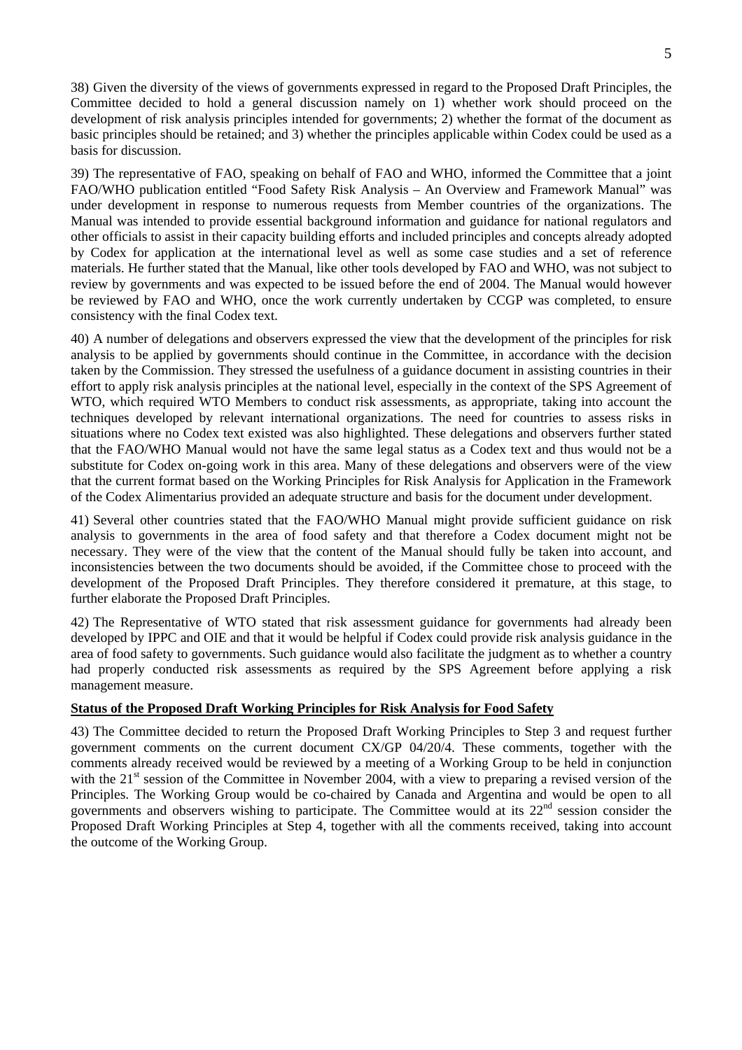38) Given the diversity of the views of governments expressed in regard to the Proposed Draft Principles, the Committee decided to hold a general discussion namely on 1) whether work should proceed on the development of risk analysis principles intended for governments; 2) whether the format of the document as basic principles should be retained; and 3) whether the principles applicable within Codex could be used as a basis for discussion.

39) The representative of FAO, speaking on behalf of FAO and WHO, informed the Committee that a joint FAO/WHO publication entitled "Food Safety Risk Analysis – An Overview and Framework Manual" was under development in response to numerous requests from Member countries of the organizations. The Manual was intended to provide essential background information and guidance for national regulators and other officials to assist in their capacity building efforts and included principles and concepts already adopted by Codex for application at the international level as well as some case studies and a set of reference materials. He further stated that the Manual, like other tools developed by FAO and WHO, was not subject to review by governments and was expected to be issued before the end of 2004. The Manual would however be reviewed by FAO and WHO, once the work currently undertaken by CCGP was completed, to ensure consistency with the final Codex text.

40) A number of delegations and observers expressed the view that the development of the principles for risk analysis to be applied by governments should continue in the Committee, in accordance with the decision taken by the Commission. They stressed the usefulness of a guidance document in assisting countries in their effort to apply risk analysis principles at the national level, especially in the context of the SPS Agreement of WTO, which required WTO Members to conduct risk assessments, as appropriate, taking into account the techniques developed by relevant international organizations. The need for countries to assess risks in situations where no Codex text existed was also highlighted. These delegations and observers further stated that the FAO/WHO Manual would not have the same legal status as a Codex text and thus would not be a substitute for Codex on-going work in this area. Many of these delegations and observers were of the view that the current format based on the Working Principles for Risk Analysis for Application in the Framework of the Codex Alimentarius provided an adequate structure and basis for the document under development.

41) Several other countries stated that the FAO/WHO Manual might provide sufficient guidance on risk analysis to governments in the area of food safety and that therefore a Codex document might not be necessary. They were of the view that the content of the Manual should fully be taken into account, and inconsistencies between the two documents should be avoided, if the Committee chose to proceed with the development of the Proposed Draft Principles. They therefore considered it premature, at this stage, to further elaborate the Proposed Draft Principles.

42) The Representative of WTO stated that risk assessment guidance for governments had already been developed by IPPC and OIE and that it would be helpful if Codex could provide risk analysis guidance in the area of food safety to governments. Such guidance would also facilitate the judgment as to whether a country had properly conducted risk assessments as required by the SPS Agreement before applying a risk management measure.

## **Status of the Proposed Draft Working Principles for Risk Analysis for Food Safety**

43) The Committee decided to return the Proposed Draft Working Principles to Step 3 and request further government comments on the current document CX/GP 04/20/4. These comments, together with the comments already received would be reviewed by a meeting of a Working Group to be held in conjunction with the 21<sup>st</sup> session of the Committee in November 2004, with a view to preparing a revised version of the Principles. The Working Group would be co-chaired by Canada and Argentina and would be open to all governments and observers wishing to participate. The Committee would at its 22<sup>nd</sup> session consider the Proposed Draft Working Principles at Step 4, together with all the comments received, taking into account the outcome of the Working Group.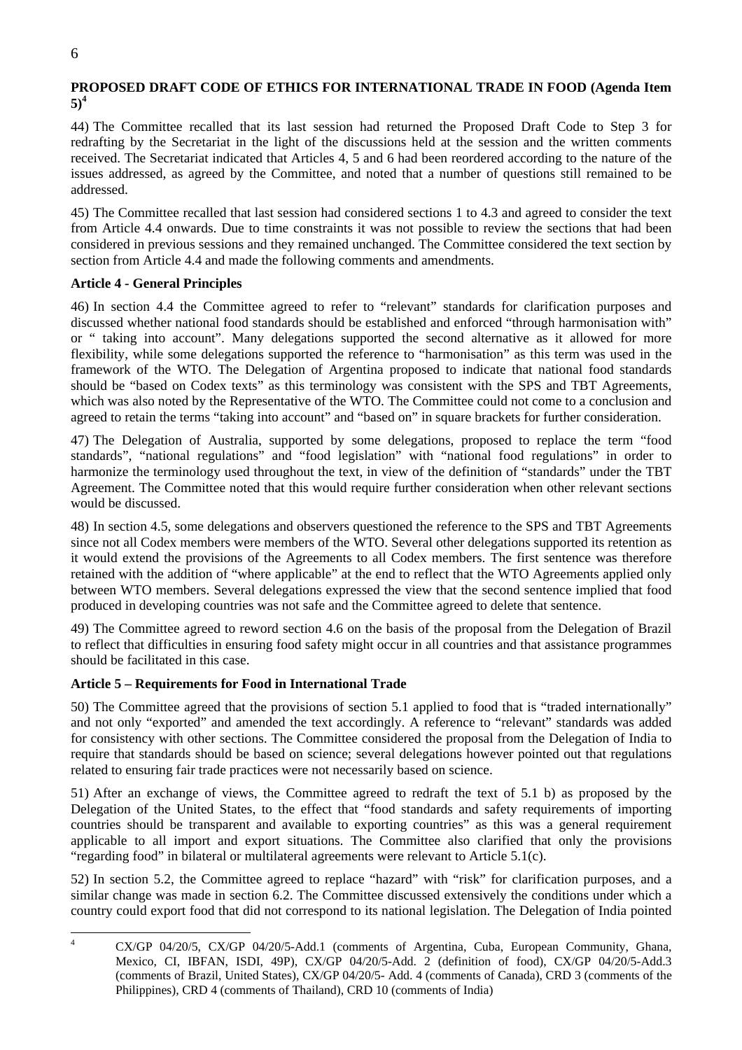## **PROPOSED DRAFT CODE OF ETHICS FOR INTERNATIONAL TRADE IN FOOD (Agenda Item 5)[4](#page-9-0)**

44) The Committee recalled that its last session had returned the Proposed Draft Code to Step 3 for redrafting by the Secretariat in the light of the discussions held at the session and the written comments received. The Secretariat indicated that Articles 4, 5 and 6 had been reordered according to the nature of the issues addressed, as agreed by the Committee, and noted that a number of questions still remained to be addressed.

45) The Committee recalled that last session had considered sections 1 to 4.3 and agreed to consider the text from Article 4.4 onwards. Due to time constraints it was not possible to review the sections that had been considered in previous sessions and they remained unchanged. The Committee considered the text section by section from Article 4.4 and made the following comments and amendments.

## **Article 4 - General Principles**

46) In section 4.4 the Committee agreed to refer to "relevant" standards for clarification purposes and discussed whether national food standards should be established and enforced "through harmonisation with" or " taking into account". Many delegations supported the second alternative as it allowed for more flexibility, while some delegations supported the reference to "harmonisation" as this term was used in the framework of the WTO. The Delegation of Argentina proposed to indicate that national food standards should be "based on Codex texts" as this terminology was consistent with the SPS and TBT Agreements, which was also noted by the Representative of the WTO. The Committee could not come to a conclusion and agreed to retain the terms "taking into account" and "based on" in square brackets for further consideration.

47) The Delegation of Australia, supported by some delegations, proposed to replace the term "food standards", "national regulations" and "food legislation" with "national food regulations" in order to harmonize the terminology used throughout the text, in view of the definition of "standards" under the TBT Agreement. The Committee noted that this would require further consideration when other relevant sections would be discussed.

48) In section 4.5, some delegations and observers questioned the reference to the SPS and TBT Agreements since not all Codex members were members of the WTO. Several other delegations supported its retention as it would extend the provisions of the Agreements to all Codex members. The first sentence was therefore retained with the addition of "where applicable" at the end to reflect that the WTO Agreements applied only between WTO members. Several delegations expressed the view that the second sentence implied that food produced in developing countries was not safe and the Committee agreed to delete that sentence.

49) The Committee agreed to reword section 4.6 on the basis of the proposal from the Delegation of Brazil to reflect that difficulties in ensuring food safety might occur in all countries and that assistance programmes should be facilitated in this case.

## **Article 5 – Requirements for Food in International Trade**

50) The Committee agreed that the provisions of section 5.1 applied to food that is "traded internationally" and not only "exported" and amended the text accordingly. A reference to "relevant" standards was added for consistency with other sections. The Committee considered the proposal from the Delegation of India to require that standards should be based on science; several delegations however pointed out that regulations related to ensuring fair trade practices were not necessarily based on science.

51) After an exchange of views, the Committee agreed to redraft the text of 5.1 b) as proposed by the Delegation of the United States, to the effect that "food standards and safety requirements of importing countries should be transparent and available to exporting countries" as this was a general requirement applicable to all import and export situations. The Committee also clarified that only the provisions "regarding food" in bilateral or multilateral agreements were relevant to Article 5.1(c).

52) In section 5.2, the Committee agreed to replace "hazard" with "risk" for clarification purposes, and a similar change was made in section 6.2. The Committee discussed extensively the conditions under which a country could export food that did not correspond to its national legislation. The Delegation of India pointed

<span id="page-9-0"></span> $\frac{1}{4}$  CX/GP 04/20/5, CX/GP 04/20/5-Add.1 (comments of Argentina, Cuba, European Community, Ghana, Mexico, CI, IBFAN, ISDI, 49P), CX/GP 04/20/5-Add. 2 (definition of food), CX/GP 04/20/5-Add.3 (comments of Brazil, United States), CX/GP 04/20/5- Add. 4 (comments of Canada), CRD 3 (comments of the Philippines), CRD 4 (comments of Thailand), CRD 10 (comments of India)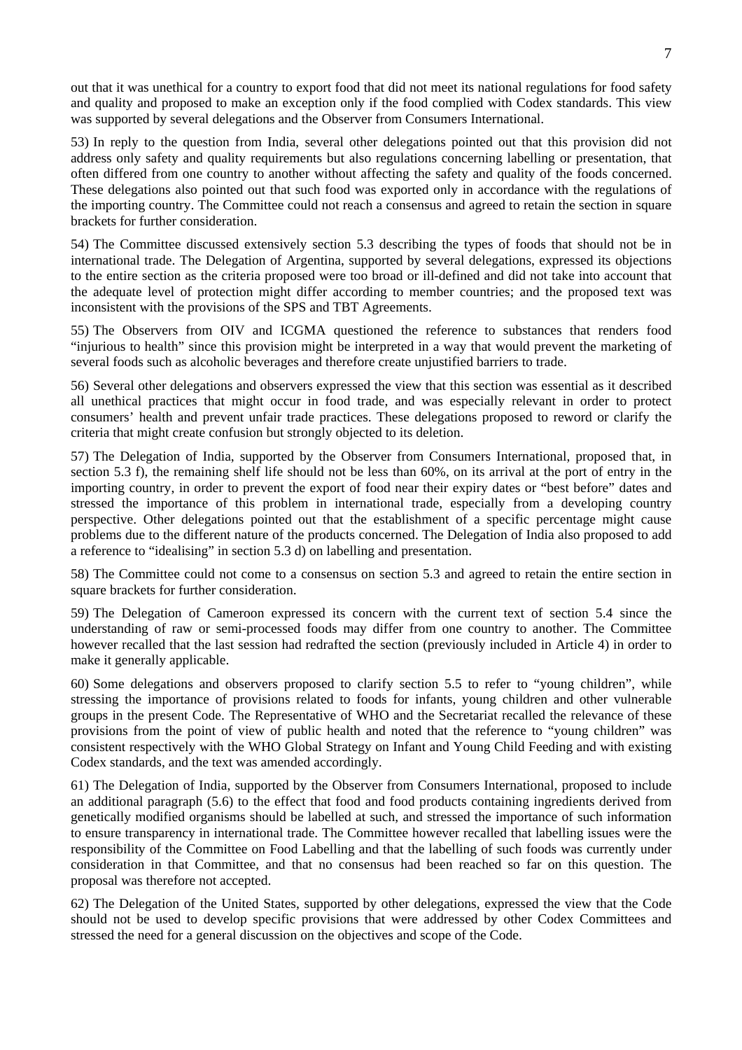out that it was unethical for a country to export food that did not meet its national regulations for food safety and quality and proposed to make an exception only if the food complied with Codex standards. This view was supported by several delegations and the Observer from Consumers International.

53) In reply to the question from India, several other delegations pointed out that this provision did not address only safety and quality requirements but also regulations concerning labelling or presentation, that often differed from one country to another without affecting the safety and quality of the foods concerned. These delegations also pointed out that such food was exported only in accordance with the regulations of the importing country. The Committee could not reach a consensus and agreed to retain the section in square brackets for further consideration.

54) The Committee discussed extensively section 5.3 describing the types of foods that should not be in international trade. The Delegation of Argentina, supported by several delegations, expressed its objections to the entire section as the criteria proposed were too broad or ill-defined and did not take into account that the adequate level of protection might differ according to member countries; and the proposed text was inconsistent with the provisions of the SPS and TBT Agreements.

55) The Observers from OIV and ICGMA questioned the reference to substances that renders food "injurious to health" since this provision might be interpreted in a way that would prevent the marketing of several foods such as alcoholic beverages and therefore create unjustified barriers to trade.

56) Several other delegations and observers expressed the view that this section was essential as it described all unethical practices that might occur in food trade, and was especially relevant in order to protect consumers' health and prevent unfair trade practices. These delegations proposed to reword or clarify the criteria that might create confusion but strongly objected to its deletion.

57) The Delegation of India, supported by the Observer from Consumers International, proposed that, in section 5.3 f), the remaining shelf life should not be less than 60%, on its arrival at the port of entry in the importing country, in order to prevent the export of food near their expiry dates or "best before" dates and stressed the importance of this problem in international trade, especially from a developing country perspective. Other delegations pointed out that the establishment of a specific percentage might cause problems due to the different nature of the products concerned. The Delegation of India also proposed to add a reference to "idealising" in section 5.3 d) on labelling and presentation.

58) The Committee could not come to a consensus on section 5.3 and agreed to retain the entire section in square brackets for further consideration.

59) The Delegation of Cameroon expressed its concern with the current text of section 5.4 since the understanding of raw or semi-processed foods may differ from one country to another. The Committee however recalled that the last session had redrafted the section (previously included in Article 4) in order to make it generally applicable.

60) Some delegations and observers proposed to clarify section 5.5 to refer to "young children", while stressing the importance of provisions related to foods for infants, young children and other vulnerable groups in the present Code. The Representative of WHO and the Secretariat recalled the relevance of these provisions from the point of view of public health and noted that the reference to "young children" was consistent respectively with the WHO Global Strategy on Infant and Young Child Feeding and with existing Codex standards, and the text was amended accordingly.

61) The Delegation of India, supported by the Observer from Consumers International, proposed to include an additional paragraph (5.6) to the effect that food and food products containing ingredients derived from genetically modified organisms should be labelled at such, and stressed the importance of such information to ensure transparency in international trade. The Committee however recalled that labelling issues were the responsibility of the Committee on Food Labelling and that the labelling of such foods was currently under consideration in that Committee, and that no consensus had been reached so far on this question. The proposal was therefore not accepted.

62) The Delegation of the United States, supported by other delegations, expressed the view that the Code should not be used to develop specific provisions that were addressed by other Codex Committees and stressed the need for a general discussion on the objectives and scope of the Code.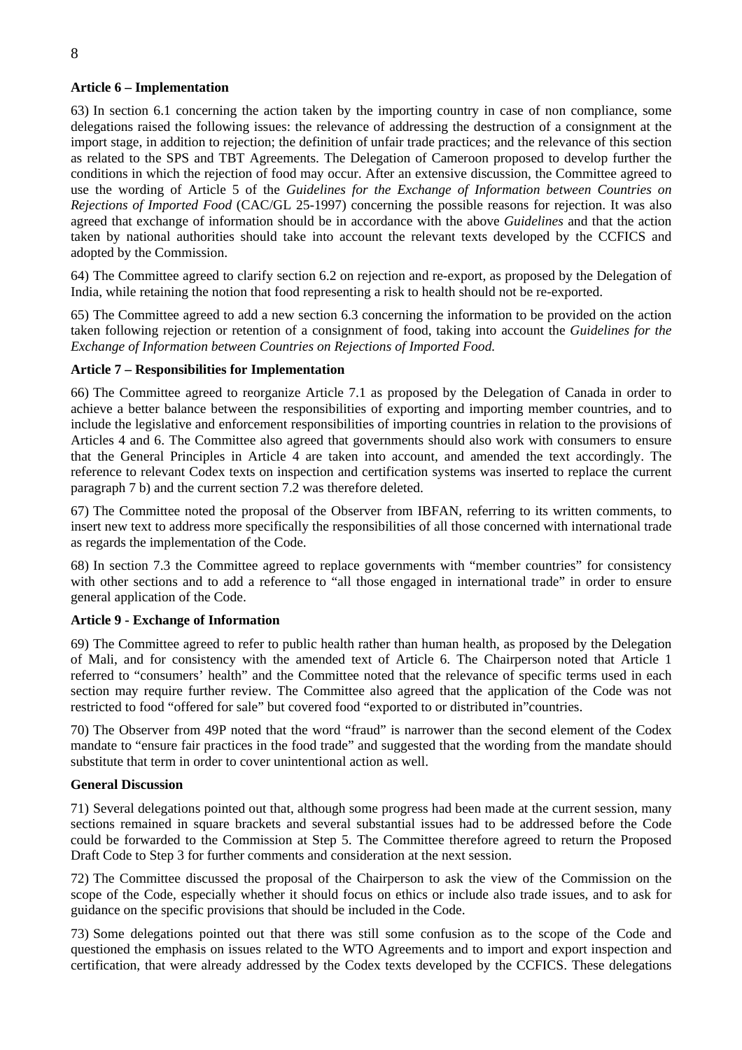## **Article 6 – Implementation**

63) In section 6.1 concerning the action taken by the importing country in case of non compliance, some delegations raised the following issues: the relevance of addressing the destruction of a consignment at the import stage, in addition to rejection; the definition of unfair trade practices; and the relevance of this section as related to the SPS and TBT Agreements. The Delegation of Cameroon proposed to develop further the conditions in which the rejection of food may occur. After an extensive discussion, the Committee agreed to use the wording of Article 5 of the *Guidelines for the Exchange of Information between Countries on Rejections of Imported Food* (CAC/GL 25-1997) concerning the possible reasons for rejection. It was also agreed that exchange of information should be in accordance with the above *Guidelines* and that the action taken by national authorities should take into account the relevant texts developed by the CCFICS and adopted by the Commission.

64) The Committee agreed to clarify section 6.2 on rejection and re-export, as proposed by the Delegation of India, while retaining the notion that food representing a risk to health should not be re-exported.

65) The Committee agreed to add a new section 6.3 concerning the information to be provided on the action taken following rejection or retention of a consignment of food, taking into account the *Guidelines for the Exchange of Information between Countries on Rejections of Imported Food.*

## **Article 7 – Responsibilities for Implementation**

66) The Committee agreed to reorganize Article 7.1 as proposed by the Delegation of Canada in order to achieve a better balance between the responsibilities of exporting and importing member countries, and to include the legislative and enforcement responsibilities of importing countries in relation to the provisions of Articles 4 and 6. The Committee also agreed that governments should also work with consumers to ensure that the General Principles in Article 4 are taken into account, and amended the text accordingly. The reference to relevant Codex texts on inspection and certification systems was inserted to replace the current paragraph 7 b) and the current section 7.2 was therefore deleted.

67) The Committee noted the proposal of the Observer from IBFAN, referring to its written comments, to insert new text to address more specifically the responsibilities of all those concerned with international trade as regards the implementation of the Code.

68) In section 7.3 the Committee agreed to replace governments with "member countries" for consistency with other sections and to add a reference to "all those engaged in international trade" in order to ensure general application of the Code.

## **Article 9 - Exchange of Information**

69) The Committee agreed to refer to public health rather than human health, as proposed by the Delegation of Mali, and for consistency with the amended text of Article 6. The Chairperson noted that Article 1 referred to "consumers' health" and the Committee noted that the relevance of specific terms used in each section may require further review. The Committee also agreed that the application of the Code was not restricted to food "offered for sale" but covered food "exported to or distributed in"countries.

70) The Observer from 49P noted that the word "fraud" is narrower than the second element of the Codex mandate to "ensure fair practices in the food trade" and suggested that the wording from the mandate should substitute that term in order to cover unintentional action as well.

## **General Discussion**

71) Several delegations pointed out that, although some progress had been made at the current session, many sections remained in square brackets and several substantial issues had to be addressed before the Code could be forwarded to the Commission at Step 5. The Committee therefore agreed to return the Proposed Draft Code to Step 3 for further comments and consideration at the next session.

72) The Committee discussed the proposal of the Chairperson to ask the view of the Commission on the scope of the Code, especially whether it should focus on ethics or include also trade issues, and to ask for guidance on the specific provisions that should be included in the Code.

73) Some delegations pointed out that there was still some confusion as to the scope of the Code and questioned the emphasis on issues related to the WTO Agreements and to import and export inspection and certification, that were already addressed by the Codex texts developed by the CCFICS. These delegations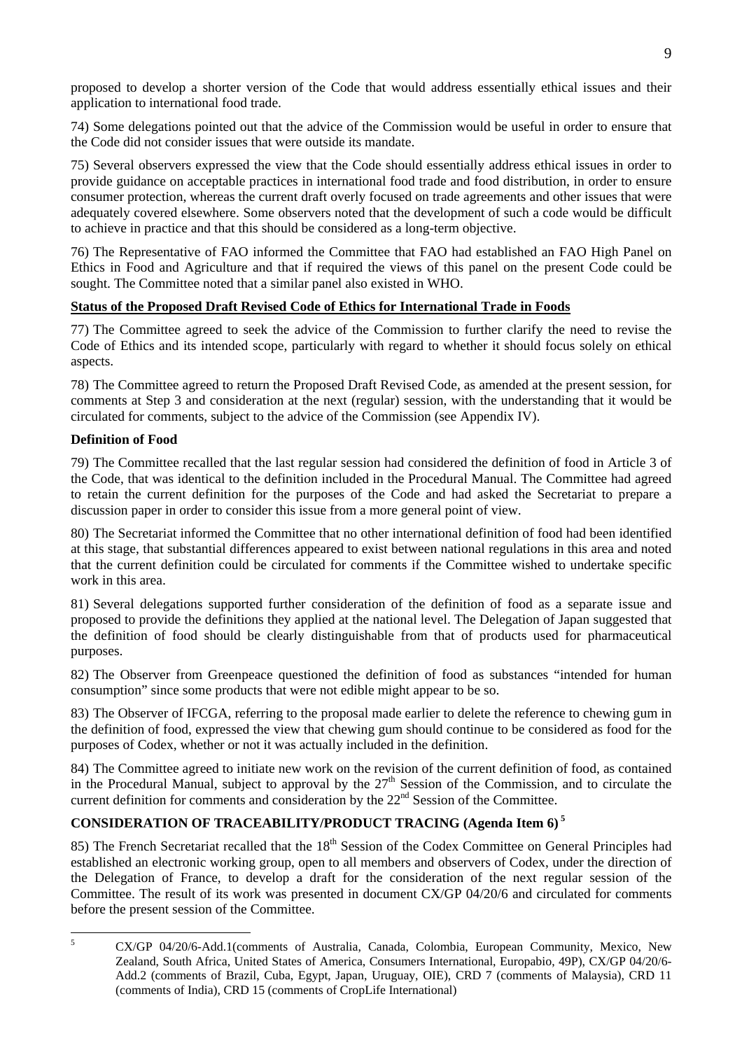proposed to develop a shorter version of the Code that would address essentially ethical issues and their application to international food trade.

74) Some delegations pointed out that the advice of the Commission would be useful in order to ensure that the Code did not consider issues that were outside its mandate.

75) Several observers expressed the view that the Code should essentially address ethical issues in order to provide guidance on acceptable practices in international food trade and food distribution, in order to ensure consumer protection, whereas the current draft overly focused on trade agreements and other issues that were adequately covered elsewhere. Some observers noted that the development of such a code would be difficult to achieve in practice and that this should be considered as a long-term objective.

76) The Representative of FAO informed the Committee that FAO had established an FAO High Panel on Ethics in Food and Agriculture and that if required the views of this panel on the present Code could be sought. The Committee noted that a similar panel also existed in WHO.

## **Status of the Proposed Draft Revised Code of Ethics for International Trade in Foods**

77) The Committee agreed to seek the advice of the Commission to further clarify the need to revise the Code of Ethics and its intended scope, particularly with regard to whether it should focus solely on ethical aspects.

78) The Committee agreed to return the Proposed Draft Revised Code, as amended at the present session, for comments at Step 3 and consideration at the next (regular) session, with the understanding that it would be circulated for comments, subject to the advice of the Commission (see Appendix IV).

## **Definition of Food**

79) The Committee recalled that the last regular session had considered the definition of food in Article 3 of the Code, that was identical to the definition included in the Procedural Manual. The Committee had agreed to retain the current definition for the purposes of the Code and had asked the Secretariat to prepare a discussion paper in order to consider this issue from a more general point of view.

80) The Secretariat informed the Committee that no other international definition of food had been identified at this stage, that substantial differences appeared to exist between national regulations in this area and noted that the current definition could be circulated for comments if the Committee wished to undertake specific work in this area.

81) Several delegations supported further consideration of the definition of food as a separate issue and proposed to provide the definitions they applied at the national level. The Delegation of Japan suggested that the definition of food should be clearly distinguishable from that of products used for pharmaceutical purposes.

82) The Observer from Greenpeace questioned the definition of food as substances "intended for human consumption" since some products that were not edible might appear to be so.

83) The Observer of IFCGA, referring to the proposal made earlier to delete the reference to chewing gum in the definition of food, expressed the view that chewing gum should continue to be considered as food for the purposes of Codex, whether or not it was actually included in the definition.

84) The Committee agreed to initiate new work on the revision of the current definition of food, as contained in the Procedural Manual, subject to approval by the  $27<sup>th</sup>$  Session of the Commission, and to circulate the current definition for comments and consideration by the  $22<sup>nd</sup>$  Session of the Committee.

## **CONSIDERATION OF TRACEABILITY/PRODUCT TRACING (Agenda Item 6) [5](#page-12-0)**

85) The French Secretariat recalled that the 18<sup>th</sup> Session of the Codex Committee on General Principles had established an electronic working group, open to all members and observers of Codex, under the direction of the Delegation of France, to develop a draft for the consideration of the next regular session of the Committee. The result of its work was presented in document CX/GP 04/20/6 and circulated for comments before the present session of the Committee.

<span id="page-12-0"></span> 5 CX/GP 04/20/6-Add.1(comments of Australia, Canada, Colombia, European Community, Mexico, New Zealand, South Africa, United States of America, Consumers International, Europabio, 49P), CX/GP 04/20/6- Add.2 (comments of Brazil, Cuba, Egypt, Japan, Uruguay, OIE), CRD 7 (comments of Malaysia), CRD 11 (comments of India), CRD 15 (comments of CropLife International)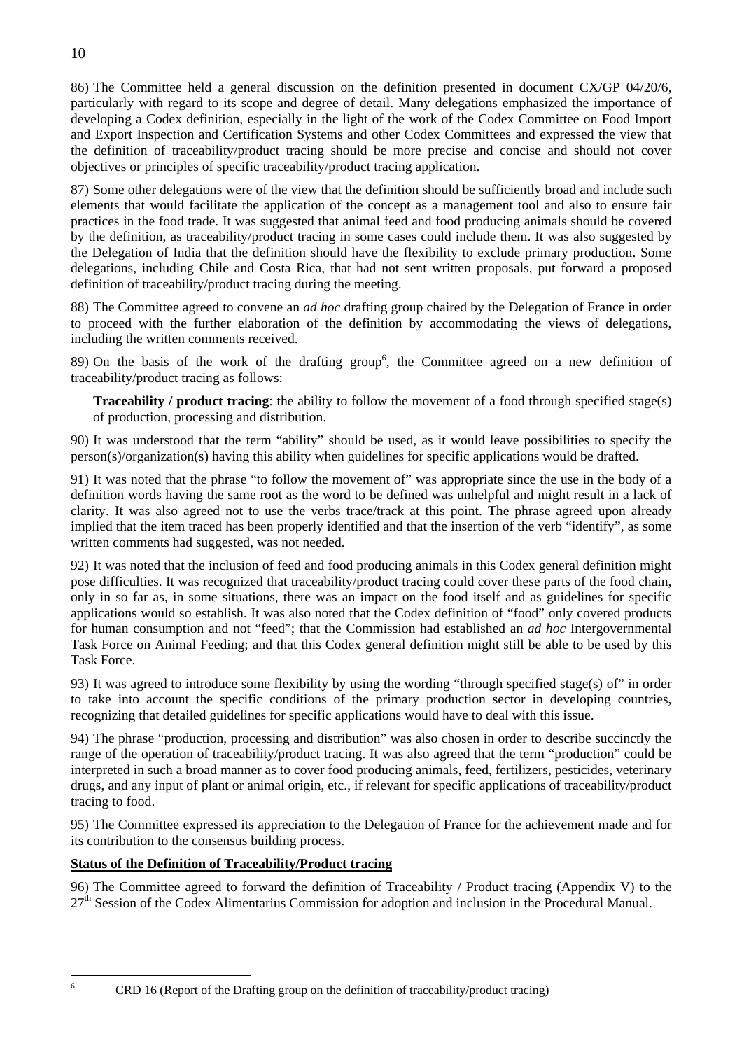86) The Committee held a general discussion on the definition presented in document CX/GP 04/20/6, particularly with regard to its scope and degree of detail. Many delegations emphasized the importance of developing a Codex definition, especially in the light of the work of the Codex Committee on Food Import and Export Inspection and Certification Systems and other Codex Committees and expressed the view that the definition of traceability/product tracing should be more precise and concise and should not cover objectives or principles of specific traceability/product tracing application.

87) Some other delegations were of the view that the definition should be sufficiently broad and include such elements that would facilitate the application of the concept as a management tool and also to ensure fair practices in the food trade. It was suggested that animal feed and food producing animals should be covered by the definition, as traceability/product tracing in some cases could include them. It was also suggested by the Delegation of India that the definition should have the flexibility to exclude primary production. Some delegations, including Chile and Costa Rica, that had not sent written proposals, put forward a proposed definition of traceability/product tracing during the meeting.

88) The Committee agreed to convene an *ad hoc* drafting group chaired by the Delegation of France in order to proceed with the further elaboration of the definition by accommodating the views of delegations, including the written comments received.

89) On the basis of the work of the drafting group<sup>[6](#page-13-0)</sup>, the Committee agreed on a new definition of traceability/product tracing as follows:

**Traceability / product tracing**: the ability to follow the movement of a food through specified stage(s) of production, processing and distribution.

90) It was understood that the term "ability" should be used, as it would leave possibilities to specify the person(s)/organization(s) having this ability when guidelines for specific applications would be drafted.

91) It was noted that the phrase "to follow the movement of" was appropriate since the use in the body of a definition words having the same root as the word to be defined was unhelpful and might result in a lack of clarity. It was also agreed not to use the verbs trace/track at this point. The phrase agreed upon already implied that the item traced has been properly identified and that the insertion of the verb "identify", as some written comments had suggested, was not needed.

92) It was noted that the inclusion of feed and food producing animals in this Codex general definition might pose difficulties. It was recognized that traceability/product tracing could cover these parts of the food chain, only in so far as, in some situations, there was an impact on the food itself and as guidelines for specific applications would so establish. It was also noted that the Codex definition of "food" only covered products for human consumption and not "feed"; that the Commission had established an *ad hoc* Intergovernmental Task Force on Animal Feeding; and that this Codex general definition might still be able to be used by this Task Force.

93) It was agreed to introduce some flexibility by using the wording "through specified stage(s) of" in order to take into account the specific conditions of the primary production sector in developing countries, recognizing that detailed guidelines for specific applications would have to deal with this issue.

94) The phrase "production, processing and distribution" was also chosen in order to describe succinctly the range of the operation of traceability/product tracing. It was also agreed that the term "production" could be interpreted in such a broad manner as to cover food producing animals, feed, fertilizers, pesticides, veterinary drugs, and any input of plant or animal origin, etc., if relevant for specific applications of traceability/product tracing to food.

95) The Committee expressed its appreciation to the Delegation of France for the achievement made and for its contribution to the consensus building process.

## **Status of the Definition of Traceability/Product tracing**

96) The Committee agreed to forward the definition of Traceability / Product tracing (Appendix V) to the 27<sup>th</sup> Session of the Codex Alimentarius Commission for adoption and inclusion in the Procedural Manual.

<span id="page-13-0"></span>CRD 16 (Report of the Drafting group on the definition of traceability/product tracing)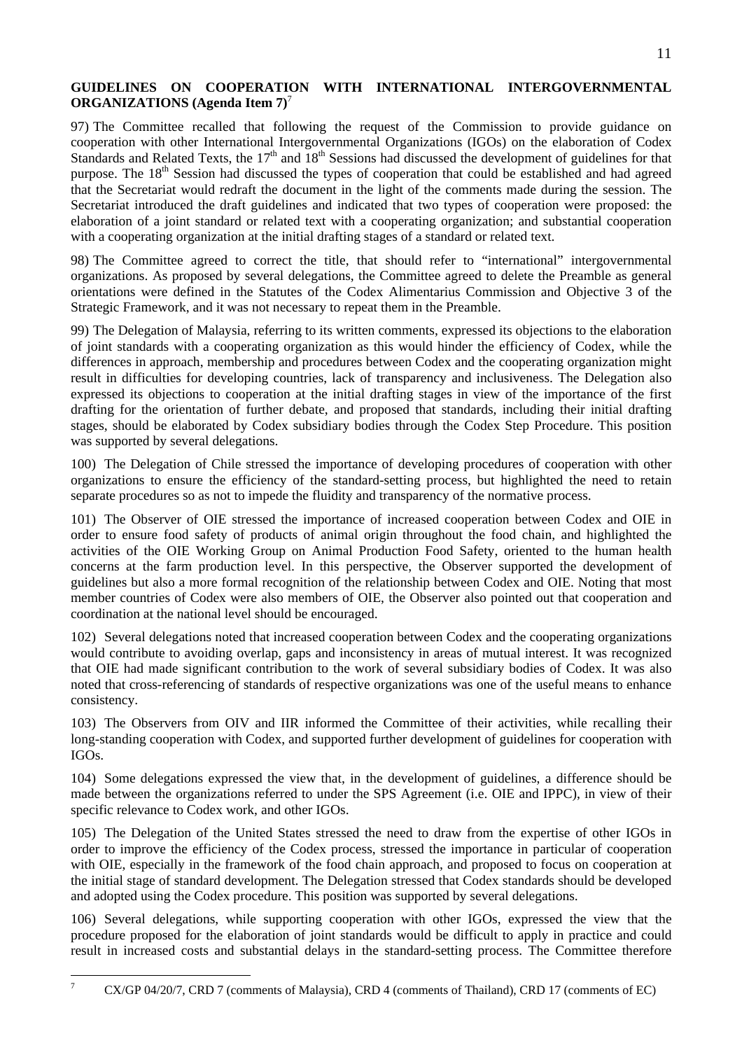## **GUIDELINES ON COOPERATION WITH INTERNATIONAL INTERGOVERNMENTAL ORGANIZATIONS (Agenda Item 7)**[7](#page-14-0)

97) The Committee recalled that following the request of the Commission to provide guidance on cooperation with other International Intergovernmental Organizations (IGOs) on the elaboration of Codex Standards and Related Texts, the  $17<sup>th</sup>$  and  $18<sup>th</sup>$  Sessions had discussed the development of guidelines for that purpose. The 18<sup>th</sup> Session had discussed the types of cooperation that could be established and had agreed that the Secretariat would redraft the document in the light of the comments made during the session. The Secretariat introduced the draft guidelines and indicated that two types of cooperation were proposed: the elaboration of a joint standard or related text with a cooperating organization; and substantial cooperation with a cooperating organization at the initial drafting stages of a standard or related text.

98) The Committee agreed to correct the title, that should refer to "international" intergovernmental organizations. As proposed by several delegations, the Committee agreed to delete the Preamble as general orientations were defined in the Statutes of the Codex Alimentarius Commission and Objective 3 of the Strategic Framework, and it was not necessary to repeat them in the Preamble.

99) The Delegation of Malaysia, referring to its written comments, expressed its objections to the elaboration of joint standards with a cooperating organization as this would hinder the efficiency of Codex, while the differences in approach, membership and procedures between Codex and the cooperating organization might result in difficulties for developing countries, lack of transparency and inclusiveness. The Delegation also expressed its objections to cooperation at the initial drafting stages in view of the importance of the first drafting for the orientation of further debate, and proposed that standards, including their initial drafting stages, should be elaborated by Codex subsidiary bodies through the Codex Step Procedure. This position was supported by several delegations.

100) The Delegation of Chile stressed the importance of developing procedures of cooperation with other organizations to ensure the efficiency of the standard-setting process, but highlighted the need to retain separate procedures so as not to impede the fluidity and transparency of the normative process.

101) The Observer of OIE stressed the importance of increased cooperation between Codex and OIE in order to ensure food safety of products of animal origin throughout the food chain, and highlighted the activities of the OIE Working Group on Animal Production Food Safety, oriented to the human health concerns at the farm production level. In this perspective, the Observer supported the development of guidelines but also a more formal recognition of the relationship between Codex and OIE. Noting that most member countries of Codex were also members of OIE, the Observer also pointed out that cooperation and coordination at the national level should be encouraged.

102) Several delegations noted that increased cooperation between Codex and the cooperating organizations would contribute to avoiding overlap, gaps and inconsistency in areas of mutual interest. It was recognized that OIE had made significant contribution to the work of several subsidiary bodies of Codex. It was also noted that cross-referencing of standards of respective organizations was one of the useful means to enhance consistency.

103) The Observers from OIV and IIR informed the Committee of their activities, while recalling their long-standing cooperation with Codex, and supported further development of guidelines for cooperation with IGOs.

104) Some delegations expressed the view that, in the development of guidelines, a difference should be made between the organizations referred to under the SPS Agreement (i.e. OIE and IPPC), in view of their specific relevance to Codex work, and other IGOs.

105) The Delegation of the United States stressed the need to draw from the expertise of other IGOs in order to improve the efficiency of the Codex process, stressed the importance in particular of cooperation with OIE, especially in the framework of the food chain approach, and proposed to focus on cooperation at the initial stage of standard development. The Delegation stressed that Codex standards should be developed and adopted using the Codex procedure. This position was supported by several delegations.

106) Several delegations, while supporting cooperation with other IGOs, expressed the view that the procedure proposed for the elaboration of joint standards would be difficult to apply in practice and could result in increased costs and substantial delays in the standard-setting process. The Committee therefore

<span id="page-14-0"></span><sup>-&</sup>lt;br>7 CX/GP 04/20/7, CRD 7 (comments of Malaysia), CRD 4 (comments of Thailand), CRD 17 (comments of EC)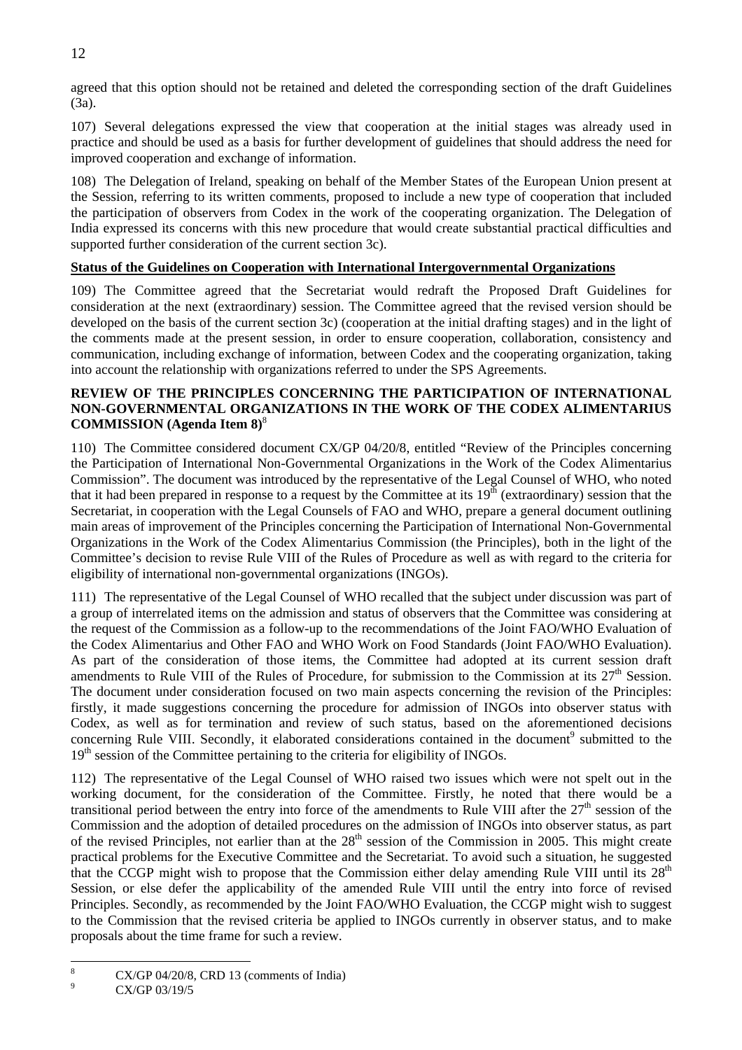agreed that this option should not be retained and deleted the corresponding section of the draft Guidelines (3a).

107) Several delegations expressed the view that cooperation at the initial stages was already used in practice and should be used as a basis for further development of guidelines that should address the need for improved cooperation and exchange of information.

108) The Delegation of Ireland, speaking on behalf of the Member States of the European Union present at the Session, referring to its written comments, proposed to include a new type of cooperation that included the participation of observers from Codex in the work of the cooperating organization. The Delegation of India expressed its concerns with this new procedure that would create substantial practical difficulties and supported further consideration of the current section 3c).

## **Status of the Guidelines on Cooperation with International Intergovernmental Organizations**

109) The Committee agreed that the Secretariat would redraft the Proposed Draft Guidelines for consideration at the next (extraordinary) session. The Committee agreed that the revised version should be developed on the basis of the current section 3c) (cooperation at the initial drafting stages) and in the light of the comments made at the present session, in order to ensure cooperation, collaboration, consistency and communication, including exchange of information, between Codex and the cooperating organization, taking into account the relationship with organizations referred to under the SPS Agreements.

## **REVIEW OF THE PRINCIPLES CONCERNING THE PARTICIPATION OF INTERNATIONAL NON-GOVERNMENTAL ORGANIZATIONS IN THE WORK OF THE CODEX ALIMENTARIUS COMMISSION (Agenda Item 8)**[8](#page-15-0)

110) The Committee considered document CX/GP 04/20/8, entitled "Review of the Principles concerning the Participation of International Non-Governmental Organizations in the Work of the Codex Alimentarius Commission". The document was introduced by the representative of the Legal Counsel of WHO, who noted that it had been prepared in response to a request by the Committee at its  $19<sup>th</sup>$  (extraordinary) session that the Secretariat, in cooperation with the Legal Counsels of FAO and WHO, prepare a general document outlining main areas of improvement of the Principles concerning the Participation of International Non-Governmental Organizations in the Work of the Codex Alimentarius Commission (the Principles), both in the light of the Committee's decision to revise Rule VIII of the Rules of Procedure as well as with regard to the criteria for eligibility of international non-governmental organizations (INGOs).

111) The representative of the Legal Counsel of WHO recalled that the subject under discussion was part of a group of interrelated items on the admission and status of observers that the Committee was considering at the request of the Commission as a follow-up to the recommendations of the Joint FAO/WHO Evaluation of the Codex Alimentarius and Other FAO and WHO Work on Food Standards (Joint FAO/WHO Evaluation). As part of the consideration of those items, the Committee had adopted at its current session draft amendments to Rule VIII of the Rules of Procedure, for submission to the Commission at its  $27<sup>th</sup>$  Session. The document under consideration focused on two main aspects concerning the revision of the Principles: firstly, it made suggestions concerning the procedure for admission of INGOs into observer status with Codex, as well as for termination and review of such status, based on the aforementioned decisions concerningRule VIII. Secondly, it elaborated considerations contained in the document<sup>9</sup> submitted to the  $19<sup>th</sup>$  session of the Committee pertaining to the criteria for eligibility of INGOs.

112) The representative of the Legal Counsel of WHO raised two issues which were not spelt out in the working document, for the consideration of the Committee. Firstly, he noted that there would be a transitional period between the entry into force of the amendments to Rule VIII after the  $27<sup>th</sup>$  session of the Commission and the adoption of detailed procedures on the admission of INGOs into observer status, as part of the revised Principles, not earlier than at the  $28<sup>th</sup>$  session of the Commission in 2005. This might create practical problems for the Executive Committee and the Secretariat. To avoid such a situation, he suggested that the CCGP might wish to propose that the Commission either delay amending Rule VIII until its  $28<sup>th</sup>$ Session, or else defer the applicability of the amended Rule VIII until the entry into force of revised Principles. Secondly, as recommended by the Joint FAO/WHO Evaluation, the CCGP might wish to suggest to the Commission that the revised criteria be applied to INGOs currently in observer status, and to make proposals about the time frame for such a review.

<span id="page-15-0"></span> 8 CX/GP 04/20/8, CRD 13 (comments of India)

<span id="page-15-1"></span><sup>9</sup> CX/GP 03/19/5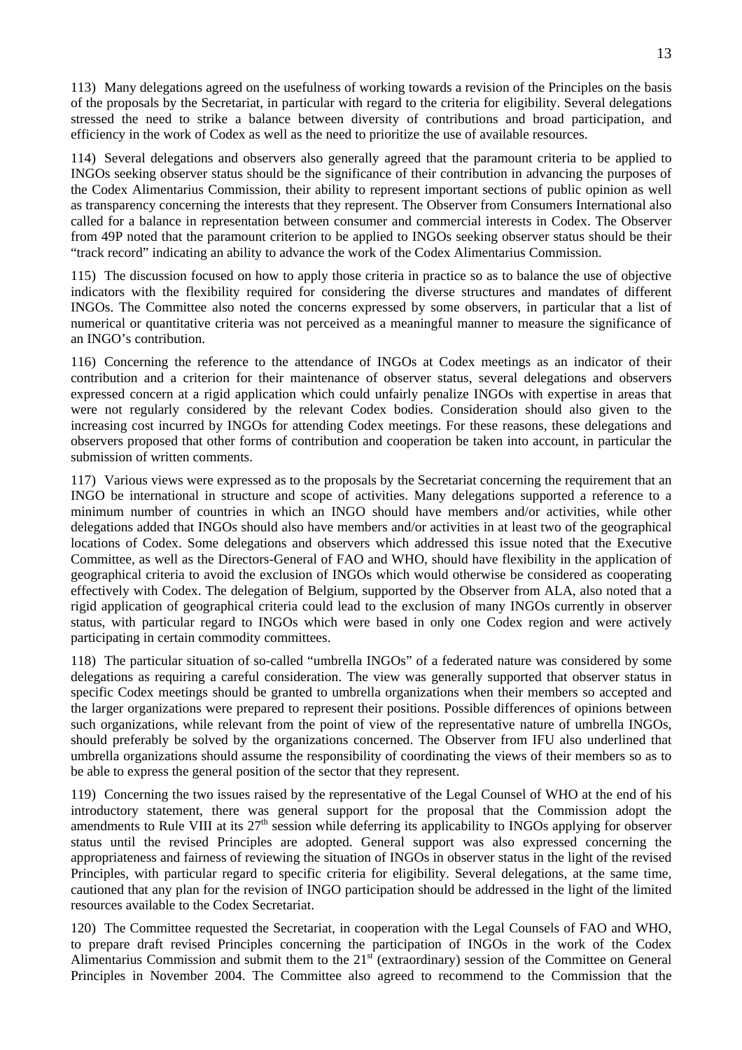113) Many delegations agreed on the usefulness of working towards a revision of the Principles on the basis of the proposals by the Secretariat, in particular with regard to the criteria for eligibility. Several delegations stressed the need to strike a balance between diversity of contributions and broad participation, and efficiency in the work of Codex as well as the need to prioritize the use of available resources.

114) Several delegations and observers also generally agreed that the paramount criteria to be applied to INGOs seeking observer status should be the significance of their contribution in advancing the purposes of the Codex Alimentarius Commission, their ability to represent important sections of public opinion as well as transparency concerning the interests that they represent. The Observer from Consumers International also called for a balance in representation between consumer and commercial interests in Codex. The Observer from 49P noted that the paramount criterion to be applied to INGOs seeking observer status should be their "track record" indicating an ability to advance the work of the Codex Alimentarius Commission.

115) The discussion focused on how to apply those criteria in practice so as to balance the use of objective indicators with the flexibility required for considering the diverse structures and mandates of different INGOs. The Committee also noted the concerns expressed by some observers, in particular that a list of numerical or quantitative criteria was not perceived as a meaningful manner to measure the significance of an INGO's contribution.

116) Concerning the reference to the attendance of INGOs at Codex meetings as an indicator of their contribution and a criterion for their maintenance of observer status, several delegations and observers expressed concern at a rigid application which could unfairly penalize INGOs with expertise in areas that were not regularly considered by the relevant Codex bodies. Consideration should also given to the increasing cost incurred by INGOs for attending Codex meetings. For these reasons, these delegations and observers proposed that other forms of contribution and cooperation be taken into account, in particular the submission of written comments.

117) Various views were expressed as to the proposals by the Secretariat concerning the requirement that an INGO be international in structure and scope of activities. Many delegations supported a reference to a minimum number of countries in which an INGO should have members and/or activities, while other delegations added that INGOs should also have members and/or activities in at least two of the geographical locations of Codex. Some delegations and observers which addressed this issue noted that the Executive Committee, as well as the Directors-General of FAO and WHO, should have flexibility in the application of geographical criteria to avoid the exclusion of INGOs which would otherwise be considered as cooperating effectively with Codex. The delegation of Belgium, supported by the Observer from ALA, also noted that a rigid application of geographical criteria could lead to the exclusion of many INGOs currently in observer status, with particular regard to INGOs which were based in only one Codex region and were actively participating in certain commodity committees.

118) The particular situation of so-called "umbrella INGOs" of a federated nature was considered by some delegations as requiring a careful consideration. The view was generally supported that observer status in specific Codex meetings should be granted to umbrella organizations when their members so accepted and the larger organizations were prepared to represent their positions. Possible differences of opinions between such organizations, while relevant from the point of view of the representative nature of umbrella INGOs, should preferably be solved by the organizations concerned. The Observer from IFU also underlined that umbrella organizations should assume the responsibility of coordinating the views of their members so as to be able to express the general position of the sector that they represent.

119) Concerning the two issues raised by the representative of the Legal Counsel of WHO at the end of his introductory statement, there was general support for the proposal that the Commission adopt the amendments to Rule VIII at its 27<sup>th</sup> session while deferring its applicability to INGOs applying for observer status until the revised Principles are adopted. General support was also expressed concerning the appropriateness and fairness of reviewing the situation of INGOs in observer status in the light of the revised Principles, with particular regard to specific criteria for eligibility. Several delegations, at the same time, cautioned that any plan for the revision of INGO participation should be addressed in the light of the limited resources available to the Codex Secretariat.

120) The Committee requested the Secretariat, in cooperation with the Legal Counsels of FAO and WHO, to prepare draft revised Principles concerning the participation of INGOs in the work of the Codex Alimentarius Commission and submit them to the 21st (extraordinary) session of the Committee on General Principles in November 2004. The Committee also agreed to recommend to the Commission that the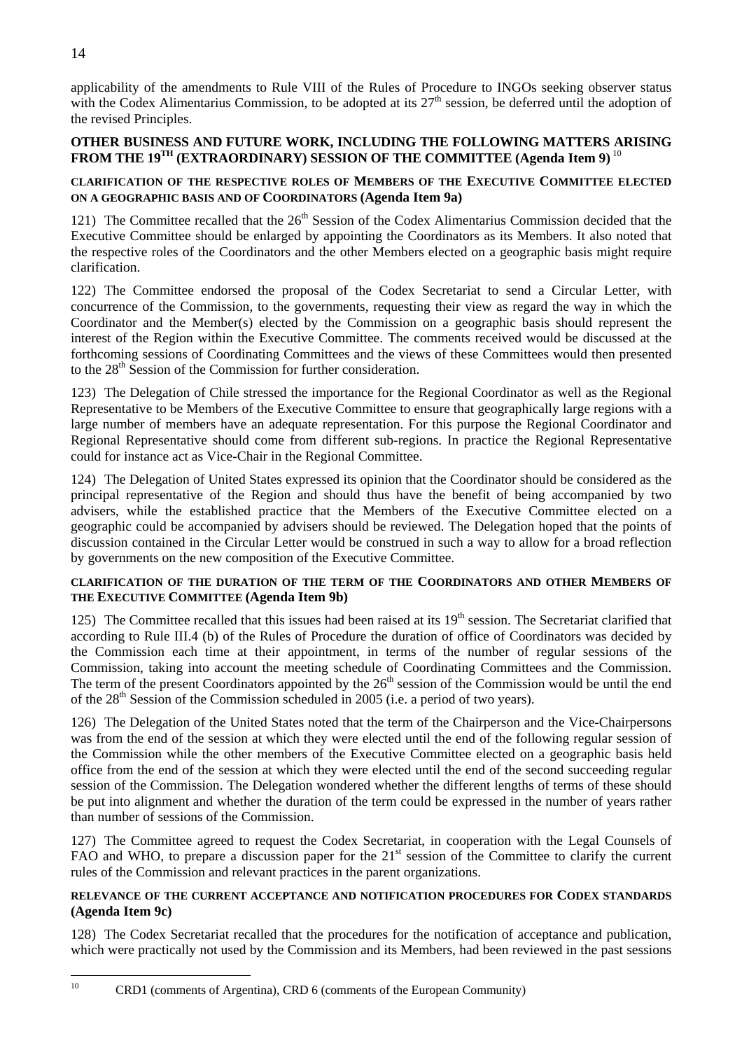$10$ 

applicability of the amendments to Rule VIII of the Rules of Procedure to INGOs seeking observer status with the Codex Alimentarius Commission, to be adopted at its  $27<sup>th</sup>$  session, be deferred until the adoption of the revised Principles.

## **OTHER BUSINESS AND FUTURE WORK, INCLUDING THE FOLLOWING MATTERS ARISING**  FROM THE 19<sup>TH</sup> (EXTRAORDINARY) SESSION OF THE COMMITTEE (Agenda Item 9)<sup>[10](#page-17-0)</sup>

## **CLARIFICATION OF THE RESPECTIVE ROLES OF MEMBERS OF THE EXECUTIVE COMMITTEE ELECTED ON A GEOGRAPHIC BASIS AND OF COORDINATORS (Agenda Item 9a)**

121) The Committee recalled that the 26<sup>th</sup> Session of the Codex Alimentarius Commission decided that the Executive Committee should be enlarged by appointing the Coordinators as its Members. It also noted that the respective roles of the Coordinators and the other Members elected on a geographic basis might require clarification.

122) The Committee endorsed the proposal of the Codex Secretariat to send a Circular Letter, with concurrence of the Commission, to the governments, requesting their view as regard the way in which the Coordinator and the Member(s) elected by the Commission on a geographic basis should represent the interest of the Region within the Executive Committee. The comments received would be discussed at the forthcoming sessions of Coordinating Committees and the views of these Committees would then presented to the 28<sup>th</sup> Session of the Commission for further consideration.

123) The Delegation of Chile stressed the importance for the Regional Coordinator as well as the Regional Representative to be Members of the Executive Committee to ensure that geographically large regions with a large number of members have an adequate representation. For this purpose the Regional Coordinator and Regional Representative should come from different sub-regions. In practice the Regional Representative could for instance act as Vice-Chair in the Regional Committee.

124) The Delegation of United States expressed its opinion that the Coordinator should be considered as the principal representative of the Region and should thus have the benefit of being accompanied by two advisers, while the established practice that the Members of the Executive Committee elected on a geographic could be accompanied by advisers should be reviewed. The Delegation hoped that the points of discussion contained in the Circular Letter would be construed in such a way to allow for a broad reflection by governments on the new composition of the Executive Committee.

## **CLARIFICATION OF THE DURATION OF THE TERM OF THE COORDINATORS AND OTHER MEMBERS OF THE EXECUTIVE COMMITTEE (Agenda Item 9b)**

125) The Committee recalled that this issues had been raised at its  $19<sup>th</sup>$  session. The Secretariat clarified that according to Rule III.4 (b) of the Rules of Procedure the duration of office of Coordinators was decided by the Commission each time at their appointment, in terms of the number of regular sessions of the Commission, taking into account the meeting schedule of Coordinating Committees and the Commission. The term of the present Coordinators appointed by the  $26<sup>th</sup>$  session of the Commission would be until the end of the  $28<sup>th</sup>$  Session of the Commission scheduled in 2005 (i.e. a period of two years).

126) The Delegation of the United States noted that the term of the Chairperson and the Vice-Chairpersons was from the end of the session at which they were elected until the end of the following regular session of the Commission while the other members of the Executive Committee elected on a geographic basis held office from the end of the session at which they were elected until the end of the second succeeding regular session of the Commission. The Delegation wondered whether the different lengths of terms of these should be put into alignment and whether the duration of the term could be expressed in the number of years rather than number of sessions of the Commission.

127) The Committee agreed to request the Codex Secretariat, in cooperation with the Legal Counsels of FAO and WHO, to prepare a discussion paper for the 21<sup>st</sup> session of the Committee to clarify the current rules of the Commission and relevant practices in the parent organizations.

## **RELEVANCE OF THE CURRENT ACCEPTANCE AND NOTIFICATION PROCEDURES FOR CODEX STANDARDS (Agenda Item 9c)**

128) The Codex Secretariat recalled that the procedures for the notification of acceptance and publication, which were practically not used by the Commission and its Members, had been reviewed in the past sessions

<span id="page-17-0"></span>10 CRD1 (comments of Argentina), CRD 6 (comments of the European Community)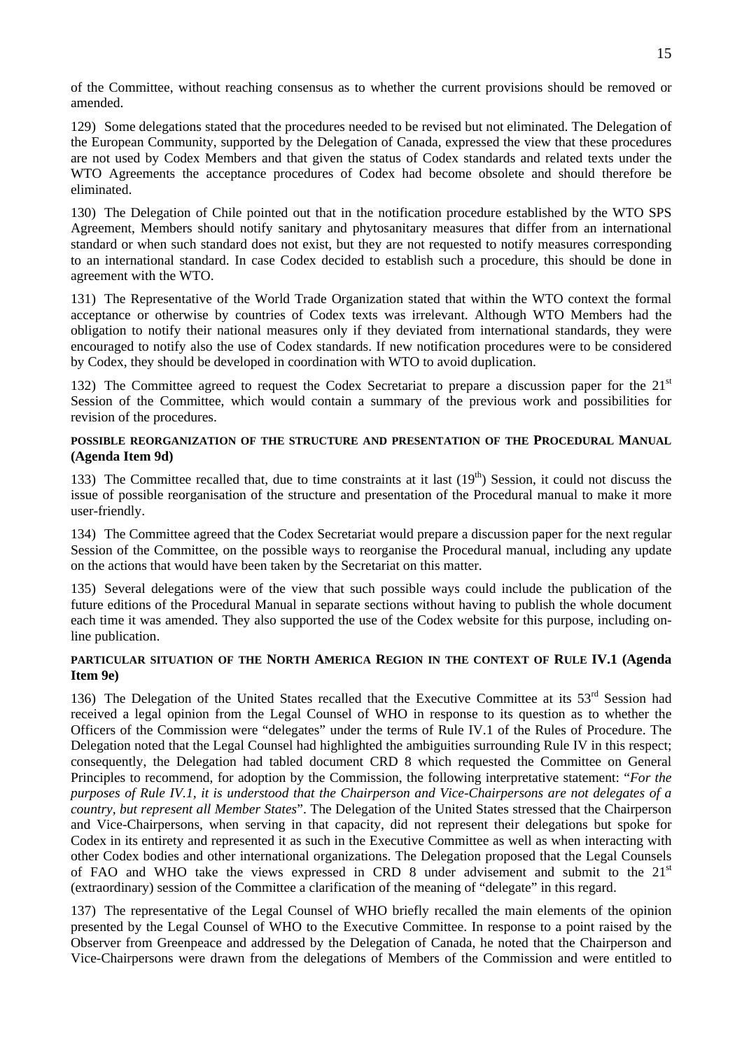of the Committee, without reaching consensus as to whether the current provisions should be removed or amended.

129) Some delegations stated that the procedures needed to be revised but not eliminated. The Delegation of the European Community, supported by the Delegation of Canada, expressed the view that these procedures are not used by Codex Members and that given the status of Codex standards and related texts under the WTO Agreements the acceptance procedures of Codex had become obsolete and should therefore be eliminated.

130) The Delegation of Chile pointed out that in the notification procedure established by the WTO SPS Agreement, Members should notify sanitary and phytosanitary measures that differ from an international standard or when such standard does not exist, but they are not requested to notify measures corresponding to an international standard. In case Codex decided to establish such a procedure, this should be done in agreement with the WTO.

131) The Representative of the World Trade Organization stated that within the WTO context the formal acceptance or otherwise by countries of Codex texts was irrelevant. Although WTO Members had the obligation to notify their national measures only if they deviated from international standards, they were encouraged to notify also the use of Codex standards. If new notification procedures were to be considered by Codex, they should be developed in coordination with WTO to avoid duplication.

132) The Committee agreed to request the Codex Secretariat to prepare a discussion paper for the 21<sup>st</sup> Session of the Committee, which would contain a summary of the previous work and possibilities for revision of the procedures.

## **POSSIBLE REORGANIZATION OF THE STRUCTURE AND PRESENTATION OF THE PROCEDURAL MANUAL (Agenda Item 9d)**

133) The Committee recalled that, due to time constraints at it last  $(19<sup>th</sup>)$  Session, it could not discuss the issue of possible reorganisation of the structure and presentation of the Procedural manual to make it more user-friendly.

134) The Committee agreed that the Codex Secretariat would prepare a discussion paper for the next regular Session of the Committee, on the possible ways to reorganise the Procedural manual, including any update on the actions that would have been taken by the Secretariat on this matter.

135) Several delegations were of the view that such possible ways could include the publication of the future editions of the Procedural Manual in separate sections without having to publish the whole document each time it was amended. They also supported the use of the Codex website for this purpose, including online publication.

## **PARTICULAR SITUATION OF THE NORTH AMERICA REGION IN THE CONTEXT OF RULE IV.1 (Agenda Item 9e)**

136) The Delegation of the United States recalled that the Executive Committee at its 53<sup>rd</sup> Session had received a legal opinion from the Legal Counsel of WHO in response to its question as to whether the Officers of the Commission were "delegates" under the terms of Rule IV.1 of the Rules of Procedure. The Delegation noted that the Legal Counsel had highlighted the ambiguities surrounding Rule IV in this respect; consequently, the Delegation had tabled document CRD 8 which requested the Committee on General Principles to recommend, for adoption by the Commission, the following interpretative statement: "*For the purposes of Rule IV.1, it is understood that the Chairperson and Vice-Chairpersons are not delegates of a country, but represent all Member States*". The Delegation of the United States stressed that the Chairperson and Vice-Chairpersons, when serving in that capacity, did not represent their delegations but spoke for Codex in its entirety and represented it as such in the Executive Committee as well as when interacting with other Codex bodies and other international organizations. The Delegation proposed that the Legal Counsels of FAO and WHO take the views expressed in CRD 8 under advisement and submit to the  $21<sup>st</sup>$ (extraordinary) session of the Committee a clarification of the meaning of "delegate" in this regard.

137) The representative of the Legal Counsel of WHO briefly recalled the main elements of the opinion presented by the Legal Counsel of WHO to the Executive Committee. In response to a point raised by the Observer from Greenpeace and addressed by the Delegation of Canada, he noted that the Chairperson and Vice-Chairpersons were drawn from the delegations of Members of the Commission and were entitled to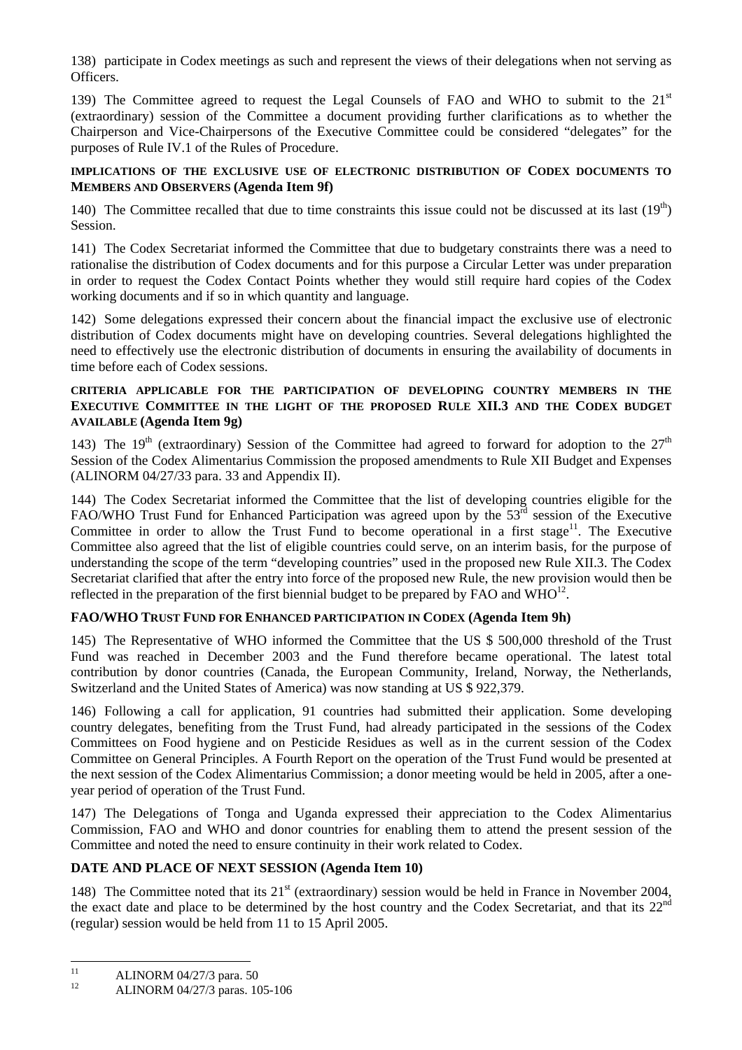138) participate in Codex meetings as such and represent the views of their delegations when not serving as Officers.

139) The Committee agreed to request the Legal Counsels of FAO and WHO to submit to the  $21<sup>st</sup>$ (extraordinary) session of the Committee a document providing further clarifications as to whether the Chairperson and Vice-Chairpersons of the Executive Committee could be considered "delegates" for the purposes of Rule IV.1 of the Rules of Procedure.

## **IMPLICATIONS OF THE EXCLUSIVE USE OF ELECTRONIC DISTRIBUTION OF CODEX DOCUMENTS TO MEMBERS AND OBSERVERS (Agenda Item 9f)**

140) The Committee recalled that due to time constraints this issue could not be discussed at its last  $(19<sup>th</sup>)$ Session.

141) The Codex Secretariat informed the Committee that due to budgetary constraints there was a need to rationalise the distribution of Codex documents and for this purpose a Circular Letter was under preparation in order to request the Codex Contact Points whether they would still require hard copies of the Codex working documents and if so in which quantity and language.

142) Some delegations expressed their concern about the financial impact the exclusive use of electronic distribution of Codex documents might have on developing countries. Several delegations highlighted the need to effectively use the electronic distribution of documents in ensuring the availability of documents in time before each of Codex sessions.

## **CRITERIA APPLICABLE FOR THE PARTICIPATION OF DEVELOPING COUNTRY MEMBERS IN THE EXECUTIVE COMMITTEE IN THE LIGHT OF THE PROPOSED RULE XII.3 AND THE CODEX BUDGET AVAILABLE (Agenda Item 9g)**

143) The 19<sup>th</sup> (extraordinary) Session of the Committee had agreed to forward for adoption to the  $27<sup>th</sup>$ Session of the Codex Alimentarius Commission the proposed amendments to Rule XII Budget and Expenses (ALINORM 04/27/33 para. 33 and Appendix II).

144) The Codex Secretariat informed the Committee that the list of developing countries eligible for the FAO/WHO Trust Fund for Enhanced Participation was agreed upon by the 53<sup>rd</sup> session of the Executive Committee in order to allow the Trust Fund to become operational in a first stage<sup>11</sup>. The Executive Committee also agreed that the list of eligible countries could serve, on an interim basis, for the purpose of understanding the scope of the term "developing countries" used in the proposed new Rule XII.3. The Codex Secretariat clarified that after the entry into force of the proposed new Rule, the new provision would then be reflected in the preparation of the first biennial budget to be prepared by FAO and  $WHO^{12}$ .

## **FAO/WHO TRUST FUND FOR ENHANCED PARTICIPATION IN CODEX (Agenda Item 9h)**

145) The Representative of WHO informed the Committee that the US \$ 500,000 threshold of the Trust Fund was reached in December 2003 and the Fund therefore became operational. The latest total contribution by donor countries (Canada, the European Community, Ireland, Norway, the Netherlands, Switzerland and the United States of America) was now standing at US \$ 922,379.

146) Following a call for application, 91 countries had submitted their application. Some developing country delegates, benefiting from the Trust Fund, had already participated in the sessions of the Codex Committees on Food hygiene and on Pesticide Residues as well as in the current session of the Codex Committee on General Principles. A Fourth Report on the operation of the Trust Fund would be presented at the next session of the Codex Alimentarius Commission; a donor meeting would be held in 2005, after a oneyear period of operation of the Trust Fund.

147) The Delegations of Tonga and Uganda expressed their appreciation to the Codex Alimentarius Commission, FAO and WHO and donor countries for enabling them to attend the present session of the Committee and noted the need to ensure continuity in their work related to Codex.

## **DATE AND PLACE OF NEXT SESSION (Agenda Item 10)**

148) The Committee noted that its  $21<sup>st</sup>$  (extraordinary) session would be held in France in November 2004, the exact date and place to be determined by the host country and the Codex Secretariat, and that its 22<sup>nd</sup> (regular) session would be held from 11 to 15 April 2005.

<span id="page-19-0"></span> $11$ <sup>11</sup> ALINORM 04/27/3 para. 50<br><sup>12</sup>  $\leftarrow$  ALINORM 04/27/2

<span id="page-19-1"></span><sup>12</sup> ALINORM 04/27/3 paras. 105-106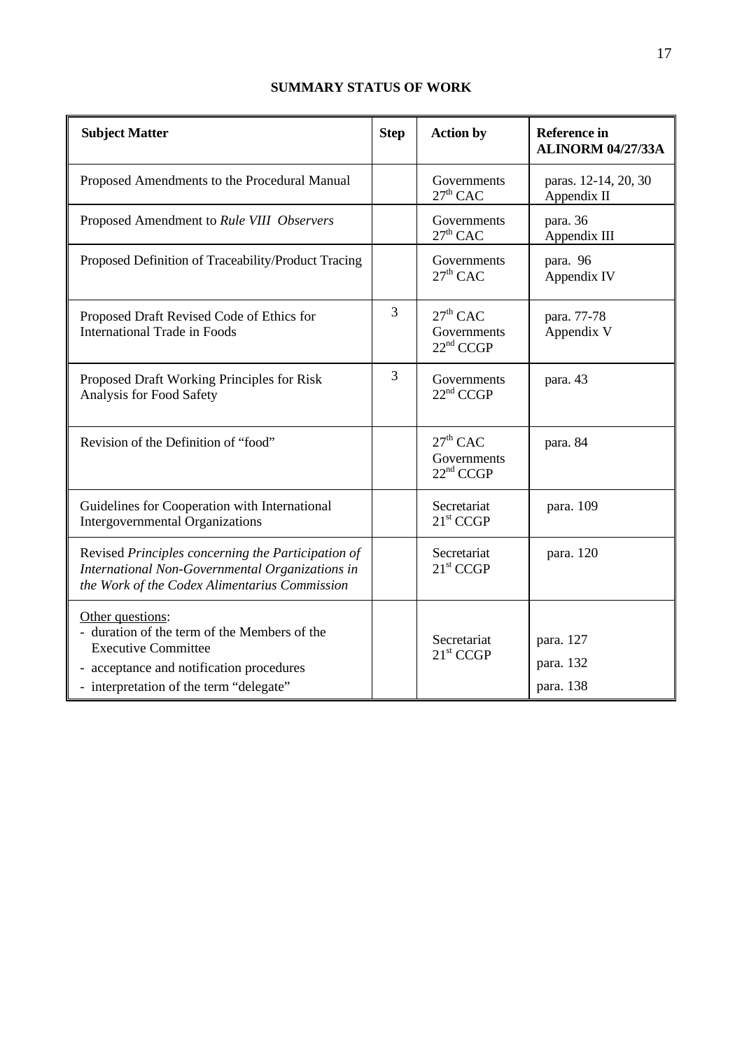## **SUMMARY STATUS OF WORK**

| <b>Subject Matter</b>                                                                                                                                                                 | <b>Step</b> | <b>Action by</b>                                   | <b>Reference in</b><br><b>ALINORM 04/27/33A</b> |
|---------------------------------------------------------------------------------------------------------------------------------------------------------------------------------------|-------------|----------------------------------------------------|-------------------------------------------------|
| Proposed Amendments to the Procedural Manual                                                                                                                                          |             | Governments<br>$27th$ CAC                          | paras. 12-14, 20, 30<br>Appendix II             |
| Proposed Amendment to Rule VIII Observers                                                                                                                                             |             | Governments<br>$27th$ CAC                          | para. 36<br>Appendix III                        |
| Proposed Definition of Traceability/Product Tracing                                                                                                                                   |             | Governments<br>$27th$ CAC                          | para. 96<br>Appendix IV                         |
| Proposed Draft Revised Code of Ethics for<br><b>International Trade in Foods</b>                                                                                                      | 3           | $27th$ CAC<br>Governments<br>22 <sup>nd</sup> CCGP | para. 77-78<br>Appendix V                       |
| Proposed Draft Working Principles for Risk<br>Analysis for Food Safety                                                                                                                | 3           | Governments<br>22 <sup>nd</sup> CCGP               | para. 43                                        |
| Revision of the Definition of "food"                                                                                                                                                  |             | $27th$ CAC<br>Governments<br>22 <sup>nd</sup> CCGP | para. 84                                        |
| Guidelines for Cooperation with International<br><b>Intergovernmental Organizations</b>                                                                                               |             | Secretariat<br>21 <sup>st</sup> CCGP               | para. 109                                       |
| Revised Principles concerning the Participation of<br>International Non-Governmental Organizations in<br>the Work of the Codex Alimentarius Commission                                |             | Secretariat<br>21 <sup>st</sup> CCGP               | para. 120                                       |
| Other questions:<br>- duration of the term of the Members of the<br><b>Executive Committee</b><br>- acceptance and notification procedures<br>- interpretation of the term "delegate" |             | Secretariat<br>21 <sup>st</sup> CCGP               | para. 127<br>para. 132<br>para. 138             |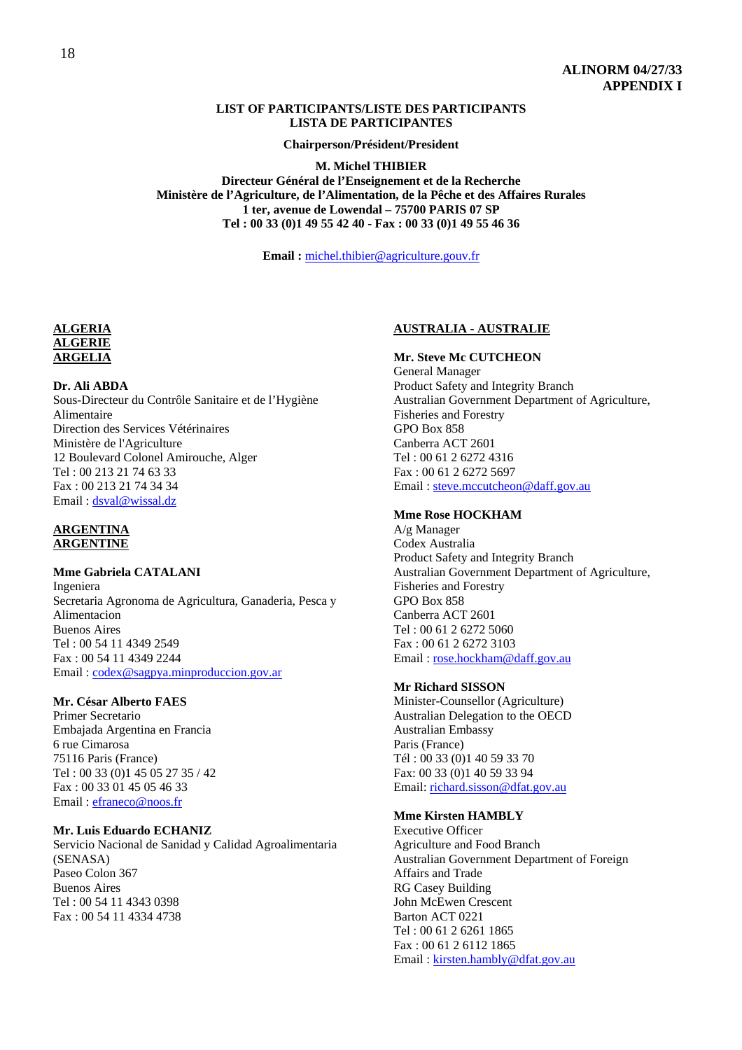#### **LIST OF PARTICIPANTS/LISTE DES PARTICIPANTS LISTA DE PARTICIPANTES**

**Chairperson/Président/President** 

**M. Michel THIBIER Directeur Général de l'Enseignement et de la Recherche Ministère de l'Agriculture, de l'Alimentation, de la Pêche et des Affaires Rurales 1 ter, avenue de Lowendal – 75700 PARIS 07 SP Tel : 00 33 (0)1 49 55 42 40 - Fax : 00 33 (0)1 49 55 46 36** 

**Email :** michel.thibier@agriculture.gouv.fr

## **ALGERIA ALGERIE ARGELIA**

**Dr. Ali ABDA** 

Sous-Directeur du Contrôle Sanitaire et de l'Hygiène Alimentaire Direction des Services Vétérinaires Ministère de l'Agriculture 12 Boulevard Colonel Amirouche, Alger Tel : 00 213 21 74 63 33 Fax : 00 213 21 74 34 34 Email : dsval@wissal.dz

## **ARGENTINA ARGENTINE**

## **Mme Gabriela CATALANI**

Ingeniera Secretaria Agronoma de Agricultura, Ganaderia, Pesca y Alimentacion Buenos Aires Tel : 00 54 11 4349 2549 Fax : 00 54 11 4349 2244 Email : codex@sagpya.minproduccion.gov.ar

## **Mr. César Alberto FAES**

Primer Secretario Embajada Argentina en Francia 6 rue Cimarosa 75116 Paris (France) Tel : 00 33 (0)1 45 05 27 35 / 42 Fax : 00 33 01 45 05 46 33 Email : efraneco@noos.fr

#### **Mr. Luis Eduardo ECHANIZ**

Servicio Nacional de Sanidad y Calidad Agroalimentaria (SENASA) Paseo Colon 367 Buenos Aires Tel : 00 54 11 4343 0398 Fax : 00 54 11 4334 4738

## **AUSTRALIA - AUSTRALIE**

### **Mr. Steve Mc CUTCHEON**

General Manager Product Safety and Integrity Branch Australian Government Department of Agriculture, Fisheries and Forestry GPO Box 858 Canberra ACT 2601 Tel : 00 61 2 6272 4316 Fax : 00 61 2 6272 5697 Email : steve.mccutcheon@daff.gov.au

## **Mme Rose HOCKHAM**

A/g Manager Codex Australia Product Safety and Integrity Branch Australian Government Department of Agriculture, Fisheries and Forestry GPO Box 858 Canberra ACT 2601 Tel : 00 61 2 6272 5060 Fax : 00 61 2 6272 3103 Email : rose.hockham@daff.gov.au

#### **Mr Richard SISSON**

Minister-Counsellor (Agriculture) Australian Delegation to the OECD Australian Embassy Paris (France) Tél : 00 33 (0)1 40 59 33 70 Fax: 00 33 (0)1 40 59 33 94 Email: richard.sisson@dfat.gov.au

#### **Mme Kirsten HAMBLY**

Executive Officer Agriculture and Food Branch Australian Government Department of Foreign Affairs and Trade RG Casey Building John McEwen Crescent Barton ACT 0221 Tel : 00 61 2 6261 1865 Fax : 00 61 2 6112 1865 Email : kirsten.hambly@dfat.gov.au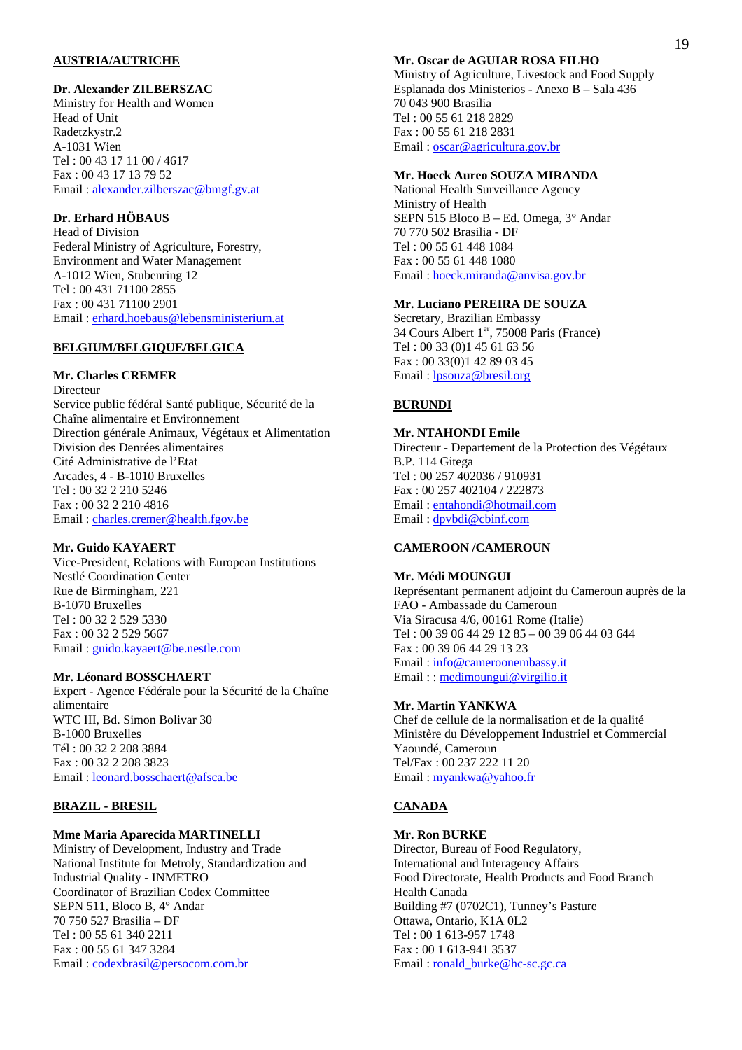#### **AUSTRIA/AUTRICHE**

#### **Dr. Alexander ZILBERSZAC**

Ministry for Health and Women Head of Unit Radetzkystr.2 A-1031 Wien Tel : 00 43 17 11 00 / 4617 Fax : 00 43 17 13 79 52 Email : alexander.zilberszac@bmgf.gv.at

## **Dr. Erhard HÖBAUS**

Head of Division Federal Ministry of Agriculture, Forestry, Environment and Water Management A-1012 Wien, Stubenring 12 Tel : 00 431 71100 2855 Fax : 00 431 71100 2901 Email : erhard.hoebaus@lebensministerium.at

## **BELGIUM/BELGIQUE/BELGICA**

## **Mr. Charles CREMER**

Directeur Service public fédéral Santé publique, Sécurité de la Chaîne alimentaire et Environnement Direction générale Animaux, Végétaux et Alimentation Division des Denrées alimentaires Cité Administrative de l'Etat Arcades, 4 - B-1010 Bruxelles Tel : 00 32 2 210 5246 Fax : 00 32 2 210 4816 Email : charles.cremer@health.fgov.be

**Mr. Guido KAYAERT**  Vice-President, Relations with European Institutions Nestlé Coordination Center Rue de Birmingham, 221 B-1070 Bruxelles Tel : 00 32 2 529 5330 Fax : 00 32 2 529 5667 Email : guido.kayaert@be.nestle.com

#### **Mr. Léonard BOSSCHAERT**

Expert - Agence Fédérale pour la Sécurité de la Chaîne alimentaire WTC III, Bd. Simon Bolivar 30 B-1000 Bruxelles Tél : 00 32 2 208 3884 Fax : 00 32 2 208 3823 Email : leonard.bosschaert@afsca.be

#### **BRAZIL - BRESIL**

#### **Mme Maria Aparecida MARTINELLI**

Ministry of Development, Industry and Trade National Institute for Metroly, Standardization and Industrial Quality - INMETRO Coordinator of Brazilian Codex Committee SEPN 511, Bloco B, 4° Andar 70 750 527 Brasilia – DF Tel : 00 55 61 340 2211 Fax : 00 55 61 347 3284 Email : codexbrasil@persocom.com.br

#### **Mr. Oscar de AGUIAR ROSA FILHO**

Ministry of Agriculture, Livestock and Food Supply Esplanada dos Ministerios - Anexo B – Sala 436 70 043 900 Brasilia Tel : 00 55 61 218 2829 Fax : 00 55 61 218 2831 Email : oscar@agricultura.gov.br

#### **Mr. Hoeck Aureo SOUZA MIRANDA**

National Health Surveillance Agency Ministry of Health SEPN 515 Bloco B – Ed. Omega, 3° Andar 70 770 502 Brasilia - DF Tel : 00 55 61 448 1084 Fax : 00 55 61 448 1080 Email : hoeck.miranda@anvisa.gov.br

#### **Mr. Luciano PEREIRA DE SOUZA**

Secretary, Brazilian Embassy 34 Cours Albert  $1<sup>er</sup>$ , 75008 Paris (France) Tel : 00 33 (0)1 45 61 63 56 Fax : 00 33(0)1 42 89 03 45 Email : lpsouza@bresil.org

## **BURUNDI**

#### **Mr. NTAHONDI Emile**

Directeur - Departement de la Protection des Végétaux B.P. 114 Gitega Tel : 00 257 402036 / 910931 Fax : 00 257 402104 / 222873 Email : entahondi@hotmail.com Email : dpvbdi@cbinf.com

#### **CAMEROON /CAMEROUN**

#### **Mr. Médi MOUNGUI**

Représentant permanent adjoint du Cameroun auprès de la FAO - Ambassade du Cameroun Via Siracusa 4/6, 00161 Rome (Italie) Tel : 00 39 06 44 29 12 85 – 00 39 06 44 03 644 Fax : 00 39 06 44 29 13 23 Email : info@cameroonembassy.it Email : : medimoungui@virgilio.it

#### **Mr. Martin YANKWA**

Chef de cellule de la normalisation et de la qualité Ministère du Développement Industriel et Commercial Yaoundé, Cameroun Tel/Fax : 00 237 222 11 20 Email : myankwa@yahoo.fr

#### **CANADA**

#### **Mr. Ron BURKE**

Director, Bureau of Food Regulatory, International and Interagency Affairs Food Directorate, Health Products and Food Branch Health Canada Building #7 (0702C1), Tunney's Pasture Ottawa, Ontario, K1A 0L2 Tel : 00 1 613-957 1748 Fax : 00 1 613-941 3537 Email: ronald\_burke@hc-sc.gc.ca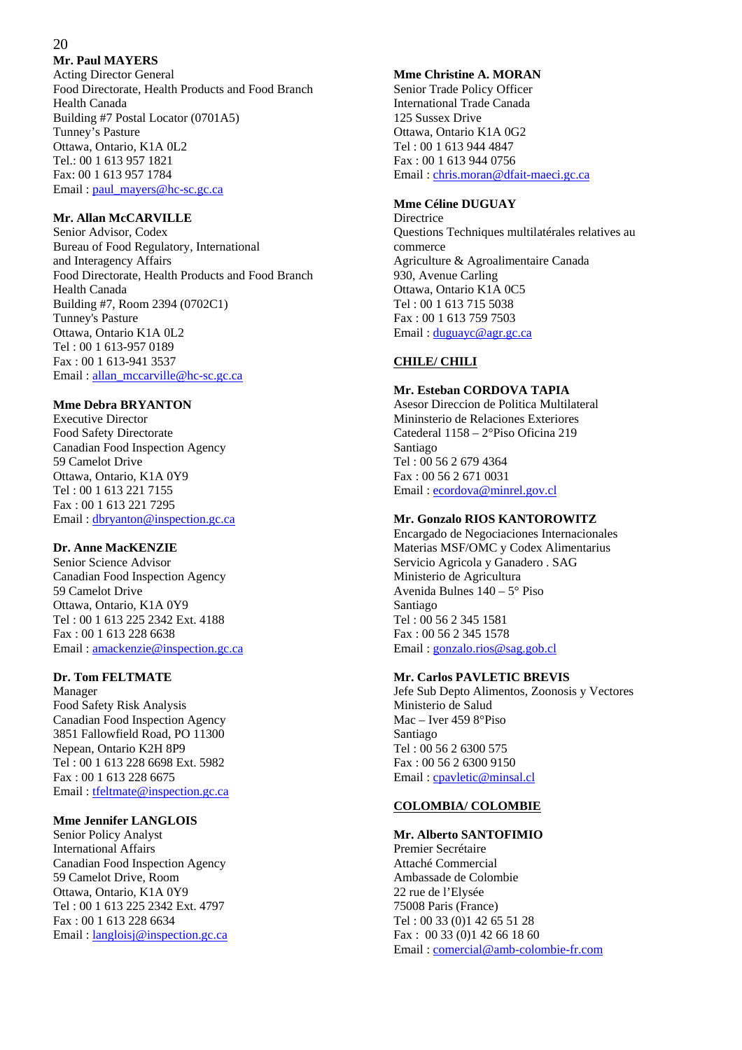## 20

## **Mr. Paul MAYERS**

Acting Director General Food Directorate, Health Products and Food Branch Health Canada Building #7 Postal Locator (0701A5) Tunney's Pasture Ottawa, Ontario, K1A 0L2 Tel.: 00 1 613 957 1821 Fax: 00 1 613 957 1784 Email : paul\_mayers@hc-sc.gc.ca

## **Mr. Allan McCARVILLE**

Senior Advisor, Codex Bureau of Food Regulatory, International and Interagency Affairs Food Directorate, Health Products and Food Branch Health Canada Building #7, Room 2394 (0702C1) Tunney's Pasture Ottawa, Ontario K1A 0L2 Tel : 00 1 613-957 0189 Fax : 00 1 613-941 3537 Email : allan\_mccarville@hc-sc.gc.ca

## **Mme Debra BRYANTON**

Executive Director Food Safety Directorate Canadian Food Inspection Agency 59 Camelot Drive Ottawa, Ontario, K1A 0Y9 Tel : 00 1 613 221 7155 Fax : 00 1 613 221 7295 Email : dbryanton@inspection.gc.ca

#### **Dr. Anne MacKENZIE**

Senior Science Advisor Canadian Food Inspection Agency 59 Camelot Drive Ottawa, Ontario, K1A 0Y9 Tel : 00 1 613 225 2342 Ext. 4188 Fax : 00 1 613 228 6638 Email : amackenzie@inspection.gc.ca

## **Dr. Tom FELTMATE**

Manager Food Safety Risk Analysis Canadian Food Inspection Agency 3851 Fallowfield Road, PO 11300 Nepean, Ontario K2H 8P9 Tel : 00 1 613 228 6698 Ext. 5982 Fax : 00 1 613 228 6675 Email : tfeltmate@inspection.gc.ca

#### **Mme Jennifer LANGLOIS**

Senior Policy Analyst International Affairs Canadian Food Inspection Agency 59 Camelot Drive, Room Ottawa, Ontario, K1A 0Y9 Tel : 00 1 613 225 2342 Ext. 4797 Fax : 00 1 613 228 6634 Email : langloisj@inspection.gc.ca

#### **Mme Christine A. MORAN**

Senior Trade Policy Officer International Trade Canada 125 Sussex Drive Ottawa, Ontario K1A 0G2 Tel : 00 1 613 944 4847 Fax : 00 1 613 944 0756 Email : chris.moran@dfait-maeci.gc.ca

#### **Mme Céline DUGUAY**

**Directrice** Questions Techniques multilatérales relatives au commerce Agriculture & Agroalimentaire Canada 930, Avenue Carling Ottawa, Ontario K1A 0C5 Tel : 00 1 613 715 5038 Fax : 00 1 613 759 7503 Email : duguayc@agr.gc.ca

## **CHILE/ CHILI**

## **Mr. Esteban CORDOVA TAPIA**

Asesor Direccion de Politica Multilateral Mininsterio de Relaciones Exteriores Catederal 1158 – 2°Piso Oficina 219 Santiago Tel : 00 56 2 679 4364 Fax : 00 56 2 671 0031 Email : ecordova@minrel.gov.cl

#### **Mr. Gonzalo RIOS KANTOROWITZ**

Encargado de Negociaciones Internacionales Materias MSF/OMC y Codex Alimentarius Servicio Agricola y Ganadero . SAG Ministerio de Agricultura Avenida Bulnes 140 – 5° Piso Santiago Tel : 00 56 2 345 1581 Fax : 00 56 2 345 1578 Email : gonzalo.rios@sag.gob.cl

## **Mr. Carlos PAVLETIC BREVIS**

Jefe Sub Depto Alimentos, Zoonosis y Vectores Ministerio de Salud Mac – Iver 459 8°Piso Santiago Tel : 00 56 2 6300 575 Fax : 00 56 2 6300 9150 Email : cpavletic@minsal.cl

#### **COLOMBIA/ COLOMBIE**

#### **Mr. Alberto SANTOFIMIO**

Premier Secrétaire Attaché Commercial Ambassade de Colombie 22 rue de l'Elysée 75008 Paris (France) Tel : 00 33 (0)1 42 65 51 28 Fax : 00 33 (0)1 42 66 18 60 Email : comercial@amb-colombie-fr.com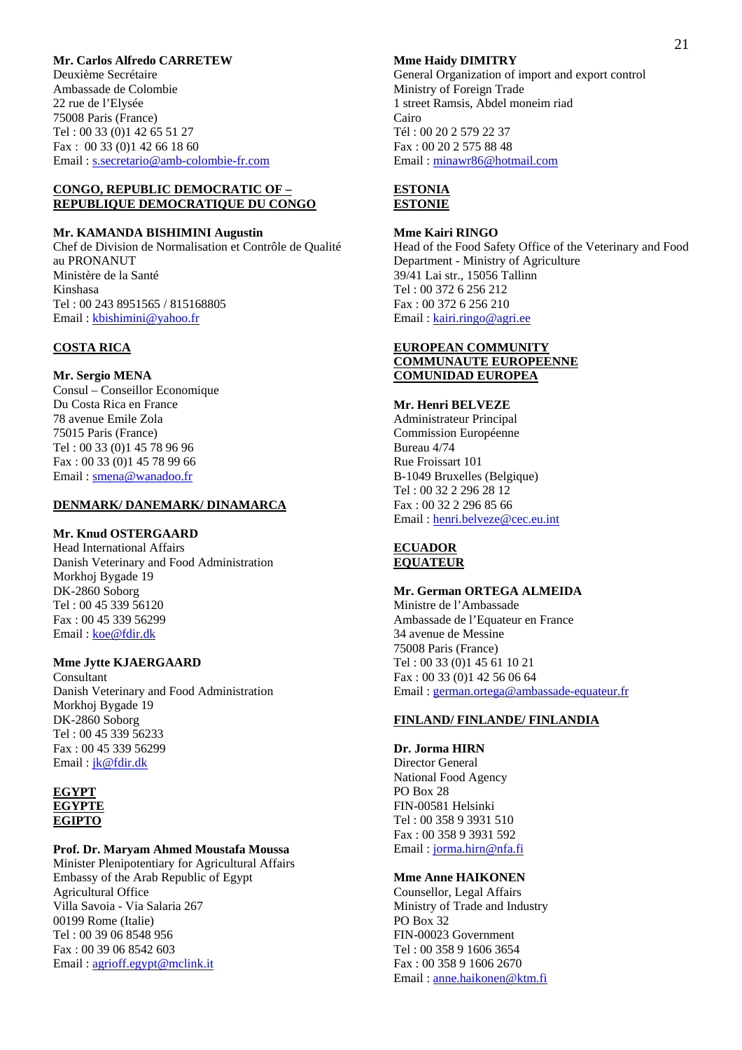#### **Mr. Carlos Alfredo CARRETEW**

Deuxième Secrétaire Ambassade de Colombie 22 rue de l'Elysée 75008 Paris (France) Tel : 00 33 (0)1 42 65 51 27 Fax : 00 33 (0)1 42 66 18 60 Email : s.secretario@amb-colombie-fr.com

#### **CONGO, REPUBLIC DEMOCRATIC OF – REPUBLIQUE DEMOCRATIQUE DU CONGO**

#### **Mr. KAMANDA BISHIMINI Augustin**

Chef de Division de Normalisation et Contrôle de Qualité au PRONANUT Ministère de la Santé Kinshasa Tel : 00 243 8951565 / 815168805 Email : kbishimini@yahoo.fr

#### **COSTA RICA**

**Mr. Sergio MENA**  Consul – Conseillor Economique Du Costa Rica en France 78 avenue Emile Zola 75015 Paris (France) Tel : 00 33 (0)1 45 78 96 96 Fax : 00 33 (0)1 45 78 99 66 Email : smena@wanadoo.fr

## **DENMARK/ DANEMARK/ DINAMARCA**

## **Mr. Knud OSTERGAARD**

Head International Affairs Danish Veterinary and Food Administration Morkhoj Bygade 19 DK-2860 Soborg Tel : 00 45 339 56120 Fax : 00 45 339 56299 Email: koe@fdir.dk

#### **Mme Jytte KJAERGAARD**

Consultant Danish Veterinary and Food Administration Morkhoj Bygade 19 DK-2860 Soborg Tel : 00 45 339 56233 Fax : 00 45 339 56299 Email : jk@fdir.dk

#### **EGYPT EGYPTE EGIPTO**

#### **Prof. Dr. Maryam Ahmed Moustafa Moussa**

Minister Plenipotentiary for Agricultural Affairs Embassy of the Arab Republic of Egypt Agricultural Office Villa Savoia - Via Salaria 267 00199 Rome (Italie) Tel : 00 39 06 8548 956 Fax : 00 39 06 8542 603 Email : agrioff.egypt@mclink.it

#### **Mme Haidy DIMITRY**

General Organization of import and export control Ministry of Foreign Trade 1 street Ramsis, Abdel moneim riad Cairo Tél : 00 20 2 579 22 37 Fax : 00 20 2 575 88 48 Email : minawr86@hotmail.com

#### **ESTONIA ESTONIE**

#### **Mme Kairi RINGO**

Head of the Food Safety Office of the Veterinary and Food Department - Ministry of Agriculture 39/41 Lai str., 15056 Tallinn Tel : 00 372 6 256 212 Fax : 00 372 6 256 210 Email : kairi.ringo@agri.ee

#### **EUROPEAN COMMUNITY COMMUNAUTE EUROPEENNE COMUNIDAD EUROPEA**

#### **Mr. Henri BELVEZE**

Administrateur Principal Commission Européenne Bureau 4/74 Rue Froissart 101 B-1049 Bruxelles (Belgique) Tel : 00 32 2 296 28 12 Fax : 00 32 2 296 85 66 Email : henri.belveze@cec.eu.int

## **ECUADOR EQUATEUR**

#### **Mr. German ORTEGA ALMEIDA**

Ministre de l'Ambassade Ambassade de l'Equateur en France 34 avenue de Messine 75008 Paris (France) Tel : 00 33 (0)1 45 61 10 21 Fax : 00 33 (0)1 42 56 06 64 Email : german.ortega@ambassade-equateur.fr

#### **FINLAND/ FINLANDE/ FINLANDIA**

**Dr. Jorma HIRN**  Director General National Food Agency PO Box 28 FIN-00581 Helsinki Tel : 00 358 9 3931 510 Fax : 00 358 9 3931 592 Email : jorma.hirn@nfa.fi

#### **Mme Anne HAIKONEN**

Counsellor, Legal Affairs Ministry of Trade and Industry PO Box 32 FIN-00023 Government Tel : 00 358 9 1606 3654 Fax : 00 358 9 1606 2670 Email : anne.haikonen@ktm.fi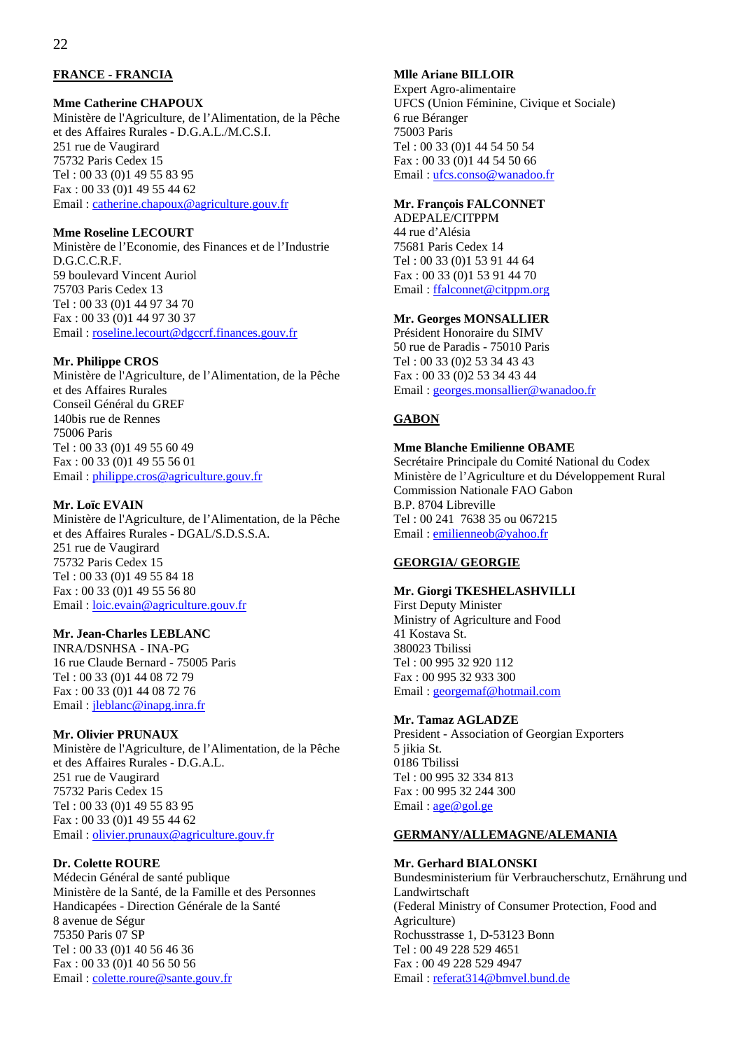## **FRANCE - FRANCIA**

#### **Mme Catherine CHAPOUX**

Ministère de l'Agriculture, de l'Alimentation, de la Pêche et des Affaires Rurales - D.G.A.L./M.C.S.I. 251 rue de Vaugirard 75732 Paris Cedex 15 Tel : 00 33 (0)1 49 55 83 95 Fax : 00 33 (0)1 49 55 44 62 Email : catherine.chapoux@agriculture.gouv.fr

#### **Mme Roseline LECOURT**

Ministère de l'Economie, des Finances et de l'Industrie D.G.C.C.R.F. 59 boulevard Vincent Auriol 75703 Paris Cedex 13 Tel : 00 33 (0)1 44 97 34 70 Fax : 00 33 (0)1 44 97 30 37 Email : roseline.lecourt@dgccrf.finances.gouv.fr

#### **Mr. Philippe CROS**

Ministère de l'Agriculture, de l'Alimentation, de la Pêche et des Affaires Rurales Conseil Général du GREF 140bis rue de Rennes 75006 Paris Tel : 00 33 (0)1 49 55 60 49 Fax : 00 33 (0)1 49 55 56 01 Email : philippe.cros@agriculture.gouv.fr

#### **Mr. Loïc EVAIN**

Ministère de l'Agriculture, de l'Alimentation, de la Pêche et des Affaires Rurales - DGAL/S.D.S.S.A. 251 rue de Vaugirard 75732 Paris Cedex 15 Tel : 00 33 (0)1 49 55 84 18 Fax : 00 33 (0)1 49 55 56 80 Email : loic.evain@agriculture.gouv.fr

## **Mr. Jean-Charles LEBLANC**

INRA/DSNHSA - INA-PG 16 rue Claude Bernard - 75005 Paris Tel : 00 33 (0)1 44 08 72 79 Fax : 00 33 (0)1 44 08 72 76 Email : jleblanc@inapg.inra.fr

#### **Mr. Olivier PRUNAUX**

Ministère de l'Agriculture, de l'Alimentation, de la Pêche et des Affaires Rurales - D.G.A.L. 251 rue de Vaugirard 75732 Paris Cedex 15 Tel : 00 33 (0)1 49 55 83 95 Fax : 00 33 (0)1 49 55 44 62 Email : olivier.prunaux@agriculture.gouv.fr

#### **Dr. Colette ROURE**

Médecin Général de santé publique Ministère de la Santé, de la Famille et des Personnes Handicapées - Direction Générale de la Santé 8 avenue de Ségur 75350 Paris 07 SP Tel : 00 33 (0)1 40 56 46 36 Fax : 00 33 (0)1 40 56 50 56 Email : colette.roure@sante.gouv.fr

#### **Mlle Ariane BILLOIR**

Expert Agro-alimentaire UFCS (Union Féminine, Civique et Sociale) 6 rue Béranger 75003 Paris Tel : 00 33 (0)1 44 54 50 54 Fax : 00 33 (0)1 44 54 50 66 Email : ufcs.conso@wanadoo.fr

#### **Mr. François FALCONNET**

ADEPALE/CITPPM 44 rue d'Alésia 75681 Paris Cedex 14 Tel : 00 33 (0)1 53 91 44 64 Fax : 00 33 (0)1 53 91 44 70 Email : ffalconnet@citppm.org

#### **Mr. Georges MONSALLIER**

Président Honoraire du SIMV 50 rue de Paradis - 75010 Paris Tel : 00 33 (0)2 53 34 43 43 Fax : 00 33 (0)2 53 34 43 44 Email : georges.monsallier@wanadoo.fr

#### **GABON**

#### **Mme Blanche Emilienne OBAME**

Secrétaire Principale du Comité National du Codex Ministère de l'Agriculture et du Développement Rural Commission Nationale FAO Gabon B.P. 8704 Libreville Tel : 00 241 7638 35 ou 067215 Email : emilienneob@yahoo.fr

#### **GEORGIA/ GEORGIE**

#### **Mr. Giorgi TKESHELASHVILLI**

First Deputy Minister Ministry of Agriculture and Food 41 Kostava St. 380023 Tbilissi Tel : 00 995 32 920 112 Fax : 00 995 32 933 300 Email : georgemaf@hotmail.com

#### **Mr. Tamaz AGLADZE**

President - Association of Georgian Exporters 5 jikia St. 0186 Tbilissi Tel : 00 995 32 334 813 Fax : 00 995 32 244 300 Email : age@gol.ge

## **GERMANY/ALLEMAGNE/ALEMANIA**

#### **Mr. Gerhard BIALONSKI**

Bundesministerium für Verbraucherschutz, Ernährung und Landwirtschaft (Federal Ministry of Consumer Protection, Food and Agriculture) Rochusstrasse 1, D-53123 Bonn Tel : 00 49 228 529 4651 Fax : 00 49 228 529 4947 Email : referat314@bmvel.bund.de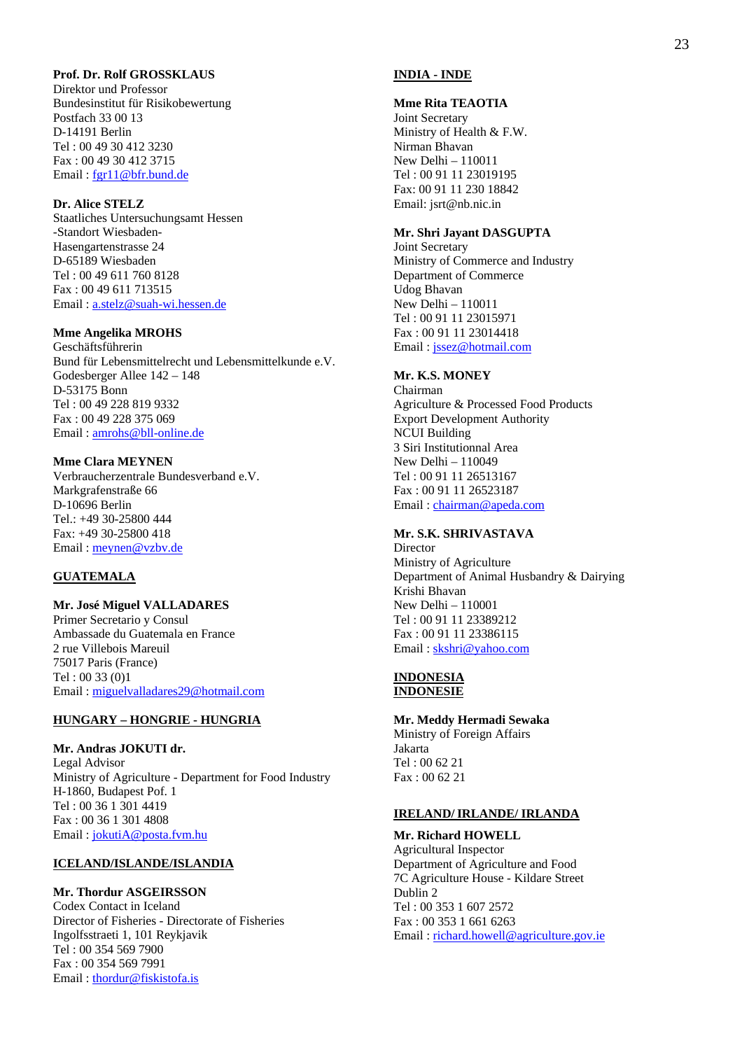## **Prof. Dr. Rolf GROSSKLAUS**

Direktor und Professor Bundesinstitut für Risikobewertung Postfach 33 00 13 D-14191 Berlin Tel : 00 49 30 412 3230 Fax : 00 49 30 412 3715 Email : fgr11@bfr.bund.de

#### **Dr. Alice STELZ**

Staatliches Untersuchungsamt Hessen -Standort Wiesbaden-Hasengartenstrasse 24 D-65189 Wiesbaden Tel : 00 49 611 760 8128 Fax : 00 49 611 713515 Email : a.stelz@suah-wi.hessen.de

## **Mme Angelika MROHS**

Geschäftsführerin Bund für Lebensmittelrecht und Lebensmittelkunde e.V. Godesberger Allee 142 – 148 D-53175 Bonn Tel : 00 49 228 819 9332 Fax : 00 49 228 375 069 Email : amrohs@bll-online.de

#### **Mme Clara MEYNEN**

Verbraucherzentrale Bundesverband e.V. Markgrafenstraße 66 D-10696 Berlin Tel.: +49 30-25800 444 Fax: +49 30-25800 418 Email : meynen@vzbv.de

#### **GUATEMALA**

**Mr. José Miguel VALLADARES**  Primer Secretario y Consul Ambassade du Guatemala en France 2 rue Villebois Mareuil 75017 Paris (France) Tel : 00 33 (0)1 Email : miguelvalladares29@hotmail.com

#### **HUNGARY – HONGRIE - HUNGRIA**

**Mr. Andras JOKUTI dr.**  Legal Advisor Ministry of Agriculture - Department for Food Industry H-1860, Budapest Pof. 1 Tel : 00 36 1 301 4419 Fax : 00 36 1 301 4808 Email : jokutiA@posta.fvm.hu

#### **ICELAND/ISLANDE/ISLANDIA**

### **Mr. Thordur ASGEIRSSON**

Codex Contact in Iceland Director of Fisheries - Directorate of Fisheries Ingolfsstraeti 1, 101 Reykjavik Tel : 00 354 569 7900 Fax : 00 354 569 7991 Email : thordur@fiskistofa.is

## **INDIA - INDE**

#### **Mme Rita TEAOTIA**

Joint Secretary Ministry of Health & F.W. Nirman Bhavan New Delhi – 110011 Tel : 00 91 11 23019195 Fax: 00 91 11 230 18842 Email: jsrt@nb.nic.in

#### **Mr. Shri Jayant DASGUPTA**

Joint Secretary Ministry of Commerce and Industry Department of Commerce Udog Bhavan New Delhi – 110011 Tel : 00 91 11 23015971 Fax : 00 91 11 23014418 Email : jssez@hotmail.com

## **Mr. K.S. MONEY**

Chairman Agriculture & Processed Food Products Export Development Authority NCUI Building 3 Siri Institutionnal Area New Delhi – 110049 Tel : 00 91 11 26513167 Fax : 00 91 11 26523187 Email : chairman@apeda.com

#### **Mr. S.K. SHRIVASTAVA**

**Director** Ministry of Agriculture Department of Animal Husbandry & Dairying Krishi Bhavan New Delhi – 110001 Tel : 00 91 11 23389212 Fax : 00 91 11 23386115 Email : skshri@yahoo.com

#### **INDONESIA INDONESIE**

**Mr. Meddy Hermadi Sewaka**  Ministry of Foreign Affairs Jakarta Tel : 00 62 21 Fax : 00 62 21

#### **IRELAND/IRLANDE/ IRLANDA**

**Mr. Richard HOWELL**  Agricultural Inspector Department of Agriculture and Food 7C Agriculture House - Kildare Street Dublin 2 Tel : 00 353 1 607 2572 Fax : 00 353 1 661 6263 Email : richard.howell@agriculture.gov.ie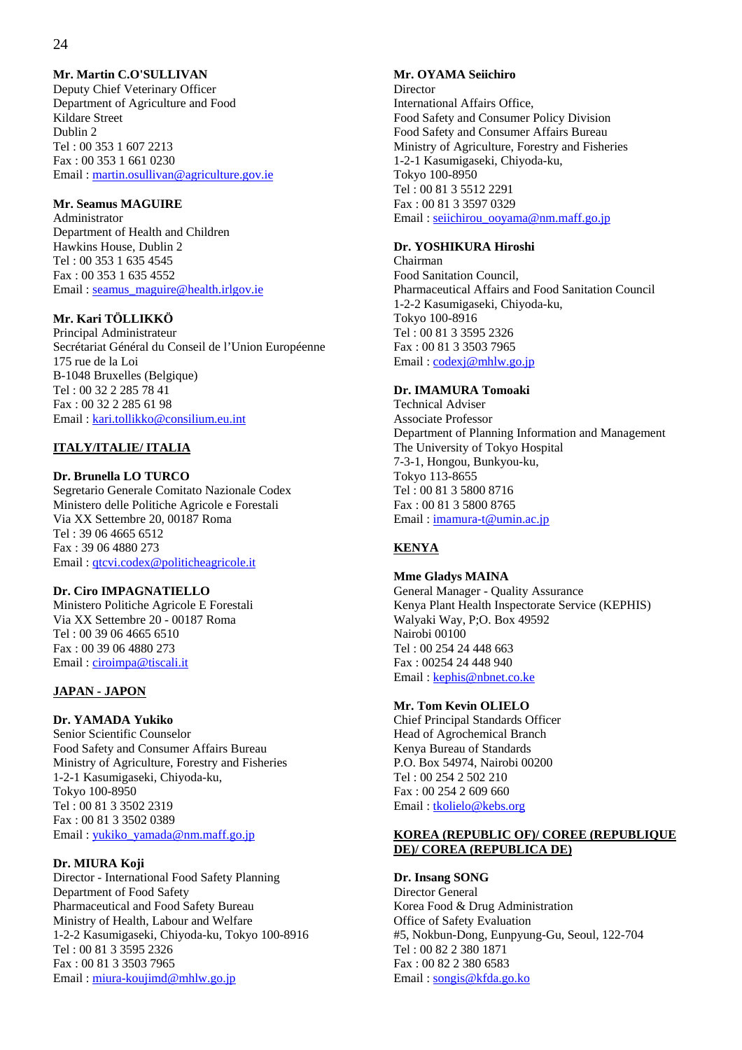## **Mr. Martin C.O'SULLIVAN**

Deputy Chief Veterinary Officer Department of Agriculture and Food Kildare Street Dublin 2 Tel : 00 353 1 607 2213 Fax : 00 353 1 661 0230 Email : martin.osullivan@agriculture.gov.ie

## **Mr. Seamus MAGUIRE**

Administrator Department of Health and Children Hawkins House, Dublin 2 Tel : 00 353 1 635 4545 Fax : 00 353 1 635 4552 Email : seamus\_maguire@health.irlgov.ie

## **Mr. Kari TÖLLIKKÖ**

Principal Administrateur Secrétariat Général du Conseil de l'Union Européenne 175 rue de la Loi B-1048 Bruxelles (Belgique) Tel : 00 32 2 285 78 41 Fax : 00 32 2 285 61 98 Email : kari.tollikko@consilium.eu.int

## **ITALY/ITALIE/ ITALIA**

### **Dr. Brunella LO TURCO**

Segretario Generale Comitato Nazionale Codex Ministero delle Politiche Agricole e Forestali Via XX Settembre 20, 00187 Roma Tel : 39 06 4665 6512 Fax : 39 06 4880 273 Email : qtcvi.codex@politicheagricole.it

#### **Dr. Ciro IMPAGNATIELLO**

Ministero Politiche Agricole E Forestali Via XX Settembre 20 - 00187 Roma Tel : 00 39 06 4665 6510 Fax : 00 39 06 4880 273 Email : ciroimpa@tiscali.it

## **JAPAN - JAPON**

## **Dr. YAMADA Yukiko**

Senior Scientific Counselor Food Safety and Consumer Affairs Bureau Ministry of Agriculture, Forestry and Fisheries 1-2-1 Kasumigaseki, Chiyoda-ku, Tokyo 100-8950 Tel : 00 81 3 3502 2319 Fax : 00 81 3 3502 0389 Email : yukiko\_yamada@nm.maff.go.jp

## **Dr. MIURA Koji**

Director - International Food Safety Planning Department of Food Safety Pharmaceutical and Food Safety Bureau Ministry of Health, Labour and Welfare 1-2-2 Kasumigaseki, Chiyoda-ku, Tokyo 100-8916 Tel : 00 81 3 3595 2326 Fax : 00 81 3 3503 7965 Email : miura-koujimd@mhlw.go.jp

## **Mr. OYAMA Seiichiro**

Director International Affairs Office, Food Safety and Consumer Policy Division Food Safety and Consumer Affairs Bureau Ministry of Agriculture, Forestry and Fisheries 1-2-1 Kasumigaseki, Chiyoda-ku, Tokyo 100-8950 Tel : 00 81 3 5512 2291 Fax : 00 81 3 3597 0329 Email : seiichirou\_ooyama@nm.maff.go.jp

#### **Dr. YOSHIKURA Hiroshi**

Chairman Food Sanitation Council, Pharmaceutical Affairs and Food Sanitation Council 1-2-2 Kasumigaseki, Chiyoda-ku, Tokyo 100-8916 Tel : 00 81 3 3595 2326 Fax : 00 81 3 3503 7965 Email : codexj@mhlw.go.jp

## **Dr. IMAMURA Tomoaki**

Technical Adviser Associate Professor Department of Planning Information and Management The University of Tokyo Hospital 7-3-1, Hongou, Bunkyou-ku, Tokyo 113-8655 Tel : 00 81 3 5800 8716 Fax : 00 81 3 5800 8765 Email : imamura-t@umin.ac.jp

## **KENYA**

**Mme Gladys MAINA**  General Manager - Quality Assurance Kenya Plant Health Inspectorate Service (KEPHIS) Walyaki Way, P;O. Box 49592 Nairobi 00100 Tel : 00 254 24 448 663 Fax : 00254 24 448 940 Email : kephis@nbnet.co.ke

#### **Mr. Tom Kevin OLIELO**

Chief Principal Standards Officer Head of Agrochemical Branch Kenya Bureau of Standards P.O. Box 54974, Nairobi 00200 Tel : 00 254 2 502 210 Fax : 00 254 2 609 660 Email : tkolielo@kebs.org

#### **KOREA (REPUBLIC OF)/ COREE (REPUBLIQUE DE)/ COREA (REPUBLICA DE)**

## **Dr. Insang SONG**

Director General Korea Food & Drug Administration Office of Safety Evaluation #5, Nokbun-Dong, Eunpyung-Gu, Seoul, 122-704 Tel : 00 82 2 380 1871 Fax : 00 82 2 380 6583 Email : songis@kfda.go.ko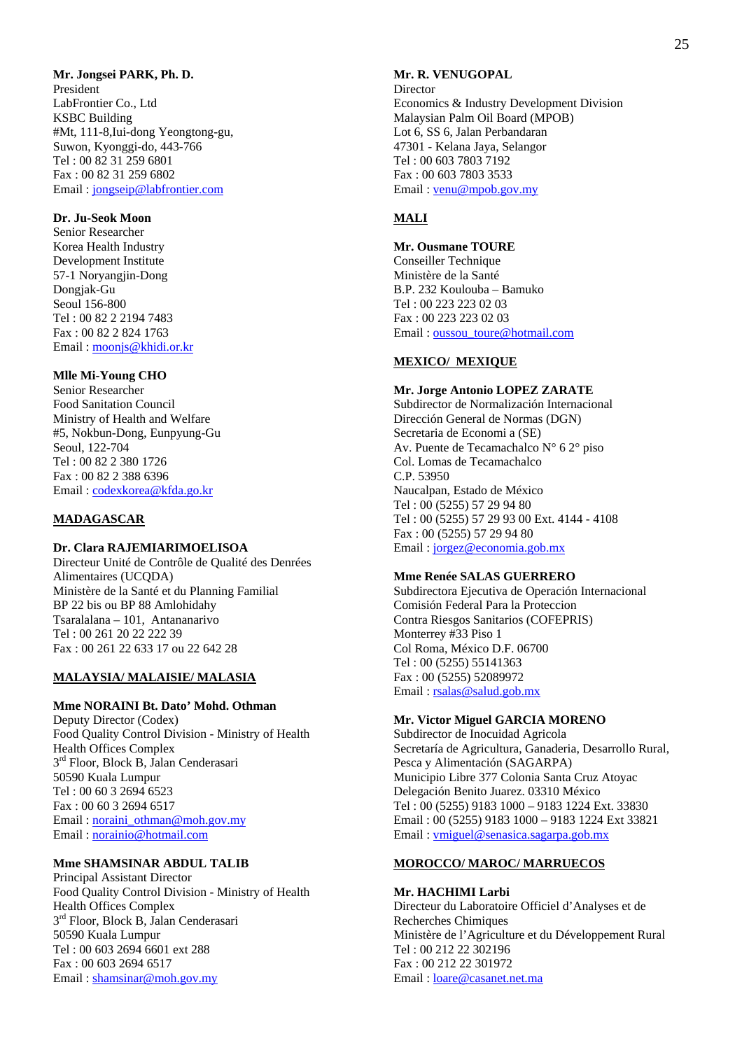### **Mr. Jongsei PARK, Ph. D.**

President LabFrontier Co., Ltd KSBC Building #Mt, 111-8,Iui-dong Yeongtong-gu, Suwon, Kyonggi-do, 443-766 Tel : 00 82 31 259 6801 Fax : 00 82 31 259 6802 Email : jongseip@labfrontier.com

## **Dr. Ju-Seok Moon**

Senior Researcher Korea Health Industry Development Institute 57-1 Noryangjin-Dong Dongjak-Gu Seoul 156-800 Tel : 00 82 2 2194 7483 Fax : 00 82 2 824 1763 Email : moonjs@khidi.or.kr

#### **Mlle Mi-Young CHO**

Senior Researcher Food Sanitation Council Ministry of Health and Welfare #5, Nokbun-Dong, Eunpyung-Gu Seoul, 122-704 Tel : 00 82 2 380 1726 Fax : 00 82 2 388 6396 Email : codexkorea@kfda.go.kr

#### **MADAGASCAR**

#### **Dr. Clara RAJEMIARIMOELISOA**

Directeur Unité de Contrôle de Qualité des Denrées Alimentaires (UCQDA) Ministère de la Santé et du Planning Familial BP 22 bis ou BP 88 Amlohidahy Tsaralalana – 101, Antananarivo Tel : 00 261 20 22 222 39 Fax : 00 261 22 633 17 ou 22 642 28

#### **MALAYSIA/ MALAISIE/ MALASIA**

#### **Mme NORAINI Bt. Dato' Mohd. Othman**

Deputy Director (Codex) Food Quality Control Division - Ministry of Health Health Offices Complex 3<sup>rd</sup> Floor, Block B, Jalan Cenderasari 50590 Kuala Lumpur Tel : 00 60 3 2694 6523 Fax : 00 60 3 2694 6517 Email: noraini\_othman@moh.gov.my Email : norainio@hotmail.com

#### **Mme SHAMSINAR ABDUL TALIB**

Principal Assistant Director Food Quality Control Division - Ministry of Health Health Offices Complex 3<sup>rd</sup> Floor, Block B, Jalan Cenderasari 50590 Kuala Lumpur Tel : 00 603 2694 6601 ext 288 Fax : 00 603 2694 6517 Email: shamsinar@moh.gov.my

## **Mr. R. VENUGOPAL**

Director Economics & Industry Development Division Malaysian Palm Oil Board (MPOB) Lot 6, SS 6, Jalan Perbandaran 47301 - Kelana Jaya, Selangor Tel : 00 603 7803 7192 Fax : 00 603 7803 3533 Email : venu@mpob.gov.my

## **MALI**

#### **Mr. Ousmane TOURE**

Conseiller Technique Ministère de la Santé B.P. 232 Koulouba – Bamuko Tel : 00 223 223 02 03 Fax : 00 223 223 02 03 Email : oussou\_toure@hotmail.com

## **MEXICO/ MEXIQUE**

#### **Mr. Jorge Antonio LOPEZ ZARATE**  Subdirector de Normalización Internacional Dirección General de Normas (DGN) Secretaria de Economi a (SE) Av. Puente de Tecamachalco N° 6 2° piso Col. Lomas de Tecamachalco C.P. 53950 Naucalpan, Estado de México Tel : 00 (5255) 57 29 94 80 Tel : 00 (5255) 57 29 93 00 Ext. 4144 - 4108 Fax : 00 (5255) 57 29 94 80 Email : jorgez@economia.gob.mx

#### **Mme Renée SALAS GUERRERO**

Subdirectora Ejecutiva de Operación Internacional Comisión Federal Para la Proteccion Contra Riesgos Sanitarios (COFEPRIS) Monterrey #33 Piso 1 Col Roma, México D.F. 06700 Tel : 00 (5255) 55141363 Fax : 00 (5255) 52089972 Email : rsalas@salud.gob.mx

#### **Mr. Victor Miguel GARCIA MORENO**

Subdirector de Inocuidad Agricola Secretaría de Agricultura, Ganaderia, Desarrollo Rural, Pesca y Alimentación (SAGARPA) Municipio Libre 377 Colonia Santa Cruz Atoyac Delegación Benito Juarez. 03310 México Tel : 00 (5255) 9183 1000 – 9183 1224 Ext. 33830 Email : 00 (5255) 9183 1000 – 9183 1224 Ext 33821 Email : vmiguel@senasica.sagarpa.gob.mx

#### **MOROCCO/ MAROC/ MARRUECOS**

#### **Mr. HACHIMI Larbi**

Directeur du Laboratoire Officiel d'Analyses et de Recherches Chimiques Ministère de l'Agriculture et du Développement Rural Tel : 00 212 22 302196 Fax : 00 212 22 301972 Email : loare@casanet.net.ma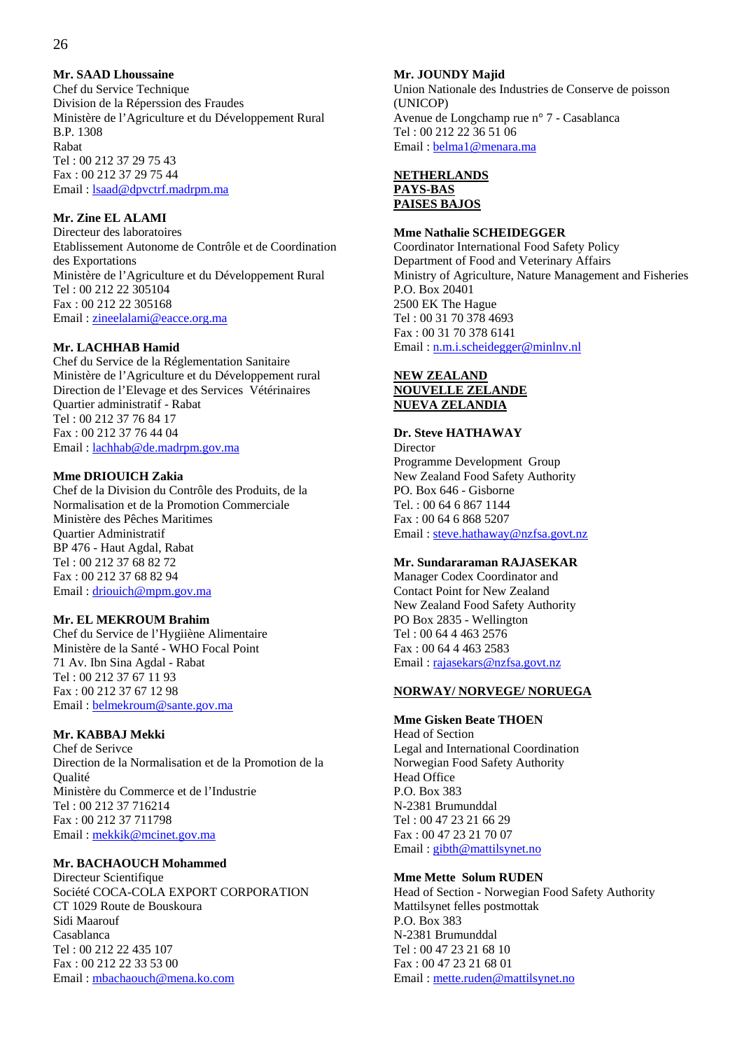## **Mr. SAAD Lhoussaine**

Chef du Service Technique Division de la Réperssion des Fraudes Ministère de l'Agriculture et du Développement Rural B.P. 1308 Rabat Tel : 00 212 37 29 75 43 Fax : 00 212 37 29 75 44 Email : lsaad@dpvctrf.madrpm.ma

## **Mr. Zine EL ALAMI**

Directeur des laboratoires Etablissement Autonome de Contrôle et de Coordination des Exportations Ministère de l'Agriculture et du Développement Rural Tel : 00 212 22 305104 Fax : 00 212 22 305168 Email : zineelalami@eacce.org.ma

#### **Mr. LACHHAB Hamid**

Chef du Service de la Réglementation Sanitaire Ministère de l'Agriculture et du Développement rural Direction de l'Elevage et des Services Vétérinaires Quartier administratif - Rabat Tel : 00 212 37 76 84 17 Fax : 00 212 37 76 44 04 Email : lachhab@de.madrpm.gov.ma

#### **Mme DRIOUICH Zakia**

Chef de la Division du Contrôle des Produits, de la Normalisation et de la Promotion Commerciale Ministère des Pêches Maritimes Quartier Administratif BP 476 - Haut Agdal, Rabat Tel : 00 212 37 68 82 72 Fax : 00 212 37 68 82 94 Email : driouich@mpm.gov.ma

#### **Mr. EL MEKROUM Brahim**

Chef du Service de l'Hygiiène Alimentaire Ministère de la Santé - WHO Focal Point 71 Av. Ibn Sina Agdal - Rabat Tel : 00 212 37 67 11 93 Fax : 00 212 37 67 12 98 Email : belmekroum@sante.gov.ma

#### **Mr. KABBAJ Mekki**

Chef de Serivce Direction de la Normalisation et de la Promotion de la Qualité Ministère du Commerce et de l'Industrie Tel : 00 212 37 716214 Fax : 00 212 37 711798 Email : mekkik@mcinet.gov.ma

#### **Mr. BACHAOUCH Mohammed**

Directeur Scientifique Société COCA-COLA EXPORT CORPORATION CT 1029 Route de Bouskoura Sidi Maarouf Casablanca Tel : 00 212 22 435 107 Fax : 00 212 22 33 53 00 Email : mbachaouch@mena.ko.com

#### **Mr. JOUNDY Majid**

Union Nationale des Industries de Conserve de poisson (UNICOP) Avenue de Longchamp rue n° 7 - Casablanca Tel : 00 212 22 36 51 06 Email : belma1@menara.ma

#### **NETHERLANDS PAYS-BAS PAISES BAJOS**

#### **Mme Nathalie SCHEIDEGGER**

Coordinator International Food Safety Policy Department of Food and Veterinary Affairs Ministry of Agriculture, Nature Management and Fisheries P.O. Box 20401 2500 EK The Hague Tel : 00 31 70 378 4693 Fax : 00 31 70 378 6141 Email : n.m.i.scheidegger@minlnv.nl

#### **NEW ZEALAND NOUVELLE ZELANDE NUEVA ZELANDIA**

#### **Dr. Steve HATHAWAY**

Director Programme Development Group New Zealand Food Safety Authority PO. Box 646 - Gisborne Tel. : 00 64 6 867 1144 Fax : 00 64 6 868 5207 Email : steve.hathaway@nzfsa.govt.nz

#### **Mr. Sundararaman RAJASEKAR**

Manager Codex Coordinator and Contact Point for New Zealand New Zealand Food Safety Authority PO Box 2835 - Wellington Tel : 00 64 4 463 2576 Fax : 00 64 4 463 2583 Email : rajasekars@nzfsa.govt.nz

#### **NORWAY/ NORVEGE/ NORUEGA**

## **Mme Gisken Beate THOEN**

Head of Section Legal and International Coordination Norwegian Food Safety Authority Head Office P.O. Box 383 N-2381 Brumunddal Tel : 00 47 23 21 66 29 Fax : 00 47 23 21 70 07 Email : gibth@mattilsynet.no

#### **Mme Mette Solum RUDEN**

Head of Section - Norwegian Food Safety Authority Mattilsynet felles postmottak P.O. Box 383 N-2381 Brumunddal Tel : 00 47 23 21 68 10 Fax : 00 47 23 21 68 01 Email : mette.ruden@mattilsynet.no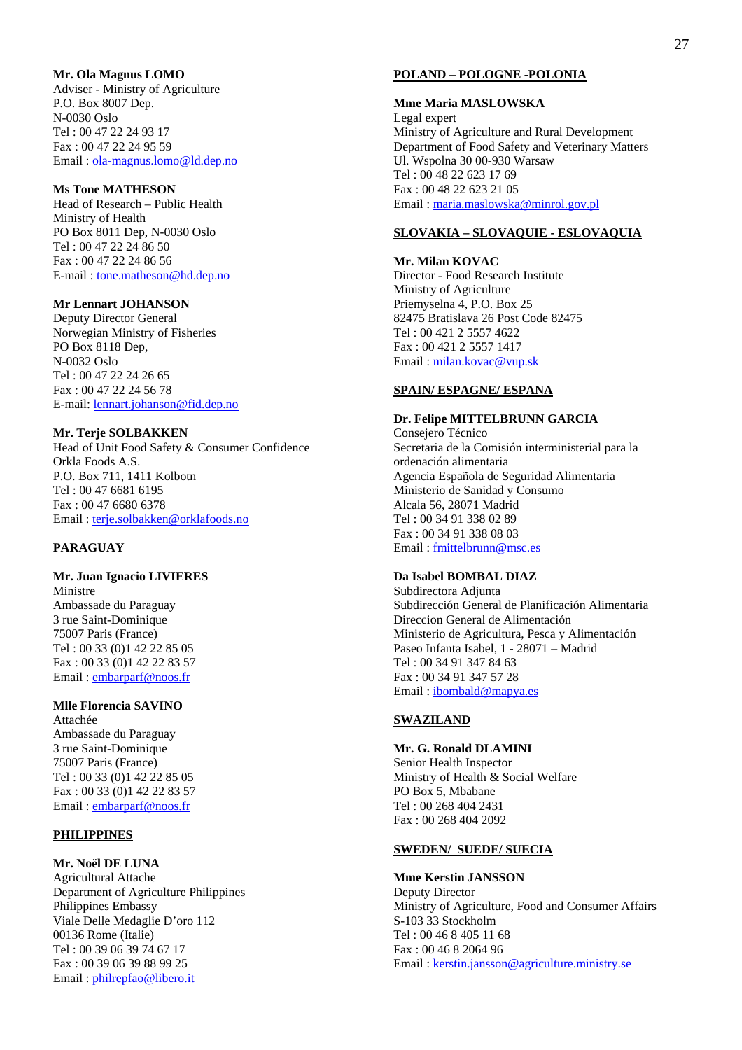#### **Mr. Ola Magnus LOMO**

Adviser - Ministry of Agriculture P.O. Box 8007 Dep. N-0030 Oslo Tel : 00 47 22 24 93 17 Fax : 00 47 22 24 95 59 Email : ola-magnus.lomo@ld.dep.no

#### **Ms Tone MATHESON**

Head of Research – Public Health Ministry of Health PO Box 8011 Dep, N-0030 Oslo Tel : 00 47 22 24 86 50 Fax : 00 47 22 24 86 56 E-mail : tone.matheson@hd.dep.no

#### **Mr Lennart JOHANSON**

Deputy Director General Norwegian Ministry of Fisheries PO Box 8118 Dep, N-0032 Oslo Tel : 00 47 22 24 26 65 Fax : 00 47 22 24 56 78 E-mail: lennart.johanson@fid.dep.no

#### **Mr. Terje SOLBAKKEN**

Head of Unit Food Safety & Consumer Confidence Orkla Foods A.S. P.O. Box 711, 1411 Kolbotn Tel : 00 47 6681 6195 Fax : 00 47 6680 6378 Email : terje.solbakken@orklafoods.no

#### **PARAGUAY**

## **Mr. Juan Ignacio LIVIERES**

Ministre Ambassade du Paraguay 3 rue Saint-Dominique 75007 Paris (France) Tel : 00 33 (0)1 42 22 85 05 Fax : 00 33 (0)1 42 22 83 57 Email : embarparf@noos.fr

## **Mlle Florencia SAVINO**

Attachée Ambassade du Paraguay 3 rue Saint-Dominique 75007 Paris (France) Tel : 00 33 (0)1 42 22 85 05 Fax : 00 33 (0)1 42 22 83 57 Email : embarparf@noos.fr

#### **PHILIPPINES**

**Mr. Noël DE LUNA**  Agricultural Attache Department of Agriculture Philippines Philippines Embassy Viale Delle Medaglie D'oro 112 00136 Rome (Italie) Tel : 00 39 06 39 74 67 17 Fax : 00 39 06 39 88 99 25 Email : philrepfao@libero.it

#### **POLAND – POLOGNE -POLONIA**

**Mme Maria MASLOWSKA**  Legal expert Ministry of Agriculture and Rural Development Department of Food Safety and Veterinary Matters Ul. Wspolna 30 00-930 Warsaw Tel : 00 48 22 623 17 69 Fax : 00 48 22 623 21 05 Email : maria.maslowska@minrol.gov.pl

#### **SLOVAKIA – SLOVAQUIE - ESLOVAQUIA**

**Mr. Milan KOVAC**  Director - Food Research Institute Ministry of Agriculture Priemyselna 4, P.O. Box 25 82475 Bratislava 26 Post Code 82475 Tel : 00 421 2 5557 4622 Fax : 00 421 2 5557 1417 Email : milan.kovac@vup.sk

#### **SPAIN/ ESPAGNE/ ESPANA**

## **Dr. Felipe MITTELBRUNN GARCIA**

Consejero Técnico Secretaria de la Comisión interministerial para la ordenación alimentaria Agencia Española de Seguridad Alimentaria Ministerio de Sanidad y Consumo Alcala 56, 28071 Madrid Tel : 00 34 91 338 02 89 Fax : 00 34 91 338 08 03 Email : fmittelbrunn@msc.es

#### **Da Isabel BOMBAL DIAZ**

Subdirectora Adjunta Subdirección General de Planificación Alimentaria Direccion General de Alimentación Ministerio de Agricultura, Pesca y Alimentación Paseo Infanta Isabel, 1 - 28071 – Madrid Tel : 00 34 91 347 84 63 Fax : 00 34 91 347 57 28 Email : ibombald@mapya.es

#### **SWAZILAND**

**Mr. G. Ronald DLAMINI**  Senior Health Inspector Ministry of Health & Social Welfare PO Box 5, Mbabane Tel : 00 268 404 2431 Fax : 00 268 404 2092

#### **SWEDEN/ SUEDE/ SUECIA**

#### **Mme Kerstin JANSSON**

Deputy Director Ministry of Agriculture, Food and Consumer Affairs S-103 33 Stockholm Tel : 00 46 8 405 11 68 Fax : 00 46 8 2064 96 Email : kerstin.jansson@agriculture.ministry.se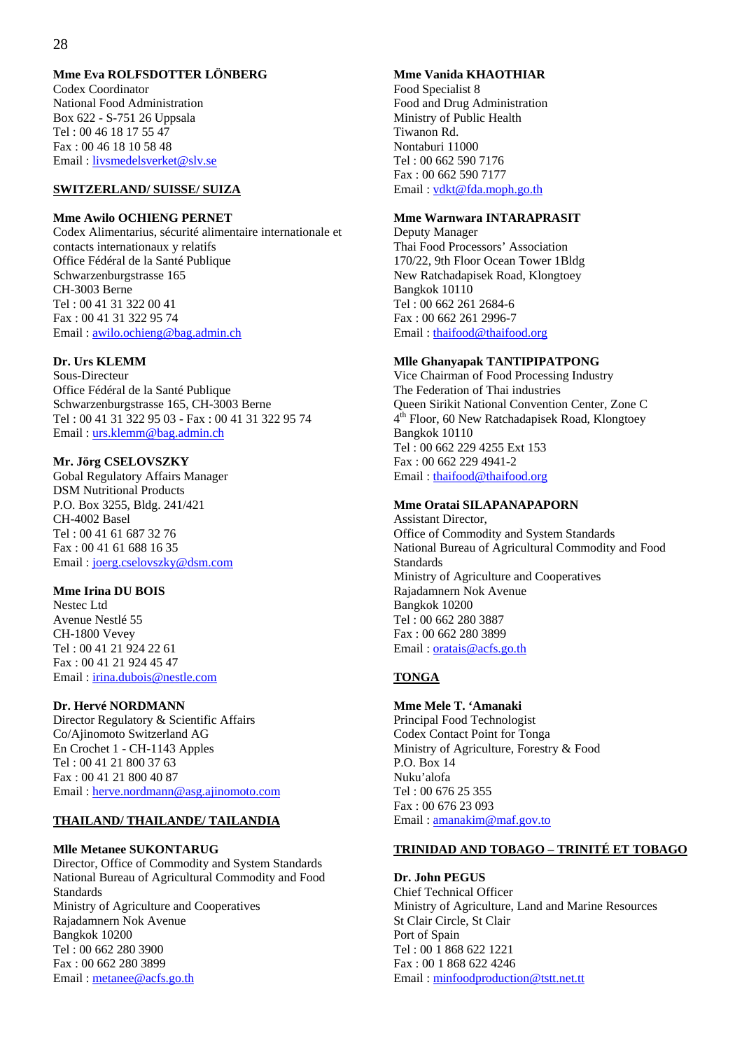#### 28

#### **Mme Eva ROLFSDOTTER LÖNBERG**

Codex Coordinator National Food Administration Box 622 - S-751 26 Uppsala Tel : 00 46 18 17 55 47 Fax : 00 46 18 10 58 48 Email : livsmedelsverket@slv.se

#### **SWITZERLAND/ SUISSE/ SUIZA**

#### **Mme Awilo OCHIENG PERNET**

Codex Alimentarius, sécurité alimentaire internationale et contacts internationaux y relatifs Office Fédéral de la Santé Publique Schwarzenburgstrasse 165 CH-3003 Berne Tel : 00 41 31 322 00 41 Fax : 00 41 31 322 95 74 Email : awilo.ochieng@bag.admin.ch

#### **Dr. Urs KLEMM**

Sous-Directeur Office Fédéral de la Santé Publique Schwarzenburgstrasse 165, CH-3003 Berne Tel : 00 41 31 322 95 03 - Fax : 00 41 31 322 95 74 Email : urs.klemm@bag.admin.ch

#### **Mr. Jörg CSELOVSZKY**

Gobal Regulatory Affairs Manager DSM Nutritional Products P.O. Box 3255, Bldg. 241/421 CH-4002 Basel Tel : 00 41 61 687 32 76 Fax : 00 41 61 688 16 35 Email : joerg.cselovszky@dsm.com

#### **Mme Irina DU BOIS**

Nestec Ltd Avenue Nestlé 55 CH-1800 Vevey Tel : 00 41 21 924 22 61 Fax : 00 41 21 924 45 47 Email : irina.dubois@nestle.com

#### **Dr. Hervé NORDMANN**

Director Regulatory & Scientific Affairs Co/Ajinomoto Switzerland AG En Crochet 1 - CH-1143 Apples Tel : 00 41 21 800 37 63 Fax : 00 41 21 800 40 87 Email : herve.nordmann@asg.ajinomoto.com

#### **THAILAND/ THAILANDE/ TAILANDIA**

#### **Mlle Metanee SUKONTARUG**

Director, Office of Commodity and System Standards National Bureau of Agricultural Commodity and Food Standards Ministry of Agriculture and Cooperatives Rajadamnern Nok Avenue Bangkok 10200 Tel : 00 662 280 3900 Fax : 00 662 280 3899 Email: metanee@acfs.go.th

## **Mme Vanida KHAOTHIAR**

Food Specialist 8 Food and Drug Administration Ministry of Public Health Tiwanon Rd. Nontaburi 11000 Tel : 00 662 590 7176 Fax : 00 662 590 7177 Email : vdkt@fda.moph.go.th

#### **Mme Warnwara INTARAPRASIT**

Deputy Manager Thai Food Processors' Association 170/22, 9th Floor Ocean Tower 1Bldg New Ratchadapisek Road, Klongtoey Bangkok 10110 Tel : 00 662 261 2684-6 Fax : 00 662 261 2996-7 Email: thaifood@thaifood.org

#### **Mlle Ghanyapak TANTIPIPATPONG**

Vice Chairman of Food Processing Industry The Federation of Thai industries Queen Sirikit National Convention Center, Zone C 4th Floor, 60 New Ratchadapisek Road, Klongtoey Bangkok 10110 Tel : 00 662 229 4255 Ext 153 Fax : 00 662 229 4941-2 Email: thaifood@thaifood.org

## **Mme Oratai SILAPANAPAPORN**

Assistant Director, Office of Commodity and System Standards National Bureau of Agricultural Commodity and Food **Standards** Ministry of Agriculture and Cooperatives Rajadamnern Nok Avenue Bangkok 10200 Tel : 00 662 280 3887 Fax : 00 662 280 3899 Email: <u>oratais@acfs.go.th</u>

#### **TONGA**

## **Mme Mele T. 'Amanaki**

Principal Food Technologist Codex Contact Point for Tonga Ministry of Agriculture, Forestry & Food P.O. Box 14 Nuku'alofa Tel : 00 676 25 355 Fax : 00 676 23 093 Email : amanakim@maf.gov.to

## **TRINIDAD AND TOBAGO – TRINITÉ ET TOBAGO**

#### **Dr. John PEGUS**

Chief Technical Officer Ministry of Agriculture, Land and Marine Resources St Clair Circle, St Clair Port of Spain Tel : 00 1 868 622 1221 Fax : 00 1 868 622 4246 Email : minfoodproduction@tstt.net.tt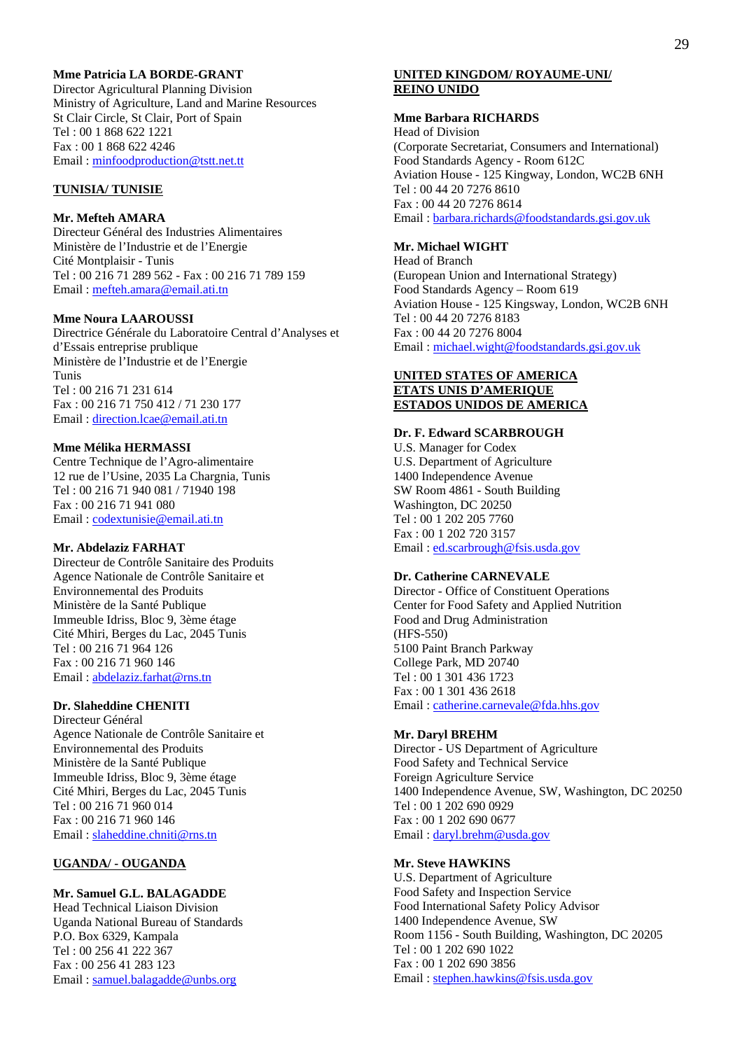## **Mme Patricia LA BORDE-GRANT**

Director Agricultural Planning Division Ministry of Agriculture, Land and Marine Resources St Clair Circle, St Clair, Port of Spain Tel : 00 1 868 622 1221 Fax : 00 1 868 622 4246 Email : minfoodproduction@tstt.net.tt

#### **TUNISIA/ TUNISIE**

#### **Mr. Mefteh AMARA**

Directeur Général des Industries Alimentaires Ministère de l'Industrie et de l'Energie Cité Montplaisir - Tunis Tel : 00 216 71 289 562 - Fax : 00 216 71 789 159 Email : mefteh.amara@email.ati.tn

#### **Mme Noura LAAROUSSI**

Directrice Générale du Laboratoire Central d'Analyses et d'Essais entreprise prublique Ministère de l'Industrie et de l'Energie Tunis Tel : 00 216 71 231 614 Fax : 00 216 71 750 412 / 71 230 177 Email : direction.lcae@email.ati.tn

#### **Mme Mélika HERMASSI**

Centre Technique de l'Agro-alimentaire 12 rue de l'Usine, 2035 La Chargnia, Tunis Tel : 00 216 71 940 081 / 71940 198 Fax : 00 216 71 941 080 Email : codextunisie@email.ati.tn

#### **Mr. Abdelaziz FARHAT**

Directeur de Contrôle Sanitaire des Produits Agence Nationale de Contrôle Sanitaire et Environnemental des Produits Ministère de la Santé Publique Immeuble Idriss, Bloc 9, 3ème étage Cité Mhiri, Berges du Lac, 2045 Tunis Tel : 00 216 71 964 126 Fax : 00 216 71 960 146 Email : abdelaziz.farhat@rns.tn

#### **Dr. Slaheddine CHENITI**

Directeur Général Agence Nationale de Contrôle Sanitaire et Environnemental des Produits Ministère de la Santé Publique Immeuble Idriss, Bloc 9, 3ème étage Cité Mhiri, Berges du Lac, 2045 Tunis Tel : 00 216 71 960 014 Fax : 00 216 71 960 146 Email : slaheddine.chniti@rns.tn

#### **UGANDA/ - OUGANDA**

#### **Mr. Samuel G.L. BALAGADDE**

Head Technical Liaison Division Uganda National Bureau of Standards P.O. Box 6329, Kampala Tel : 00 256 41 222 367 Fax : 00 256 41 283 123 Email : samuel.balagadde@unbs.org

#### **UNITED KINGDOM/ ROYAUME-UNI/ REINO UNIDO**

#### **Mme Barbara RICHARDS**

Head of Division (Corporate Secretariat, Consumers and International) Food Standards Agency - Room 612C Aviation House - 125 Kingway, London, WC2B 6NH Tel : 00 44 20 7276 8610 Fax : 00 44 20 7276 8614 Email : barbara.richards@foodstandards.gsi.gov.uk

#### **Mr. Michael WIGHT**

Head of Branch (European Union and International Strategy) Food Standards Agency – Room 619 Aviation House - 125 Kingsway, London, WC2B 6NH Tel : 00 44 20 7276 8183 Fax : 00 44 20 7276 8004 Email : michael.wight@foodstandards.gsi.gov.uk

#### **UNITED STATES OF AMERICA ETATS UNIS D'AMERIQUE ESTADOS UNIDOS DE AMERICA**

#### **Dr. F. Edward SCARBROUGH**

U.S. Manager for Codex U.S. Department of Agriculture 1400 Independence Avenue SW Room 4861 - South Building Washington, DC 20250 Tel : 00 1 202 205 7760 Fax : 00 1 202 720 3157 Email : ed.scarbrough@fsis.usda.gov

#### **Dr. Catherine CARNEVALE**

Director - Office of Constituent Operations Center for Food Safety and Applied Nutrition Food and Drug Administration (HFS-550) 5100 Paint Branch Parkway College Park, MD 20740 Tel : 00 1 301 436 1723 Fax : 00 1 301 436 2618 Email : catherine.carnevale@fda.hhs.gov

#### **Mr. Daryl BREHM**

Director - US Department of Agriculture Food Safety and Technical Service Foreign Agriculture Service 1400 Independence Avenue, SW, Washington, DC 20250 Tel : 00 1 202 690 0929 Fax : 00 1 202 690 0677 Email : daryl.brehm@usda.gov

#### **Mr. Steve HAWKINS**

U.S. Department of Agriculture Food Safety and Inspection Service Food International Safety Policy Advisor 1400 Independence Avenue, SW Room 1156 - South Building, Washington, DC 20205 Tel : 00 1 202 690 1022 Fax : 00 1 202 690 3856 Email : stephen.hawkins@fsis.usda.gov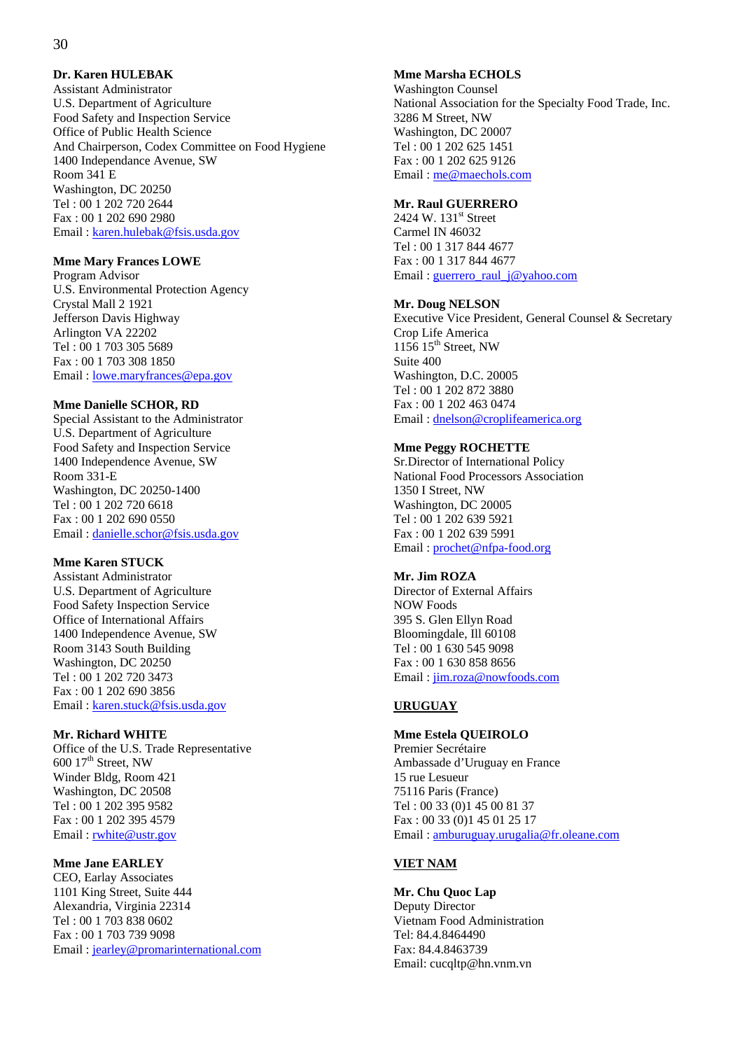#### **Dr. Karen HULEBAK**

Assistant Administrator U.S. Department of Agriculture Food Safety and Inspection Service Office of Public Health Science And Chairperson, Codex Committee on Food Hygiene 1400 Independance Avenue, SW Room 341 E Washington, DC 20250 Tel : 00 1 202 720 2644 Fax : 00 1 202 690 2980 Email : karen.hulebak@fsis.usda.gov

#### **Mme Mary Frances LOWE**

Program Advisor U.S. Environmental Protection Agency Crystal Mall 2 1921 Jefferson Davis Highway Arlington VA 22202 Tel : 00 1 703 305 5689 Fax : 00 1 703 308 1850 Email : lowe.maryfrances@epa.gov

#### **Mme Danielle SCHOR, RD**

Special Assistant to the Administrator U.S. Department of Agriculture Food Safety and Inspection Service 1400 Independence Avenue, SW Room 331-E Washington, DC 20250-1400 Tel : 00 1 202 720 6618 Fax : 00 1 202 690 0550 Email : danielle.schor@fsis.usda.gov

#### **Mme Karen STUCK**

Assistant Administrator U.S. Department of Agriculture Food Safety Inspection Service Office of International Affairs 1400 Independence Avenue, SW Room 3143 South Building Washington, DC 20250 Tel : 00 1 202 720 3473 Fax : 00 1 202 690 3856 Email : karen.stuck@fsis.usda.gov

#### **Mr. Richard WHITE**

Office of the U.S. Trade Representative  $600$   $17<sup>th</sup>$  Street, NW Winder Bldg, Room 421 Washington, DC 20508 Tel : 00 1 202 395 9582 Fax : 00 1 202 395 4579 Email : rwhite@ustr.gov

#### **Mme Jane EARLEY**

CEO, Earlay Associates 1101 King Street, Suite 444 Alexandria, Virginia 22314 Tel : 00 1 703 838 0602 Fax : 00 1 703 739 9098 Email : jearley@promarinternational.com

## **Mme Marsha ECHOLS**

Washington Counsel National Association for the Specialty Food Trade, Inc. 3286 M Street, NW Washington, DC 20007 Tel : 00 1 202 625 1451 Fax : 00 1 202 625 9126 Email : me@maechols.com

#### **Mr. Raul GUERRERO**

2424 W. 131<sup>st</sup> Street Carmel IN 46032 Tel : 00 1 317 844 4677 Fax : 00 1 317 844 4677 Email : guerrero\_raul\_j@yahoo.com

#### **Mr. Doug NELSON**

Executive Vice President, General Counsel & Secretary Crop Life America  $1156$   $15<sup>th</sup>$  Street, NW Suite 400 Washington, D.C. 20005 Tel : 00 1 202 872 3880 Fax : 00 1 202 463 0474 Email : dnelson@croplifeamerica.org

#### **Mme Peggy ROCHETTE**

Sr.Director of International Policy National Food Processors Association 1350 I Street, NW Washington, DC 20005 Tel : 00 1 202 639 5921 Fax : 00 1 202 639 5991 Email : prochet@nfpa-food.org

#### **Mr. Jim ROZA**

Director of External Affairs NOW Foods 395 S. Glen Ellyn Road Bloomingdale, Ill 60108 Tel : 00 1 630 545 9098 Fax : 00 1 630 858 8656 Email : jim.roza@nowfoods.com

#### **URUGUAY**

#### **Mme Estela QUEIROLO**

Premier Secrétaire Ambassade d'Uruguay en France 15 rue Lesueur 75116 Paris (France) Tel : 00 33 (0)1 45 00 81 37 Fax : 00 33 (0)1 45 01 25 17 Email : amburuguay.urugalia@fr.oleane.com

#### **VIET NAM**

**Mr. Chu Quoc Lap**  Deputy Director Vietnam Food Administration Tel: 84.4.8464490 Fax: 84.4.8463739 Email: cucqltp@hn.vnm.vn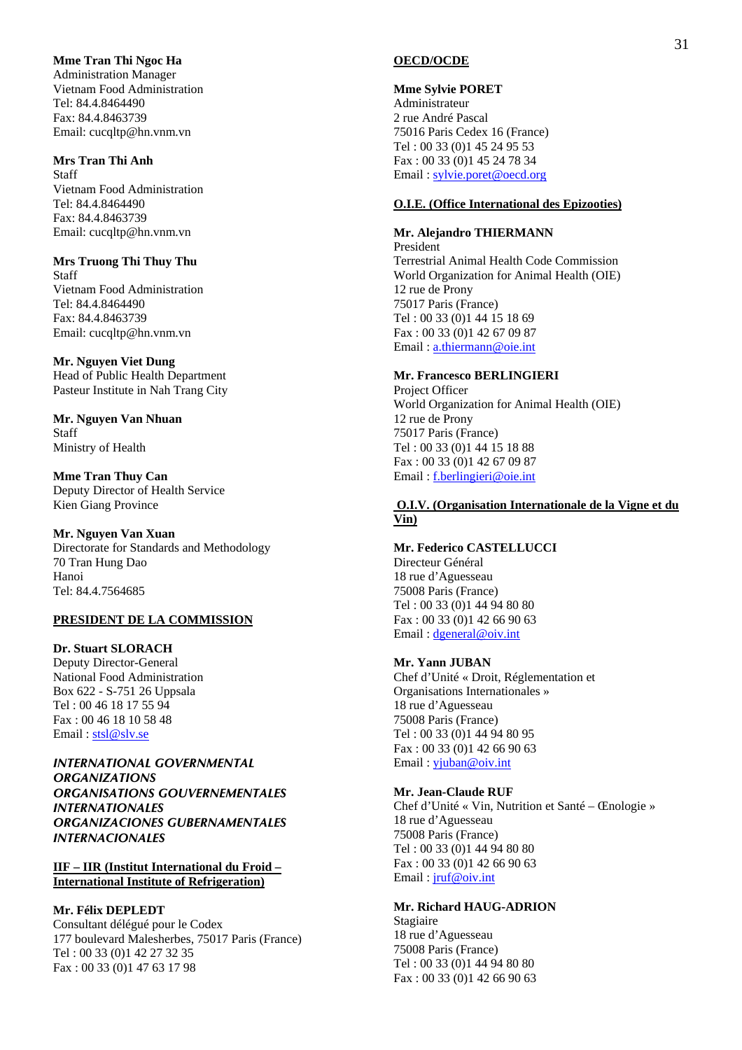#### **Mme Tran Thi Ngoc Ha**

Administration Manager Vietnam Food Administration Tel: 84.4.8464490 Fax: 84.4.8463739 Email: cucqltp@hn.vnm.vn

## **Mrs Tran Thi Anh**

Staff Vietnam Food Administration Tel: 84.4.8464490 Fax: 84.4.8463739 Email: cucqltp@hn.vnm.vn

**Mrs Truong Thi Thuy Thu**  Staff Vietnam Food Administration Tel: 84.4.8464490 Fax: 84.4.8463739 Email: cucqltp@hn.vnm.vn

#### **Mr. Nguyen Viet Dung**

Head of Public Health Department Pasteur Institute in Nah Trang City

**Mr. Nguyen Van Nhuan**  Staff Ministry of Health

**Mme Tran Thuy Can**  Deputy Director of Health Service Kien Giang Province

#### **Mr. Nguyen Van Xuan**

Directorate for Standards and Methodology 70 Tran Hung Dao Hanoi Tel: 84.4.7564685

## **PRESIDENT DE LA COMMISSION**

**Dr. Stuart SLORACH**  Deputy Director-General National Food Administration Box 622 - S-751 26 Uppsala Tel : 00 46 18 17 55 94 Fax : 00 46 18 10 58 48 Email : stsl@slv.se

*INTERNATIONAL GOVERNMENTAL ORGANIZATIONS ORGANISATIONS GOUVERNEMENTALES INTERNATIONALES ORGANIZACIONES GUBERNAMENTALES INTERNACIONALES* 

**IIF – IIR (Institut International du Froid – International Institute of Refrigeration)**

#### **Mr. Félix DEPLEDT**

Consultant délégué pour le Codex 177 boulevard Malesherbes, 75017 Paris (France) Tel : 00 33 (0)1 42 27 32 35 Fax : 00 33 (0)1 47 63 17 98

#### **OECD/OCDE**

#### **Mme Sylvie PORET**

Administrateur 2 rue André Pascal 75016 Paris Cedex 16 (France) Tel : 00 33 (0)1 45 24 95 53 Fax : 00 33 (0)1 45 24 78 34 Email : sylvie.poret@oecd.org

## **O.I.E. (Office International des Epizooties)**

#### **Mr. Alejandro THIERMANN**

President Terrestrial Animal Health Code Commission World Organization for Animal Health (OIE) 12 rue de Prony 75017 Paris (France) Tel : 00 33 (0)1 44 15 18 69 Fax : 00 33 (0)1 42 67 09 87 Email : a.thiermann@oie.int

#### **Mr. Francesco BERLINGIERI**

Project Officer World Organization for Animal Health (OIE) 12 rue de Prony 75017 Paris (France) Tel : 00 33 (0)1 44 15 18 88 Fax : 00 33 (0)1 42 67 09 87 Email : f.berlingieri@oie.int

#### **O.I.V. (Organisation Internationale de la Vigne et du Vin)**

#### **Mr. Federico CASTELLUCCI**

Directeur Général 18 rue d'Aguesseau 75008 Paris (France) Tel : 00 33 (0)1 44 94 80 80 Fax : 00 33 (0)1 42 66 90 63 Email: dgeneral@oiv.int

#### **Mr. Yann JUBAN**

Chef d'Unité « Droit, Réglementation et Organisations Internationales » 18 rue d'Aguesseau 75008 Paris (France) Tel : 00 33 (0)1 44 94 80 95 Fax : 00 33 (0)1 42 66 90 63 Email: yjuban@oiv.int

#### **Mr. Jean-Claude RUF**

Chef d'Unité « Vin, Nutrition et Santé – Œnologie » 18 rue d'Aguesseau 75008 Paris (France) Tel : 00 33 (0)1 44 94 80 80 Fax : 00 33 (0)1 42 66 90 63 Email : jruf@oiv.int

#### **Mr. Richard HAUG-ADRION**

Stagiaire 18 rue d'Aguesseau 75008 Paris (France) Tel : 00 33 (0)1 44 94 80 80 Fax : 00 33 (0)1 42 66 90 63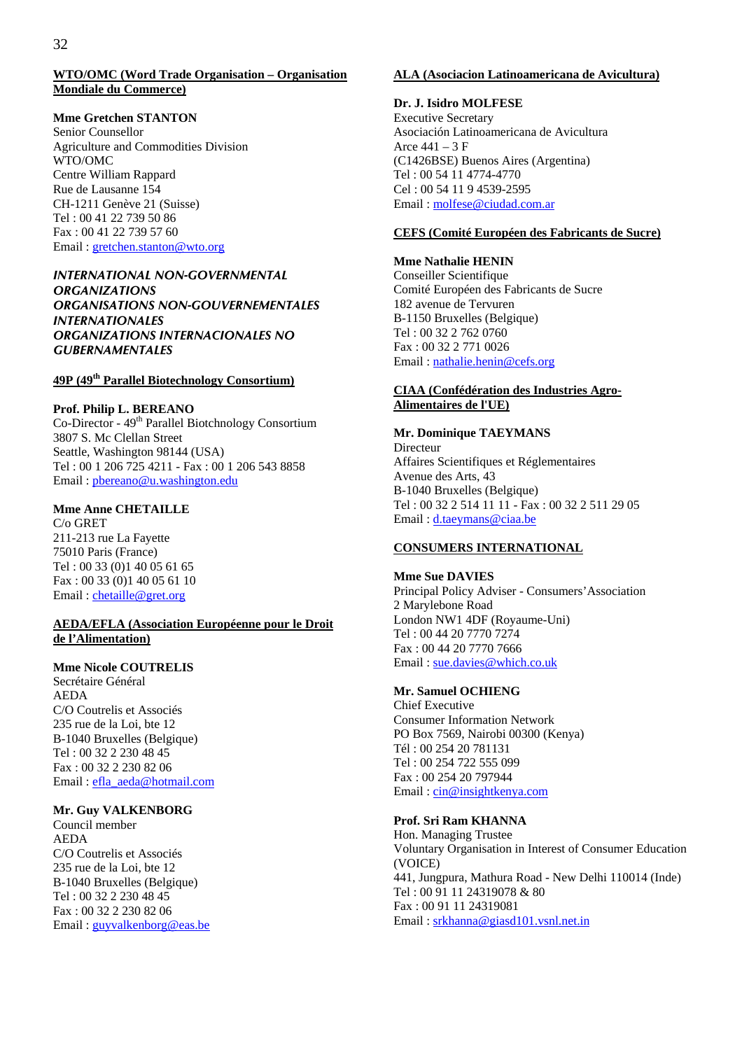#### **WTO/OMC (Word Trade Organisation – Organisation Mondiale du Commerce)**

#### **Mme Gretchen STANTON**

Senior Counsellor Agriculture and Commodities Division WTO/OMC Centre William Rappard Rue de Lausanne 154 CH-1211 Genève 21 (Suisse) Tel : 00 41 22 739 50 86 Fax : 00 41 22 739 57 60 Email : gretchen.stanton@wto.org

## *INTERNATIONAL NON-GOVERNMENTAL ORGANIZATIONS ORGANISATIONS NON-GOUVERNEMENTALES INTERNATIONALES ORGANIZATIONS INTERNACIONALES NO GUBERNAMENTALES*

## **49P (49th Parallel Biotechnology Consortium)**

#### **Prof. Philip L. BEREANO**

Co-Director - 49th Parallel Biotchnology Consortium 3807 S. Mc Clellan Street Seattle, Washington 98144 (USA) Tel : 00 1 206 725 4211 - Fax : 00 1 206 543 8858 Email : pbereano@u.washington.edu

#### **Mme Anne CHETAILLE**

C/o GRET 211-213 rue La Fayette 75010 Paris (France) Tel : 00 33 (0)1 40 05 61 65 Fax : 00 33 (0)1 40 05 61 10 Email : chetaille@gret.org

#### **AEDA/EFLA (Association Européenne pour le Droit de l'Alimentation)**

## **Mme Nicole COUTRELIS**

Secrétaire Général AEDA C/O Coutrelis et Associés 235 rue de la Loi, bte 12 B-1040 Bruxelles (Belgique) Tel : 00 32 2 230 48 45 Fax : 00 32 2 230 82 06 Email : efla\_aeda@hotmail.com

## **Mr. Guy VALKENBORG**

Council member AEDA C/O Coutrelis et Associés 235 rue de la Loi, bte 12 B-1040 Bruxelles (Belgique) Tel : 00 32 2 230 48 45 Fax : 00 32 2 230 82 06 Email : guyvalkenborg@eas.be

#### **ALA (Asociacion Latinoamericana de Avicultura)**

#### **Dr. J. Isidro MOLFESE**

Executive Secretary Asociación Latinoamericana de Avicultura Arce  $441 - 3$  F (C1426BSE) Buenos Aires (Argentina) Tel : 00 54 11 4774-4770 Cel : 00 54 11 9 4539-2595 Email : molfese@ciudad.com.ar

### **CEFS (Comité Européen des Fabricants de Sucre)**

#### **Mme Nathalie HENIN**

Conseiller Scientifique Comité Européen des Fabricants de Sucre 182 avenue de Tervuren B-1150 Bruxelles (Belgique) Tel : 00 32 2 762 0760 Fax : 00 32 2 771 0026 Email : nathalie.henin@cefs.org

#### **CIAA (Confédération des Industries Agro-Alimentaires de l'UE)**

#### **Mr. Dominique TAEYMANS**

Directeur Affaires Scientifiques et Réglementaires Avenue des Arts, 43 B-1040 Bruxelles (Belgique) Tel : 00 32 2 514 11 11 - Fax : 00 32 2 511 29 05 Email : d.taeymans@ciaa.be

#### **CONSUMERS INTERNATIONAL**

#### **Mme Sue DAVIES**  Principal Policy Adviser - Consumers'Association 2 Marylebone Road London NW1 4DF (Royaume-Uni) Tel : 00 44 20 7770 7274 Fax : 00 44 20 7770 7666 Email : sue.davies@which.co.uk

## **Mr. Samuel OCHIENG**

Chief Executive Consumer Information Network PO Box 7569, Nairobi 00300 (Kenya) Tél : 00 254 20 781131 Tel : 00 254 722 555 099 Fax : 00 254 20 797944 Email : cin@insightkenya.com

#### **Prof. Sri Ram KHANNA**

Hon. Managing Trustee Voluntary Organisation in Interest of Consumer Education (VOICE) 441, Jungpura, Mathura Road - New Delhi 110014 (Inde) Tel : 00 91 11 24319078 & 80 Fax : 00 91 11 24319081 Email : srkhanna@giasd101.vsnl.net.in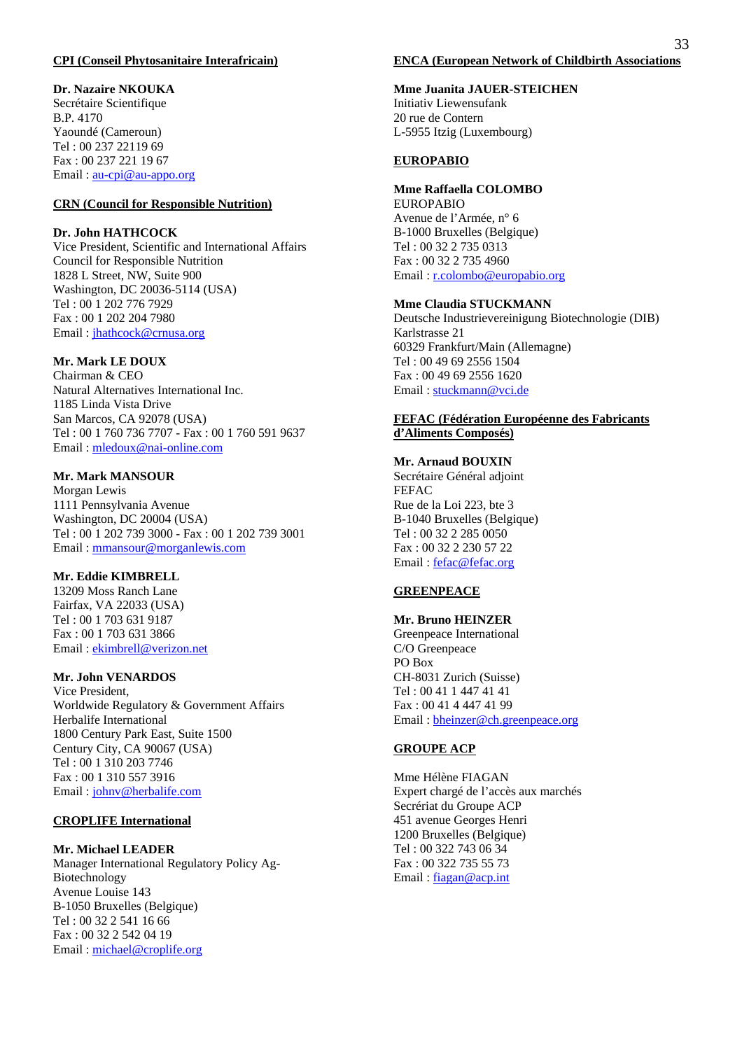#### **CPI (Conseil Phytosanitaire Interafricain)**

#### **Dr. Nazaire NKOUKA**

Secrétaire Scientifique B.P. 4170 Yaoundé (Cameroun) Tel : 00 237 22119 69 Fax : 00 237 221 19 67 Email: <u>au-cpi@au-appo.org</u>

## **CRN (Council for Responsible Nutrition)**

#### **Dr. John HATHCOCK**

Vice President, Scientific and International Affairs Council for Responsible Nutrition 1828 L Street, NW, Suite 900 Washington, DC 20036-5114 (USA) Tel : 00 1 202 776 7929 Fax : 00 1 202 204 7980 Email : jhathcock@crnusa.org

#### **Mr. Mark LE DOUX**

Chairman & CEO Natural Alternatives International Inc. 1185 Linda Vista Drive San Marcos, CA 92078 (USA) Tel : 00 1 760 736 7707 - Fax : 00 1 760 591 9637 Email : mledoux@nai-online.com

#### **Mr. Mark MANSOUR**

Morgan Lewis 1111 Pennsylvania Avenue Washington, DC 20004 (USA) Tel : 00 1 202 739 3000 - Fax : 00 1 202 739 3001 Email : mmansour@morganlewis.com

#### **Mr. Eddie KIMBRELL**

13209 Moss Ranch Lane Fairfax, VA 22033 (USA) Tel : 00 1 703 631 9187 Fax : 00 1 703 631 3866 Email : ekimbrell@verizon.net

## **Mr. John VENARDOS**

Vice President, Worldwide Regulatory & Government Affairs Herbalife International 1800 Century Park East, Suite 1500 Century City, CA 90067 (USA) Tel : 00 1 310 203 7746 Fax : 00 1 310 557 3916 Email : johnv@herbalife.com

#### **CROPLIFE International**

#### **Mr. Michael LEADER**

Manager International Regulatory Policy Ag-Biotechnology Avenue Louise 143 B-1050 Bruxelles (Belgique) Tel : 00 32 2 541 16 66 Fax : 00 32 2 542 04 19 Email : michael@croplife.org

## **Mme Juanita JAUER-STEICHEN**

Initiativ Liewensufank 20 rue de Contern L-5955 Itzig (Luxembourg)

#### **EUROPABIO**

#### **Mme Raffaella COLOMBO**

EUROPABIO Avenue de l'Armée, n° 6 B-1000 Bruxelles (Belgique) Tel : 00 32 2 735 0313 Fax : 00 32 2 735 4960 Email : r.colombo@europabio.org

#### **Mme Claudia STUCKMANN**

Deutsche Industrievereinigung Biotechnologie (DIB) Karlstrasse 21 60329 Frankfurt/Main (Allemagne) Tel : 00 49 69 2556 1504 Fax : 00 49 69 2556 1620 Email : stuckmann@vci.de

#### **FEFAC (Fédération Européenne des Fabricants d'Aliments Composés)**

## **Mr. Arnaud BOUXIN**

Secrétaire Général adjoint FEFAC Rue de la Loi 223, bte 3 B-1040 Bruxelles (Belgique) Tel : 00 32 2 285 0050 Fax : 00 32 2 230 57 22 Email: fefac@fefac.org

#### **GREENPEACE**

#### **Mr. Bruno HEINZER**

Greenpeace International C/O Greenpeace PO Box CH-8031 Zurich (Suisse) Tel : 00 41 1 447 41 41 Fax : 00 41 4 447 41 99 Email : bheinzer@ch.greenpeace.org

#### **GROUPE ACP**

Mme Hélène FIAGAN Expert chargé de l'accès aux marchés Secrériat du Groupe ACP 451 avenue Georges Henri 1200 Bruxelles (Belgique) Tel : 00 322 743 06 34 Fax : 00 322 735 55 73 Email : fiagan@acp.int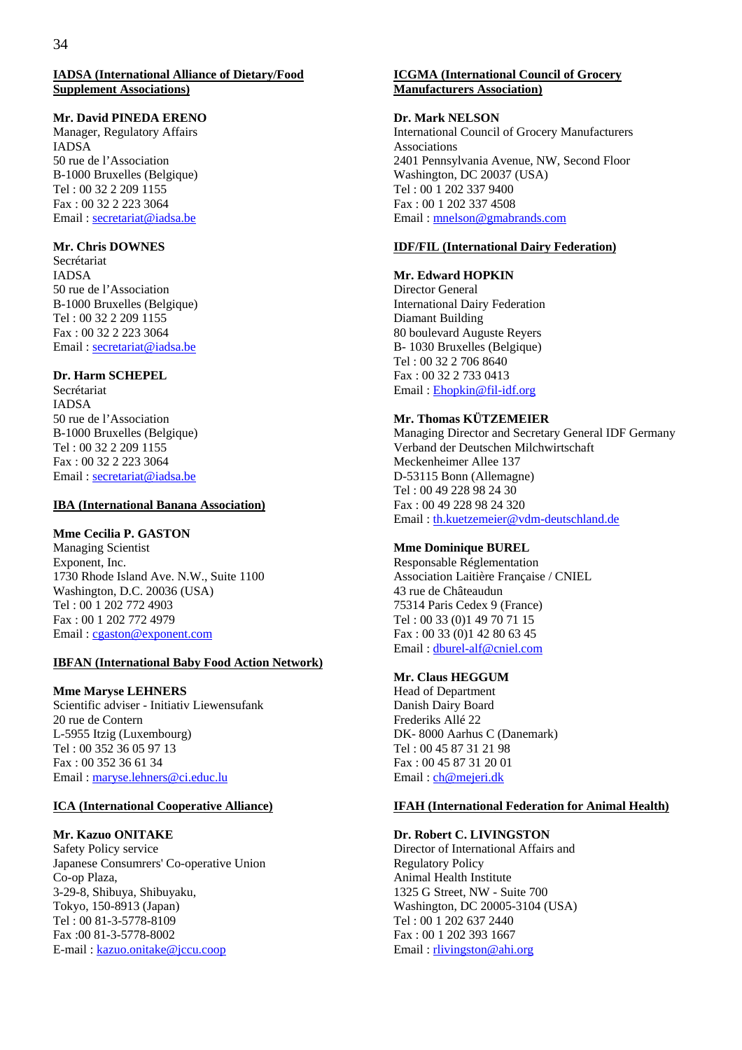#### **IADSA (International Alliance of Dietary/Food Supplement Associations)**

#### **Mr. David PINEDA ERENO**

Manager, Regulatory Affairs IADSA 50 rue de l'Association B-1000 Bruxelles (Belgique) Tel : 00 32 2 209 1155 Fax : 00 32 2 223 3064 Email : secretariat@iadsa.be

### **Mr. Chris DOWNES**

Secrétariat IADSA 50 rue de l'Association B-1000 Bruxelles (Belgique) Tel : 00 32 2 209 1155 Fax : 00 32 2 223 3064 Email : secretariat@iadsa.be

### **Dr. Harm SCHEPEL**

Secrétariat IADSA 50 rue de l'Association B-1000 Bruxelles (Belgique) Tel : 00 32 2 209 1155 Fax : 00 32 2 223 3064 Email : secretariat@iadsa.be

## **IBA (International Banana Association)**

#### **Mme Cecilia P. GASTON**

Managing Scientist Exponent, Inc. 1730 Rhode Island Ave. N.W., Suite 1100 Washington, D.C. 20036 (USA) Tel : 00 1 202 772 4903 Fax : 00 1 202 772 4979 Email : cgaston@exponent.com

## **IBFAN (International Baby Food Action Network)**

#### **Mme Maryse LEHNERS**

Scientific adviser - Initiativ Liewensufank 20 rue de Contern L-5955 Itzig (Luxembourg) Tel : 00 352 36 05 97 13 Fax : 00 352 36 61 34 Email : maryse.lehners@ci.educ.lu

#### **ICA (International Cooperative Alliance)**

## **Mr. Kazuo ONITAKE**

Safety Policy service Japanese Consumrers' Co-operative Union Co-op Plaza, 3-29-8, Shibuya, Shibuyaku, Tokyo, 150-8913 (Japan) Tel : 00 81-3-5778-8109 Fax :00 81-3-5778-8002 E-mail : kazuo.onitake@jccu.coop

#### **ICGMA (International Council of Grocery Manufacturers Association)**

## **Dr. Mark NELSON**

International Council of Grocery Manufacturers Associations 2401 Pennsylvania Avenue, NW, Second Floor Washington, DC 20037 (USA) Tel : 00 1 202 337 9400 Fax : 00 1 202 337 4508 Email : mnelson@gmabrands.com

#### **IDF/FIL (International Dairy Federation)**

#### **Mr. Edward HOPKIN**

Director General International Dairy Federation Diamant Building 80 boulevard Auguste Reyers B- 1030 Bruxelles (Belgique) Tel : 00 32 2 706 8640 Fax : 00 32 2 733 0413 Email : Ehopkin@fil-idf.org

### **Mr. Thomas KÜTZEMEIER**

Managing Director and Secretary General IDF Germany Verband der Deutschen Milchwirtschaft Meckenheimer Allee 137 D-53115 Bonn (Allemagne) Tel : 00 49 228 98 24 30 Fax : 00 49 228 98 24 320 Email : th.kuetzemeier@vdm-deutschland.de

## **Mme Dominique BUREL**

Responsable Réglementation Association Laitière Française / CNIEL 43 rue de Châteaudun 75314 Paris Cedex 9 (France) Tel : 00 33 (0)1 49 70 71 15 Fax : 00 33 (0)1 42 80 63 45 Email : dburel-alf@cniel.com

## **Mr. Claus HEGGUM**

Head of Department Danish Dairy Board Frederiks Allé 22 DK- 8000 Aarhus C (Danemark) Tel : 00 45 87 31 21 98 Fax : 00 45 87 31 20 01 Email : ch@mejeri.dk

#### **IFAH (International Federation for Animal Health)**

## **Dr. Robert C. LIVINGSTON**

Director of International Affairs and Regulatory Policy Animal Health Institute 1325 G Street, NW - Suite 700 Washington, DC 20005-3104 (USA) Tel : 00 1 202 637 2440 Fax : 00 1 202 393 1667 Email : rlivingston@ahi.org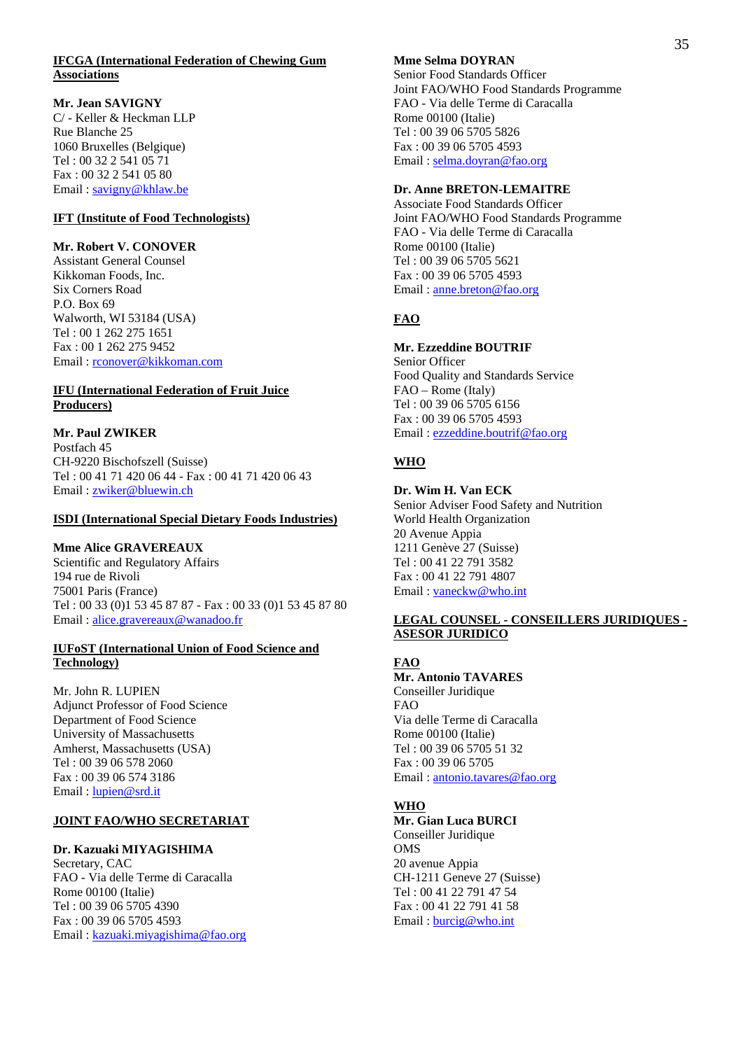#### **IFCGA (International Federation of Chewing Gum Associations**

### **Mr. Jean SAVIGNY**

C/ - Keller & Heckman LLP Rue Blanche 25 1060 Bruxelles (Belgique) Tel : 00 32 2 541 05 71 Fax : 00 32 2 541 05 80 Email : savigny@khlaw.be

## **IFT (Institute of Food Technologists)**

### **Mr. Robert V. CONOVER**

Assistant General Counsel Kikkoman Foods, Inc. Six Corners Road P.O. Box 69 Walworth, WI 53184 (USA) Tel : 00 1 262 275 1651 Fax : 00 1 262 275 9452 Email : rconover@kikkoman.com

## **IFU (International Federation of Fruit Juice Producers)**

## **Mr. Paul ZWIKER**

Postfach 45 CH-9220 Bischofszell (Suisse) Tel : 00 41 71 420 06 44 - Fax : 00 41 71 420 06 43 Email : zwiker@bluewin.ch

#### **ISDI (International Special Dietary Foods Industries)**

## **Mme Alice GRAVEREAUX**

Scientific and Regulatory Affairs 194 rue de Rivoli 75001 Paris (France) Tel : 00 33 (0)1 53 45 87 87 - Fax : 00 33 (0)1 53 45 87 80 Email : alice.gravereaux@wanadoo.fr

#### **IUFoST (International Union of Food Science and Technology)**

Mr. John R. LUPIEN Adjunct Professor of Food Science Department of Food Science University of Massachusetts Amherst, Massachusetts (USA) Tel : 00 39 06 578 2060 Fax : 00 39 06 574 3186 Email : lupien@srd.it

## **JOINT FAO/WHO SECRETARIAT**

## **Dr. Kazuaki MIYAGISHIMA**

Secretary, CAC FAO - Via delle Terme di Caracalla Rome 00100 (Italie) Tel : 00 39 06 5705 4390 Fax : 00 39 06 5705 4593 Email : kazuaki.miyagishima@fao.org

## **Mme Selma DOYRAN**

Senior Food Standards Officer Joint FAO/WHO Food Standards Programme FAO - Via delle Terme di Caracalla Rome 00100 (Italie) Tel : 00 39 06 5705 5826 Fax : 00 39 06 5705 4593 Email : selma.doyran@fao.org

## **Dr. Anne BRETON-LEMAITRE**

Associate Food Standards Officer Joint FAO/WHO Food Standards Programme FAO - Via delle Terme di Caracalla Rome 00100 (Italie) Tel : 00 39 06 5705 5621 Fax : 00 39 06 5705 4593 Email : anne.breton@fao.org

## **FAO**

## **Mr. Ezzeddine BOUTRIF**

Senior Officer Food Quality and Standards Service FAO – Rome (Italy) Tel : 00 39 06 5705 6156 Fax : 00 39 06 5705 4593 Email : ezzeddine.boutrif@fao.org

## **WHO**

## **Dr. Wim H. Van ECK**

Senior Adviser Food Safety and Nutrition World Health Organization 20 Avenue Appia 1211 Genève 27 (Suisse) Tel : 00 41 22 791 3582 Fax : 00 41 22 791 4807 Email : vaneckw@who.int

### **LEGAL COUNSEL - CONSEILLERS JURIDIQUES - ASESOR JURIDICO**

## **FAO**

**Mr. Antonio TAVARES**  Conseiller Juridique FAO Via delle Terme di Caracalla Rome 00100 (Italie) Tel : 00 39 06 5705 51 32 Fax : 00 39 06 5705 Email : antonio.tavares@fao.org

## **WHO**

**Mr. Gian Luca BURCI**  Conseiller Juridique OMS 20 avenue Appia CH-1211 Geneve 27 (Suisse) Tel : 00 41 22 791 47 54 Fax : 00 41 22 791 41 58 Email : burcig@who.int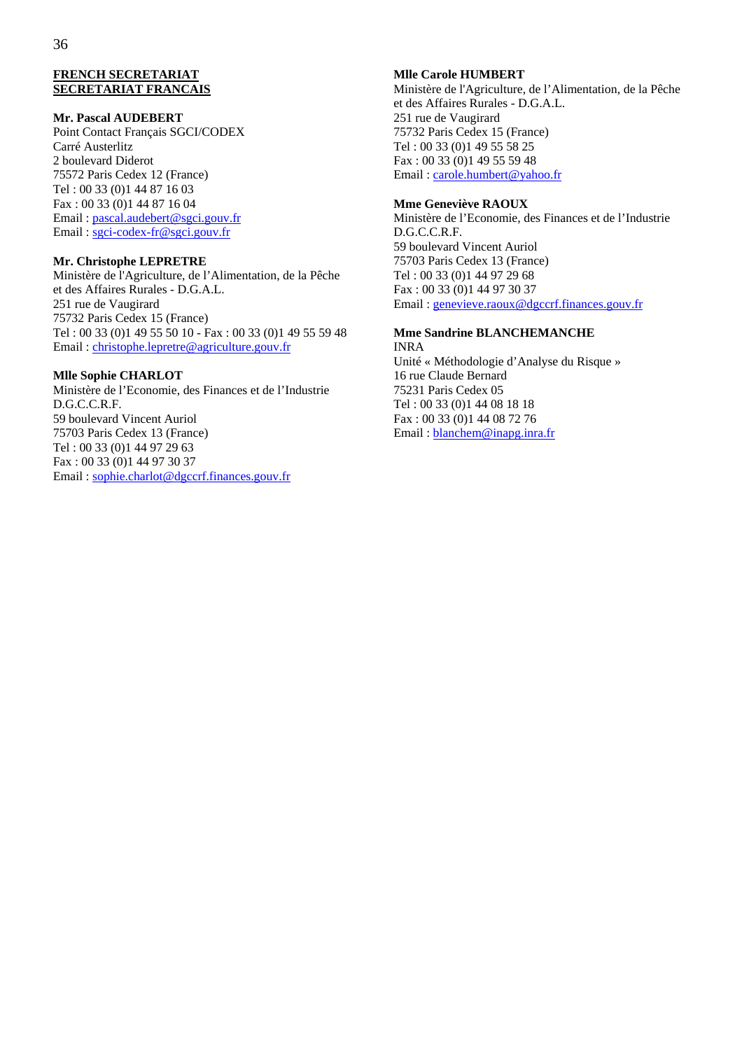#### **FRENCH SECRETARIAT SECRETARIAT FRANCAIS**

#### **Mr. Pascal AUDEBERT**

Point Contact Français SGCI/CODEX Carré Austerlitz 2 boulevard Diderot 75572 Paris Cedex 12 (France) Tel : 00 33 (0)1 44 87 16 03 Fax : 00 33 (0)1 44 87 16 04 Email : pascal.audebert@sgci.gouv.fr Email : sgci-codex-fr@sgci.gouv.fr

#### **Mr. Christophe LEPRETRE**

Ministère de l'Agriculture, de l'Alimentation, de la Pêche et des Affaires Rurales - D.G.A.L. 251 rue de Vaugirard 75732 Paris Cedex 15 (France) Tel : 00 33 (0)1 49 55 50 10 - Fax : 00 33 (0)1 49 55 59 48 Email : christophe.lepretre@agriculture.gouv.fr

#### **Mlle Sophie CHARLOT**

Ministère de l'Economie, des Finances et de l'Industrie D.G.C.C.R.F. 59 boulevard Vincent Auriol 75703 Paris Cedex 13 (France) Tel : 00 33 (0)1 44 97 29 63 Fax : 00 33 (0)1 44 97 30 37 Email : sophie.charlot@dgccrf.finances.gouv.fr

## **Mlle Carole HUMBERT**

Ministère de l'Agriculture, de l'Alimentation, de la Pêche et des Affaires Rurales - D.G.A.L. 251 rue de Vaugirard 75732 Paris Cedex 15 (France) Tel : 00 33 (0)1 49 55 58 25 Fax : 00 33 (0)1 49 55 59 48 Email : carole.humbert@yahoo.fr

#### **Mme Geneviève RAOUX**

Ministère de l'Economie, des Finances et de l'Industrie D.G.C.C.R.F. 59 boulevard Vincent Auriol 75703 Paris Cedex 13 (France) Tel : 00 33 (0)1 44 97 29 68 Fax : 00 33 (0)1 44 97 30 37 Email : genevieve.raoux@dgccrf.finances.gouv.fr

## **Mme Sandrine BLANCHEMANCHE**

INRA Unité « Méthodologie d'Analyse du Risque » 16 rue Claude Bernard 75231 Paris Cedex 05 Tel : 00 33 (0)1 44 08 18 18 Fax : 00 33 (0)1 44 08 72 76 Email : blanchem@inapg.inra.fr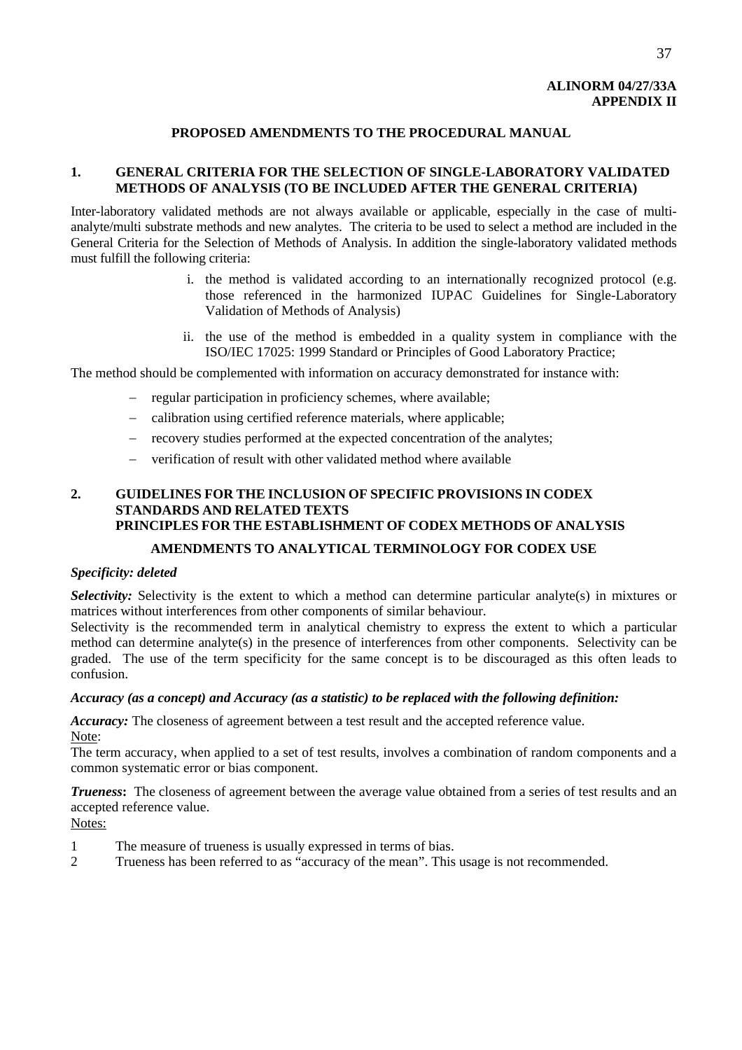## **ALINORM 04/27/33A APPENDIX II**

## **PROPOSED AMENDMENTS TO THE PROCEDURAL MANUAL**

## **1. GENERAL CRITERIA FOR THE SELECTION OF SINGLE-LABORATORY VALIDATED METHODS OF ANALYSIS (TO BE INCLUDED AFTER THE GENERAL CRITERIA)**

Inter-laboratory validated methods are not always available or applicable, especially in the case of multianalyte/multi substrate methods and new analytes. The criteria to be used to select a method are included in the General Criteria for the Selection of Methods of Analysis. In addition the single-laboratory validated methods must fulfill the following criteria:

- i. the method is validated according to an internationally recognized protocol (e.g. those referenced in the harmonized IUPAC Guidelines for Single-Laboratory Validation of Methods of Analysis)
- ii. the use of the method is embedded in a quality system in compliance with the ISO/IEC 17025: 1999 Standard or Principles of Good Laboratory Practice;

The method should be complemented with information on accuracy demonstrated for instance with:

- − regular participation in proficiency schemes, where available;
- − calibration using certified reference materials, where applicable;
- − recovery studies performed at the expected concentration of the analytes;
- − verification of result with other validated method where available

## **2. GUIDELINES FOR THE INCLUSION OF SPECIFIC PROVISIONS IN CODEX STANDARDS AND RELATED TEXTS PRINCIPLES FOR THE ESTABLISHMENT OF CODEX METHODS OF ANALYSIS AMENDMENTS TO ANALYTICAL TERMINOLOGY FOR CODEX USE**

## *Specificity: deleted*

*Selectivity:* Selectivity is the extent to which a method can determine particular analyte(s) in mixtures or matrices without interferences from other components of similar behaviour.

Selectivity is the recommended term in analytical chemistry to express the extent to which a particular method can determine analyte(s) in the presence of interferences from other components. Selectivity can be graded. The use of the term specificity for the same concept is to be discouraged as this often leads to confusion.

## *Accuracy (as a concept) and Accuracy (as a statistic) to be replaced with the following definition:*

Accuracy: The closeness of agreement between a test result and the accepted reference value. Note:

The term accuracy, when applied to a set of test results, involves a combination of random components and a common systematic error or bias component.

*Trueness***:** The closeness of agreement between the average value obtained from a series of test results and an accepted reference value.

Notes:

- 1 The measure of trueness is usually expressed in terms of bias.
- 2 Trueness has been referred to as "accuracy of the mean". This usage is not recommended.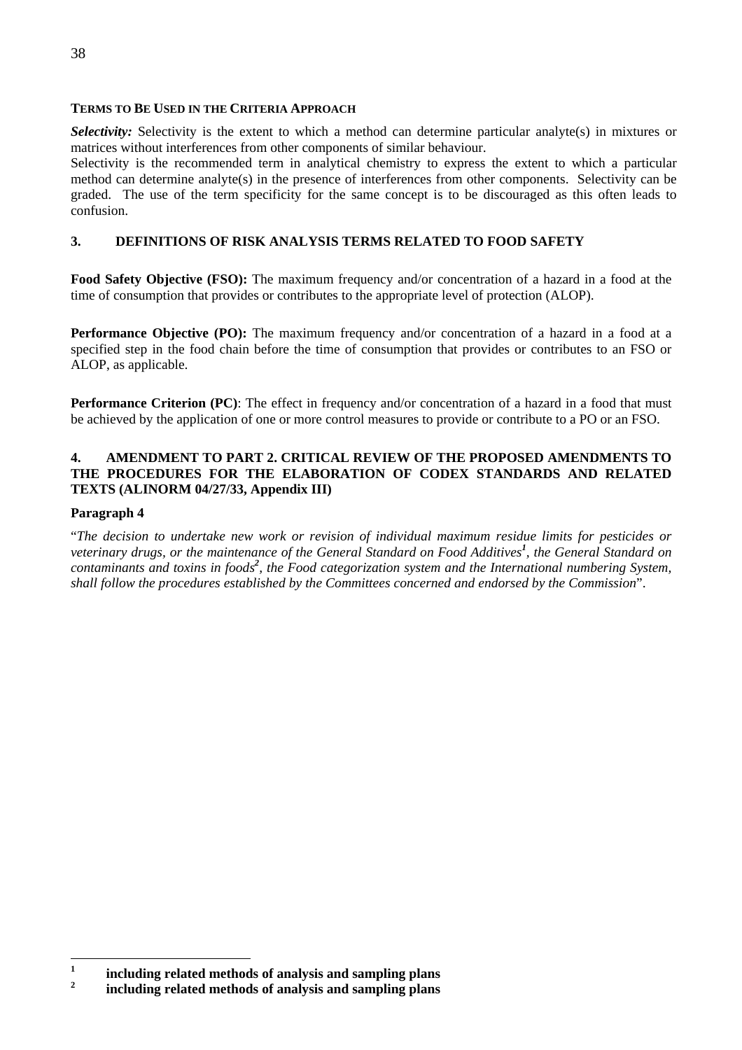## **TERMS TO BE USED IN THE CRITERIA APPROACH**

*Selectivity:* Selectivity is the extent to which a method can determine particular analyte(s) in mixtures or matrices without interferences from other components of similar behaviour.

Selectivity is the recommended term in analytical chemistry to express the extent to which a particular method can determine analyte(s) in the presence of interferences from other components. Selectivity can be graded. The use of the term specificity for the same concept is to be discouraged as this often leads to confusion.

## **3. DEFINITIONS OF RISK ANALYSIS TERMS RELATED TO FOOD SAFETY**

**Food Safety Objective (FSO):** The maximum frequency and/or concentration of a hazard in a food at the time of consumption that provides or contributes to the appropriate level of protection (ALOP).

**Performance Objective (PO):** The maximum frequency and/or concentration of a hazard in a food at a specified step in the food chain before the time of consumption that provides or contributes to an FSO or ALOP, as applicable.

**Performance Criterion (PC)**: The effect in frequency and/or concentration of a hazard in a food that must be achieved by the application of one or more control measures to provide or contribute to a PO or an FSO.

## **4. AMENDMENT TO PART 2. CRITICAL REVIEW OF THE PROPOSED AMENDMENTS TO THE PROCEDURES FOR THE ELABORATION OF CODEX STANDARDS AND RELATED TEXTS (ALINORM 04/27/33, Appendix III)**

## **Paragraph 4**

"*The decision to undertake new work or revision of individual maximum residue limits for pesticides or veterinary drugs, or the maintenance of the General Standard on Food Additives<sup>1</sup> [,](#page-41-0) the General Standard on*  contaminants and toxins in foods<sup>2</sup>[,](#page-41-1) the Food categorization system and the International numbering System, *shall follow the procedures established by the Committees concerned and endorsed by the Commission*".

<span id="page-41-0"></span> $\mathbf 1$ **<sup>1</sup> including related methods of analysis and sampling plans** 

<span id="page-41-1"></span>**<sup>2</sup> including related methods of analysis and sampling plans**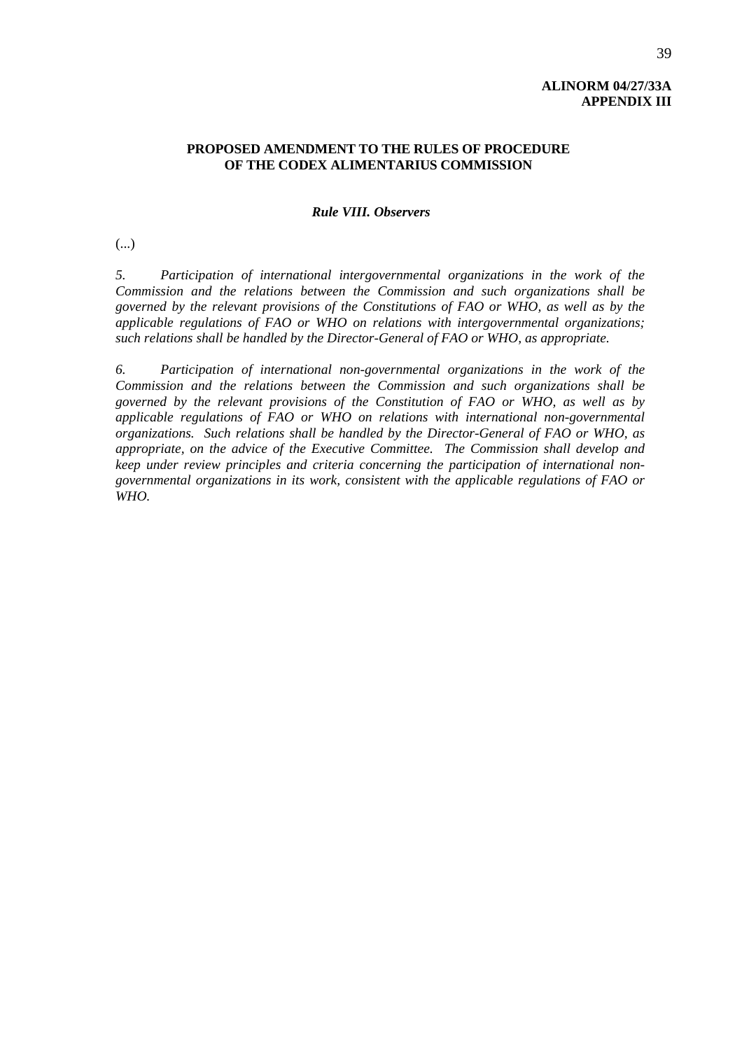## **ALINORM 04/27/33A APPENDIX III**

## **PROPOSED AMENDMENT TO THE RULES OF PROCEDURE OF THE CODEX ALIMENTARIUS COMMISSION**

## *Rule VIII. Observers*

(...)

*5. Participation of international intergovernmental organizations in the work of the Commission and the relations between the Commission and such organizations shall be governed by the relevant provisions of the Constitutions of FAO or WHO, as well as by the applicable regulations of FAO or WHO on relations with intergovernmental organizations; such relations shall be handled by the Director-General of FAO or WHO, as appropriate.* 

 *6. Participation of international non-governmental organizations in the work of the Commission and the relations between the Commission and such organizations shall be governed by the relevant provisions of the Constitution of FAO or WHO, as well as by applicable regulations of FAO or WHO on relations with international non-governmental organizations. Such relations shall be handled by the Director-General of FAO or WHO, as appropriate, on the advice of the Executive Committee. The Commission shall develop and keep under review principles and criteria concerning the participation of international nongovernmental organizations in its work, consistent with the applicable regulations of FAO or WHO.*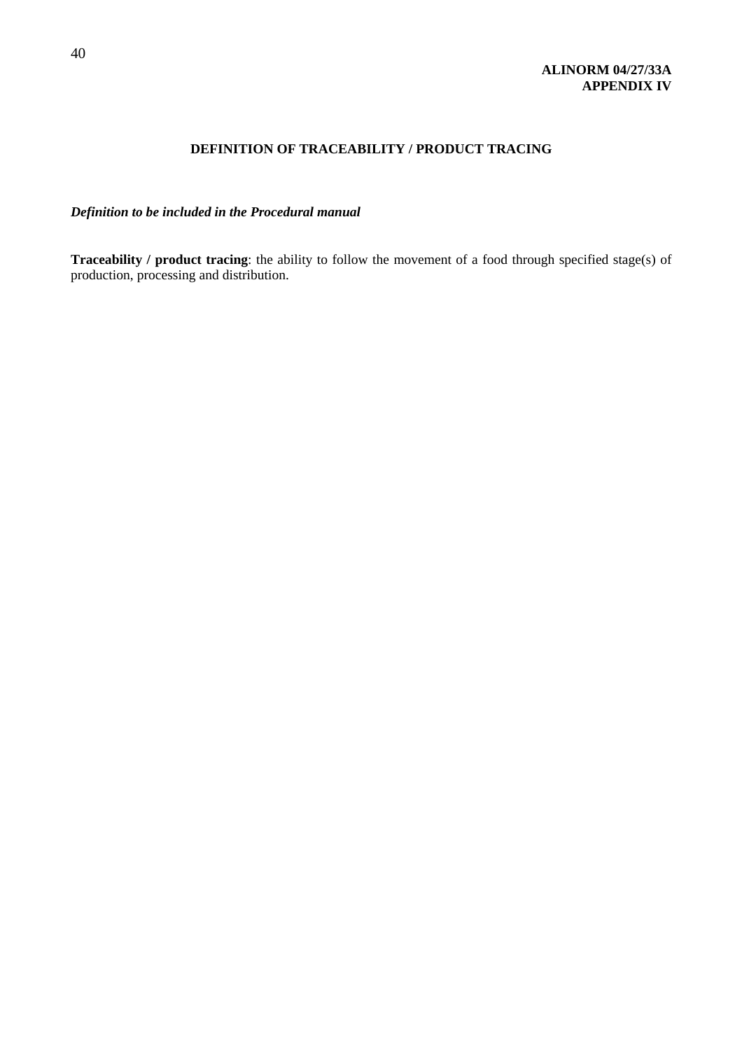## **ALINORM 04/27/33A APPENDIX IV**

## **DEFINITION OF TRACEABILITY / PRODUCT TRACING**

*Definition to be included in the Procedural manual* 

**Traceability / product tracing**: the ability to follow the movement of a food through specified stage(s) of production, processing and distribution.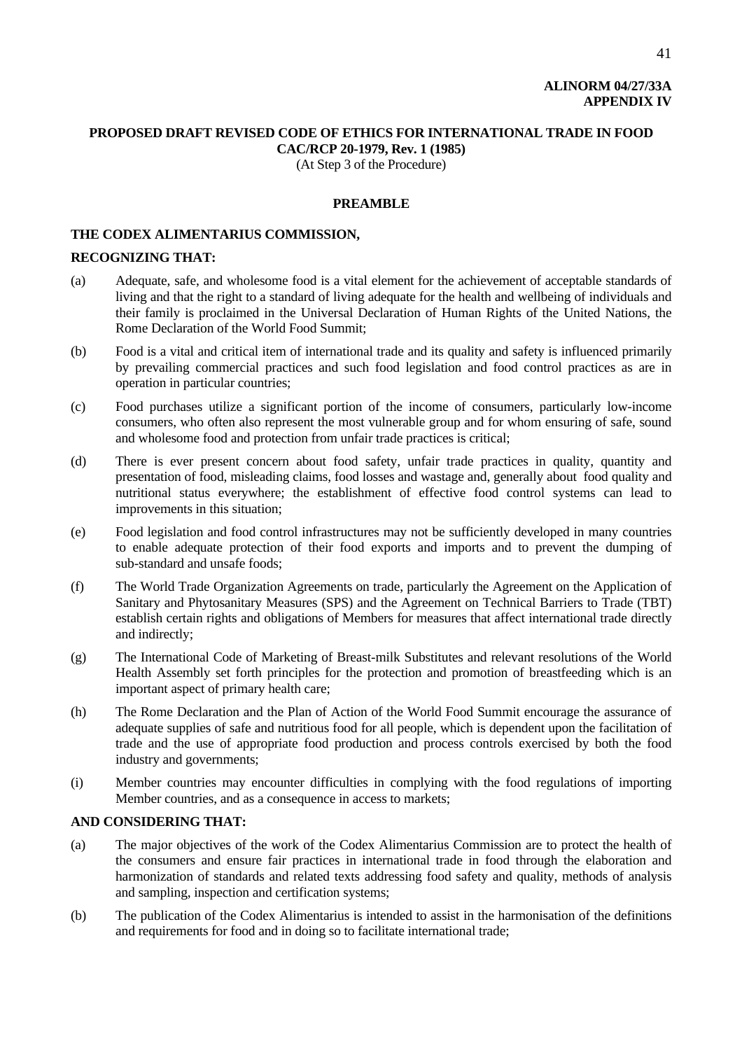## **ALINORM 04/27/33A APPENDIX IV**

## **PROPOSED DRAFT REVISED CODE OF ETHICS FOR INTERNATIONAL TRADE IN FOOD CAC/RCP 20-1979, Rev. 1 (1985)**

(At Step 3 of the Procedure)

## **PREAMBLE**

#### **THE CODEX ALIMENTARIUS COMMISSION,**

#### **RECOGNIZING THAT:**

- (a) Adequate, safe, and wholesome food is a vital element for the achievement of acceptable standards of living and that the right to a standard of living adequate for the health and wellbeing of individuals and their family is proclaimed in the Universal Declaration of Human Rights of the United Nations, the Rome Declaration of the World Food Summit;
- (b) Food is a vital and critical item of international trade and its quality and safety is influenced primarily by prevailing commercial practices and such food legislation and food control practices as are in operation in particular countries;
- (c) Food purchases utilize a significant portion of the income of consumers, particularly low-income consumers, who often also represent the most vulnerable group and for whom ensuring of safe, sound and wholesome food and protection from unfair trade practices is critical;
- (d) There is ever present concern about food safety, unfair trade practices in quality, quantity and presentation of food, misleading claims, food losses and wastage and, generally about food quality and nutritional status everywhere; the establishment of effective food control systems can lead to improvements in this situation;
- (e) Food legislation and food control infrastructures may not be sufficiently developed in many countries to enable adequate protection of their food exports and imports and to prevent the dumping of sub-standard and unsafe foods;
- (f) The World Trade Organization Agreements on trade, particularly the Agreement on the Application of Sanitary and Phytosanitary Measures (SPS) and the Agreement on Technical Barriers to Trade (TBT) establish certain rights and obligations of Members for measures that affect international trade directly and indirectly;
- (g) The International Code of Marketing of Breast-milk Substitutes and relevant resolutions of the World Health Assembly set forth principles for the protection and promotion of breastfeeding which is an important aspect of primary health care;
- (h) The Rome Declaration and the Plan of Action of the World Food Summit encourage the assurance of adequate supplies of safe and nutritious food for all people, which is dependent upon the facilitation of trade and the use of appropriate food production and process controls exercised by both the food industry and governments;
- (i) Member countries may encounter difficulties in complying with the food regulations of importing Member countries, and as a consequence in access to markets;

## **AND CONSIDERING THAT:**

- (a) The major objectives of the work of the Codex Alimentarius Commission are to protect the health of the consumers and ensure fair practices in international trade in food through the elaboration and harmonization of standards and related texts addressing food safety and quality, methods of analysis and sampling, inspection and certification systems;
- (b) The publication of the Codex Alimentarius is intended to assist in the harmonisation of the definitions and requirements for food and in doing so to facilitate international trade;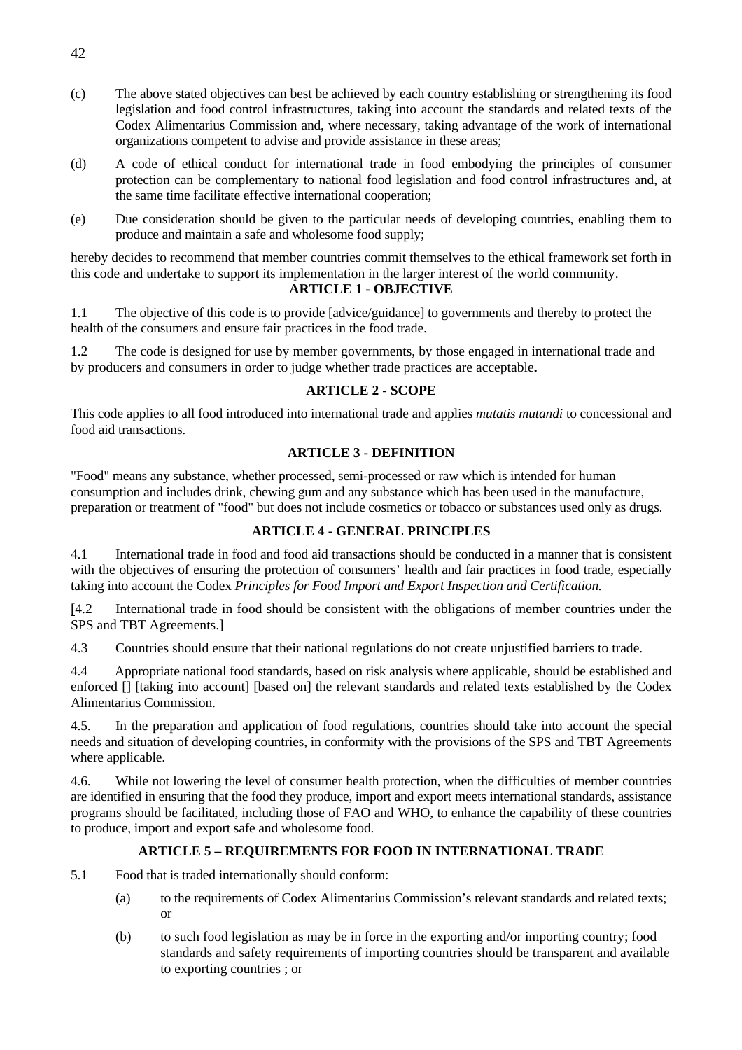- (c) The above stated objectives can best be achieved by each country establishing or strengthening its food legislation and food control infrastructures, taking into account the standards and related texts of the Codex Alimentarius Commission and, where necessary, taking advantage of the work of international organizations competent to advise and provide assistance in these areas;
- (d) A code of ethical conduct for international trade in food embodying the principles of consumer protection can be complementary to national food legislation and food control infrastructures and, at the same time facilitate effective international cooperation;
- (e) Due consideration should be given to the particular needs of developing countries, enabling them to produce and maintain a safe and wholesome food supply;

hereby decides to recommend that member countries commit themselves to the ethical framework set forth in this code and undertake to support its implementation in the larger interest of the world community.

## **ARTICLE 1 - OBJECTIVE**

1.1 The objective of this code is to provide [advice/guidance] to governments and thereby to protect the health of the consumers and ensure fair practices in the food trade.

1.2 The code is designed for use by member governments, by those engaged in international trade and by producers and consumers in order to judge whether trade practices are acceptable**.** 

## **ARTICLE 2 - SCOPE**

This code applies to all food introduced into international trade and applies *mutatis mutandi* to concessional and food aid transactions.

## **ARTICLE 3 - DEFINITION**

"Food" means any substance, whether processed, semi-processed or raw which is intended for human consumption and includes drink, chewing gum and any substance which has been used in the manufacture, preparation or treatment of "food" but does not include cosmetics or tobacco or substances used only as drugs.

## **ARTICLE 4 - GENERAL PRINCIPLES**

4.1 International trade in food and food aid transactions should be conducted in a manner that is consistent with the objectives of ensuring the protection of consumers' health and fair practices in food trade, especially taking into account the Codex *Principles for Food Import and Export Inspection and Certification.*

[4.2 International trade in food should be consistent with the obligations of member countries under the SPS and TBT Agreements.]

4.3 Countries should ensure that their national regulations do not create unjustified barriers to trade.

4.4 Appropriate national food standards, based on risk analysis where applicable, should be established and enforced [] [taking into account] [based on] the relevant standards and related texts established by the Codex Alimentarius Commission.

4.5. In the preparation and application of food regulations, countries should take into account the special needs and situation of developing countries, in conformity with the provisions of the SPS and TBT Agreements where applicable.

4.6. While not lowering the level of consumer health protection, when the difficulties of member countries are identified in ensuring that the food they produce, import and export meets international standards, assistance programs should be facilitated, including those of FAO and WHO, to enhance the capability of these countries to produce, import and export safe and wholesome food.

## **ARTICLE 5 – REQUIREMENTS FOR FOOD IN INTERNATIONAL TRADE**

- 5.1 Food that is traded internationally should conform:
	- (a) to the requirements of Codex Alimentarius Commission's relevant standards and related texts; or
	- (b) to such food legislation as may be in force in the exporting and/or importing country; food standards and safety requirements of importing countries should be transparent and available to exporting countries ; or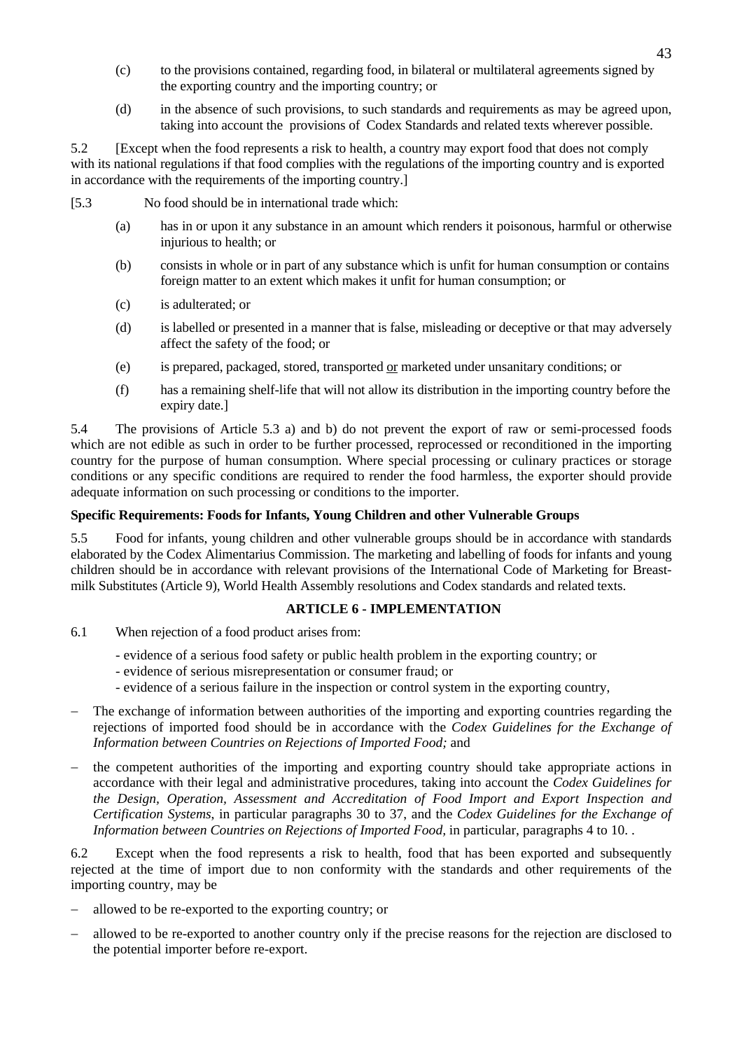- (c) to the provisions contained, regarding food, in bilateral or multilateral agreements signed by the exporting country and the importing country; or
- (d) in the absence of such provisions, to such standards and requirements as may be agreed upon, taking into account the provisions of Codex Standards and related texts wherever possible.

5.2 [Except when the food represents a risk to health, a country may export food that does not comply with its national regulations if that food complies with the regulations of the importing country and is exported in accordance with the requirements of the importing country.]

- [5.3 No food should be in international trade which:
	- (a) has in or upon it any substance in an amount which renders it poisonous, harmful or otherwise injurious to health; or
	- (b) consists in whole or in part of any substance which is unfit for human consumption or contains foreign matter to an extent which makes it unfit for human consumption; or
	- (c) is adulterated; or
	- (d) is labelled or presented in a manner that is false, misleading or deceptive or that may adversely affect the safety of the food; or
	- (e) is prepared, packaged, stored, transported or marketed under unsanitary conditions; or
	- (f) has a remaining shelf-life that will not allow its distribution in the importing country before the expiry date.]

5.4 The provisions of Article 5.3 a) and b) do not prevent the export of raw or semi-processed foods which are not edible as such in order to be further processed, reprocessed or reconditioned in the importing country for the purpose of human consumption. Where special processing or culinary practices or storage conditions or any specific conditions are required to render the food harmless, the exporter should provide adequate information on such processing or conditions to the importer.

## **Specific Requirements: Foods for Infants, Young Children and other Vulnerable Groups**

5.5 Food for infants, young children and other vulnerable groups should be in accordance with standards elaborated by the Codex Alimentarius Commission. The marketing and labelling of foods for infants and young children should be in accordance with relevant provisions of the International Code of Marketing for Breastmilk Substitutes (Article 9), World Health Assembly resolutions and Codex standards and related texts.

## **ARTICLE 6 - IMPLEMENTATION**

- 6.1 When rejection of a food product arises from:
	- evidence of a serious food safety or public health problem in the exporting country; or
	- evidence of serious misrepresentation or consumer fraud; or
	- evidence of a serious failure in the inspection or control system in the exporting country,
- The exchange of information between authorities of the importing and exporting countries regarding the rejections of imported food should be in accordance with the *Codex Guidelines for the Exchange of Information between Countries on Rejections of Imported Food;* and
- the competent authorities of the importing and exporting country should take appropriate actions in accordance with their legal and administrative procedures, taking into account the *Codex Guidelines for the Design, Operation, Assessment and Accreditation of Food Import and Export Inspection and Certification Systems*, in particular paragraphs 30 to 37, and the *Codex Guidelines for the Exchange of Information between Countries on Rejections of Imported Food,* in particular, paragraphs 4 to 10. .

6.2 Except when the food represents a risk to health, food that has been exported and subsequently rejected at the time of import due to non conformity with the standards and other requirements of the importing country, may be

- − allowed to be re-exported to the exporting country; or
- − allowed to be re-exported to another country only if the precise reasons for the rejection are disclosed to the potential importer before re-export.